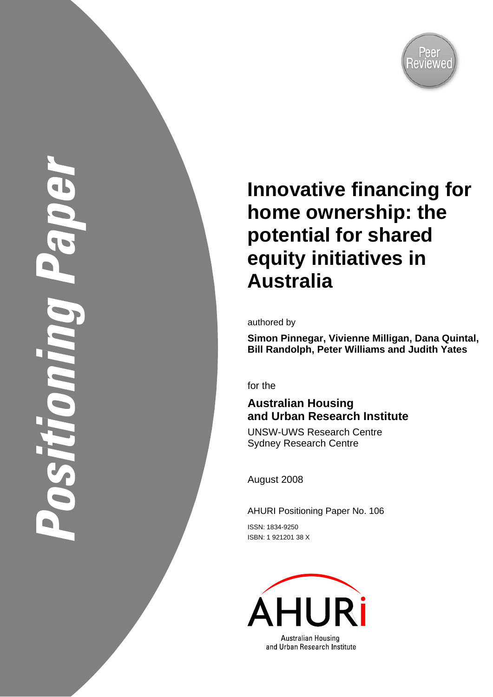

# Shilom

# **Innovative financing for home ownership: the potential for shared equity initiatives in Australia**

authored by

**Simon Pinnegar, Vivienne Milligan, Dana Quintal, Bill Randolph, Peter Williams and Judith Yates** 

for the

# **Australian Housing and Urban Research Institute**

UNSW-UWS Research Centre Sydney Research Centre

August 2008

AHURI Positioning Paper No. 106

ISSN: 1834-9250 ISBN: 1 921201 38 X

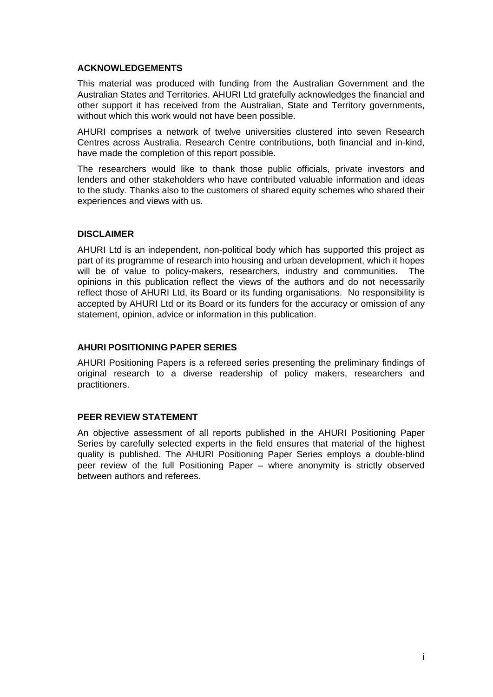#### **ACKNOWLEDGEMENTS**

This material was produced with funding from the Australian Government and the Australian States and Territories. AHURI Ltd gratefully acknowledges the financial and other support it has received from the Australian, State and Territory governments, without which this work would not have been possible.

AHURI comprises a network of twelve universities clustered into seven Research Centres across Australia. Research Centre contributions, both financial and in-kind, have made the completion of this report possible.

The researchers would like to thank those public officials, private investors and lenders and other stakeholders who have contributed valuable information and ideas to the study. Thanks also to the customers of shared equity schemes who shared their experiences and views with us.

#### **DISCLAIMER**

AHURI Ltd is an independent, non-political body which has supported this project as part of its programme of research into housing and urban development, which it hopes will be of value to policy-makers, researchers, industry and communities. The opinions in this publication reflect the views of the authors and do not necessarily reflect those of AHURI Ltd, its Board or its funding organisations. No responsibility is accepted by AHURI Ltd or its Board or its funders for the accuracy or omission of any statement, opinion, advice or information in this publication.

#### **AHURI POSITIONING PAPER SERIES**

AHURI Positioning Papers is a refereed series presenting the preliminary findings of original research to a diverse readership of policy makers, researchers and practitioners.

#### **PEER REVIEW STATEMENT**

An objective assessment of all reports published in the AHURI Positioning Paper Series by carefully selected experts in the field ensures that material of the highest quality is published. The AHURI Positioning Paper Series employs a double-blind peer review of the full Positioning Paper – where anonymity is strictly observed between authors and referees.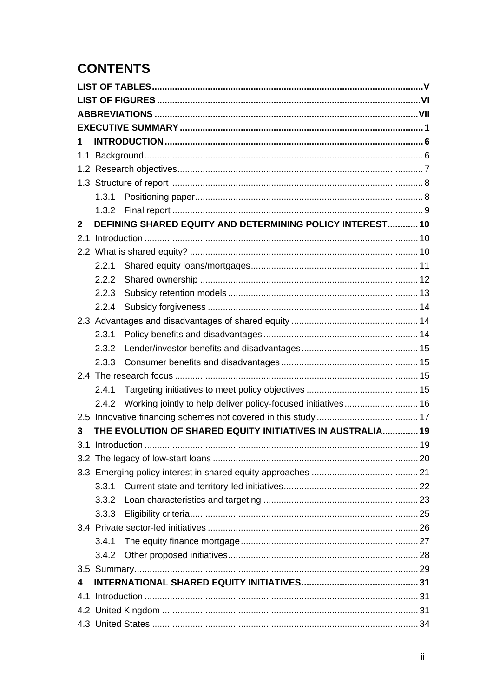# **CONTENTS**

| 1            |       |                                                               |  |  |
|--------------|-------|---------------------------------------------------------------|--|--|
|              |       |                                                               |  |  |
|              |       |                                                               |  |  |
|              |       |                                                               |  |  |
|              | 1.3.1 |                                                               |  |  |
|              | 1.3.2 |                                                               |  |  |
| $\mathbf{2}$ |       | DEFINING SHARED EQUITY AND DETERMINING POLICY INTEREST 10     |  |  |
| 2.1          |       |                                                               |  |  |
|              |       |                                                               |  |  |
|              | 2.2.1 |                                                               |  |  |
|              | 2.2.2 |                                                               |  |  |
|              | 2.2.3 |                                                               |  |  |
|              | 2.2.4 |                                                               |  |  |
|              |       |                                                               |  |  |
|              | 2.3.1 |                                                               |  |  |
|              | 2.3.2 |                                                               |  |  |
|              | 2.3.3 |                                                               |  |  |
|              |       |                                                               |  |  |
|              | 2.4.1 |                                                               |  |  |
|              | 2.4.2 | Working jointly to help deliver policy-focused initiatives 16 |  |  |
|              |       |                                                               |  |  |
| 3            |       | THE EVOLUTION OF SHARED EQUITY INITIATIVES IN AUSTRALIA 19    |  |  |
|              |       |                                                               |  |  |
|              |       |                                                               |  |  |
|              |       |                                                               |  |  |
|              | 3.3.1 |                                                               |  |  |
|              | 3.3.2 |                                                               |  |  |
|              | 3.3.3 |                                                               |  |  |
|              |       |                                                               |  |  |
|              | 3.4.1 |                                                               |  |  |
|              | 3.4.2 |                                                               |  |  |
|              |       |                                                               |  |  |
| 4            |       |                                                               |  |  |
|              |       |                                                               |  |  |
|              |       |                                                               |  |  |
|              |       |                                                               |  |  |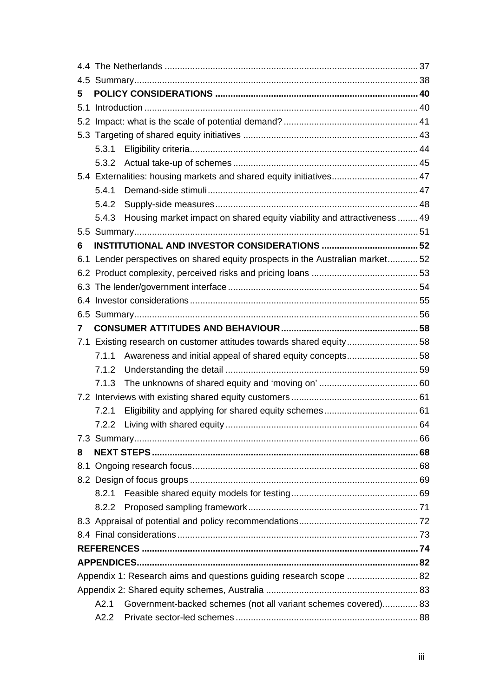| 5                                                                  |       |                                                                               |  |  |
|--------------------------------------------------------------------|-------|-------------------------------------------------------------------------------|--|--|
| 5.1                                                                |       |                                                                               |  |  |
|                                                                    |       |                                                                               |  |  |
|                                                                    |       |                                                                               |  |  |
|                                                                    | 5.3.1 |                                                                               |  |  |
|                                                                    |       |                                                                               |  |  |
|                                                                    |       | 5.4 Externalities: housing markets and shared equity initiatives 47           |  |  |
|                                                                    | 5.4.1 |                                                                               |  |  |
|                                                                    | 5.4.2 |                                                                               |  |  |
|                                                                    | 5.4.3 | Housing market impact on shared equity viability and attractiveness  49       |  |  |
|                                                                    |       |                                                                               |  |  |
| 6                                                                  |       |                                                                               |  |  |
|                                                                    |       | 6.1 Lender perspectives on shared equity prospects in the Australian market52 |  |  |
|                                                                    |       |                                                                               |  |  |
|                                                                    |       |                                                                               |  |  |
|                                                                    |       |                                                                               |  |  |
|                                                                    |       |                                                                               |  |  |
| 7                                                                  |       |                                                                               |  |  |
|                                                                    |       | 7.1 Existing research on customer attitudes towards shared equity58           |  |  |
|                                                                    | 7.1.1 | Awareness and initial appeal of shared equity concepts58                      |  |  |
|                                                                    | 7.1.2 |                                                                               |  |  |
|                                                                    | 7.1.3 |                                                                               |  |  |
|                                                                    |       |                                                                               |  |  |
|                                                                    | 7.2.1 |                                                                               |  |  |
|                                                                    | 7.2.2 |                                                                               |  |  |
|                                                                    |       |                                                                               |  |  |
| 8                                                                  |       |                                                                               |  |  |
|                                                                    |       |                                                                               |  |  |
|                                                                    |       |                                                                               |  |  |
|                                                                    | 8.2.1 |                                                                               |  |  |
|                                                                    |       |                                                                               |  |  |
|                                                                    |       |                                                                               |  |  |
|                                                                    |       |                                                                               |  |  |
|                                                                    |       |                                                                               |  |  |
|                                                                    |       |                                                                               |  |  |
| Appendix 1: Research aims and questions guiding research scope  82 |       |                                                                               |  |  |
|                                                                    |       |                                                                               |  |  |
|                                                                    | A2.1  | Government-backed schemes (not all variant schemes covered) 83                |  |  |
|                                                                    | A2.2  |                                                                               |  |  |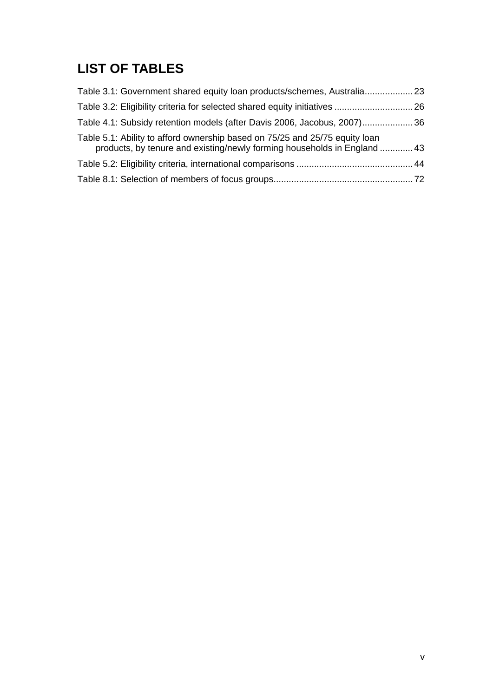# <span id="page-5-0"></span>**LIST OF TABLES**

| Table 3.1: Government shared equity loan products/schemes, Australia 23                                                                                 |  |
|---------------------------------------------------------------------------------------------------------------------------------------------------------|--|
| Table 3.2: Eligibility criteria for selected shared equity initiatives  26                                                                              |  |
| Table 4.1: Subsidy retention models (after Davis 2006, Jacobus, 2007)36                                                                                 |  |
| Table 5.1: Ability to afford ownership based on 75/25 and 25/75 equity loan<br>products, by tenure and existing/newly forming households in England  43 |  |
|                                                                                                                                                         |  |
|                                                                                                                                                         |  |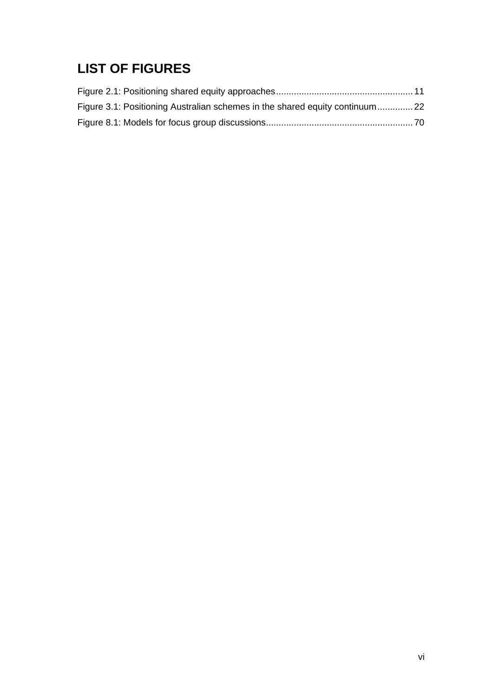# <span id="page-6-0"></span>**LIST OF FIGURES**

| Figure 3.1: Positioning Australian schemes in the shared equity continuum22 |  |
|-----------------------------------------------------------------------------|--|
|                                                                             |  |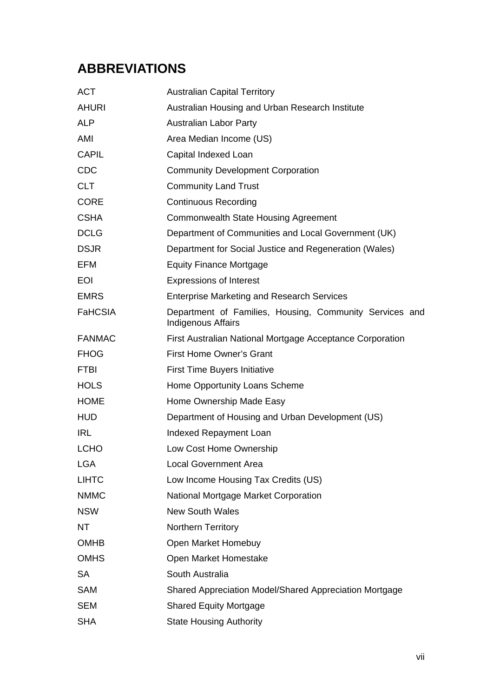# <span id="page-7-0"></span>**ABBREVIATIONS**

| <b>ACT</b>     | <b>Australian Capital Territory</b>                                                  |
|----------------|--------------------------------------------------------------------------------------|
| <b>AHURI</b>   | Australian Housing and Urban Research Institute                                      |
| <b>ALP</b>     | <b>Australian Labor Party</b>                                                        |
| AMI            | Area Median Income (US)                                                              |
| <b>CAPIL</b>   | Capital Indexed Loan                                                                 |
| <b>CDC</b>     | <b>Community Development Corporation</b>                                             |
| <b>CLT</b>     | <b>Community Land Trust</b>                                                          |
| <b>CORE</b>    | <b>Continuous Recording</b>                                                          |
| <b>CSHA</b>    | <b>Commonwealth State Housing Agreement</b>                                          |
| <b>DCLG</b>    | Department of Communities and Local Government (UK)                                  |
| <b>DSJR</b>    | Department for Social Justice and Regeneration (Wales)                               |
| <b>EFM</b>     | <b>Equity Finance Mortgage</b>                                                       |
| <b>EOI</b>     | <b>Expressions of Interest</b>                                                       |
| <b>EMRS</b>    | <b>Enterprise Marketing and Research Services</b>                                    |
| <b>FaHCSIA</b> | Department of Families, Housing, Community Services and<br><b>Indigenous Affairs</b> |
| <b>FANMAC</b>  | First Australian National Mortgage Acceptance Corporation                            |
| <b>FHOG</b>    | <b>First Home Owner's Grant</b>                                                      |
| <b>FTBI</b>    | <b>First Time Buyers Initiative</b>                                                  |
| <b>HOLS</b>    | Home Opportunity Loans Scheme                                                        |
| <b>HOME</b>    | Home Ownership Made Easy                                                             |
| <b>HUD</b>     | Department of Housing and Urban Development (US)                                     |
| <b>IRL</b>     | Indexed Repayment Loan                                                               |
| <b>LCHO</b>    | Low Cost Home Ownership                                                              |
| <b>LGA</b>     | <b>Local Government Area</b>                                                         |
| <b>LIHTC</b>   | Low Income Housing Tax Credits (US)                                                  |
| <b>NMMC</b>    | National Mortgage Market Corporation                                                 |
| <b>NSW</b>     | <b>New South Wales</b>                                                               |
| NT             | Northern Territory                                                                   |
| <b>OMHB</b>    | Open Market Homebuy                                                                  |
| <b>OMHS</b>    | Open Market Homestake                                                                |
| <b>SA</b>      | South Australia                                                                      |
| <b>SAM</b>     | Shared Appreciation Model/Shared Appreciation Mortgage                               |
| <b>SEM</b>     | <b>Shared Equity Mortgage</b>                                                        |
| <b>SHA</b>     | <b>State Housing Authority</b>                                                       |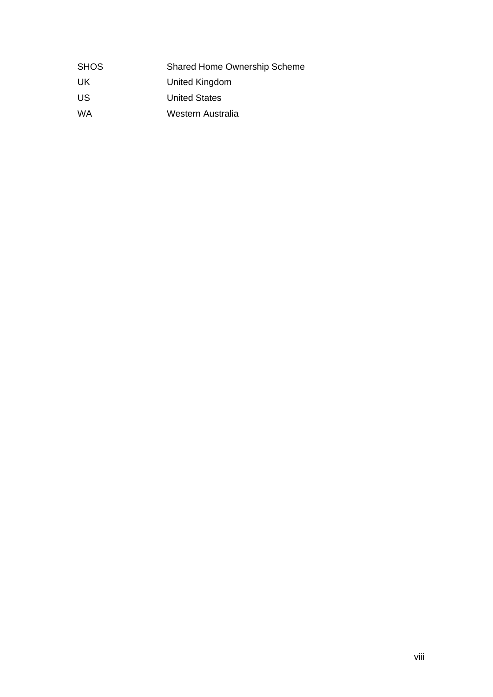| <b>SHOS</b> | <b>Shared Home Ownership Scheme</b> |
|-------------|-------------------------------------|
| UK          | United Kingdom                      |
| US          | <b>United States</b>                |
| WA          | Western Australia                   |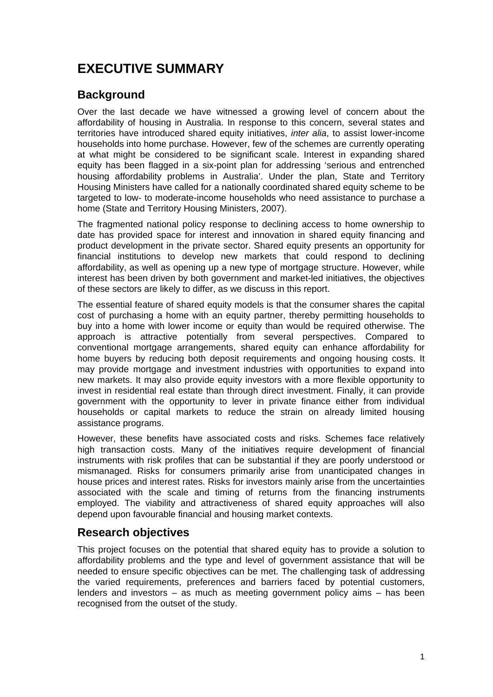# <span id="page-9-0"></span>**EXECUTIVE SUMMARY**

# **Background**

Over the last decade we have witnessed a growing level of concern about the affordability of housing in Australia. In response to this concern, several states and territories have introduced shared equity initiatives, *inter alia*, to assist lower-income households into home purchase. However, few of the schemes are currently operating at what might be considered to be significant scale. Interest in expanding shared equity has been flagged in a six-point plan for addressing 'serious and entrenched housing affordability problems in Australia'. Under the plan, State and Territory Housing Ministers have called for a nationally coordinated shared equity scheme to be targeted to low- to moderate-income households who need assistance to purchase a home (State and Territory Housing Ministers, 2007).

The fragmented national policy response to declining access to home ownership to date has provided space for interest and innovation in shared equity financing and product development in the private sector. Shared equity presents an opportunity for financial institutions to develop new markets that could respond to declining affordability, as well as opening up a new type of mortgage structure. However, while interest has been driven by both government and market-led initiatives, the objectives of these sectors are likely to differ, as we discuss in this report.

The essential feature of shared equity models is that the consumer shares the capital cost of purchasing a home with an equity partner, thereby permitting households to buy into a home with lower income or equity than would be required otherwise. The approach is attractive potentially from several perspectives. Compared to conventional mortgage arrangements, shared equity can enhance affordability for home buyers by reducing both deposit requirements and ongoing housing costs. It may provide mortgage and investment industries with opportunities to expand into new markets. It may also provide equity investors with a more flexible opportunity to invest in residential real estate than through direct investment. Finally, it can provide government with the opportunity to lever in private finance either from individual households or capital markets to reduce the strain on already limited housing assistance programs.

However, these benefits have associated costs and risks. Schemes face relatively high transaction costs. Many of the initiatives require development of financial instruments with risk profiles that can be substantial if they are poorly understood or mismanaged. Risks for consumers primarily arise from unanticipated changes in house prices and interest rates. Risks for investors mainly arise from the uncertainties associated with the scale and timing of returns from the financing instruments employed. The viability and attractiveness of shared equity approaches will also depend upon favourable financial and housing market contexts.

## **Research objectives**

This project focuses on the potential that shared equity has to provide a solution to affordability problems and the type and level of government assistance that will be needed to ensure specific objectives can be met. The challenging task of addressing the varied requirements, preferences and barriers faced by potential customers, lenders and investors – as much as meeting government policy aims – has been recognised from the outset of the study.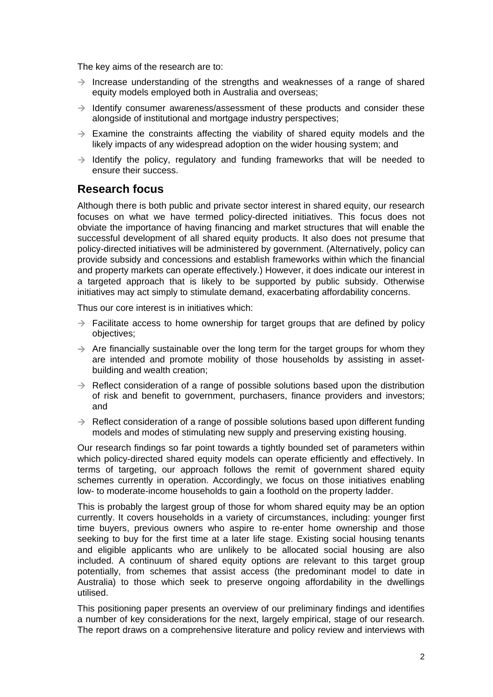The key aims of the research are to:

- $\rightarrow$  Increase understanding of the strengths and weaknesses of a range of shared equity models employed both in Australia and overseas;
- $\rightarrow$  Identify consumer awareness/assessment of these products and consider these alongside of institutional and mortgage industry perspectives;
- $\rightarrow$  Examine the constraints affecting the viability of shared equity models and the likely impacts of any widespread adoption on the wider housing system; and
- $\rightarrow$  Identify the policy, regulatory and funding frameworks that will be needed to ensure their success.

#### **Research focus**

Although there is both public and private sector interest in shared equity, our research focuses on what we have termed policy-directed initiatives. This focus does not obviate the importance of having financing and market structures that will enable the successful development of all shared equity products. It also does not presume that policy-directed initiatives will be administered by government. (Alternatively, policy can provide subsidy and concessions and establish frameworks within which the financial and property markets can operate effectively.) However, it does indicate our interest in a targeted approach that is likely to be supported by public subsidy. Otherwise initiatives may act simply to stimulate demand, exacerbating affordability concerns.

Thus our core interest is in initiatives which:

- $\rightarrow$  Facilitate access to home ownership for target groups that are defined by policy objectives;
- $\rightarrow$  Are financially sustainable over the long term for the target groups for whom they are intended and promote mobility of those households by assisting in assetbuilding and wealth creation;
- $\rightarrow$  Reflect consideration of a range of possible solutions based upon the distribution of risk and benefit to government, purchasers, finance providers and investors; and
- $\rightarrow$  Reflect consideration of a range of possible solutions based upon different funding models and modes of stimulating new supply and preserving existing housing.

Our research findings so far point towards a tightly bounded set of parameters within which policy-directed shared equity models can operate efficiently and effectively. In terms of targeting, our approach follows the remit of government shared equity schemes currently in operation. Accordingly, we focus on those initiatives enabling low- to moderate-income households to gain a foothold on the property ladder.

This is probably the largest group of those for whom shared equity may be an option currently. It covers households in a variety of circumstances, including: younger first time buyers, previous owners who aspire to re-enter home ownership and those seeking to buy for the first time at a later life stage. Existing social housing tenants and eligible applicants who are unlikely to be allocated social housing are also included. A continuum of shared equity options are relevant to this target group potentially, from schemes that assist access (the predominant model to date in Australia) to those which seek to preserve ongoing affordability in the dwellings utilised.

This positioning paper presents an overview of our preliminary findings and identifies a number of key considerations for the next, largely empirical, stage of our research. The report draws on a comprehensive literature and policy review and interviews with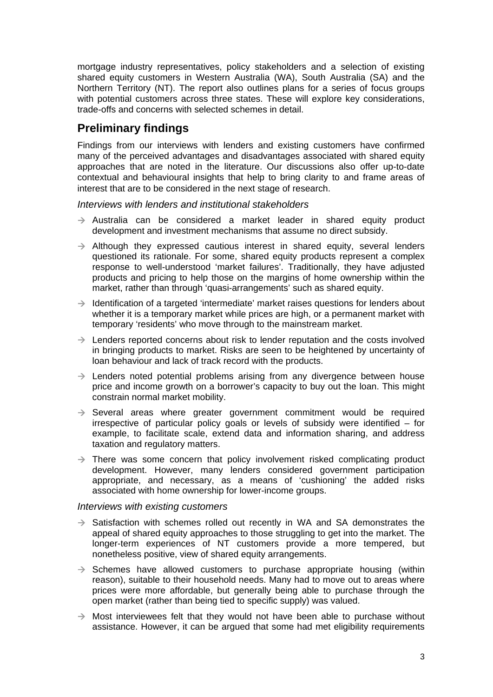mortgage industry representatives, policy stakeholders and a selection of existing shared equity customers in Western Australia (WA), South Australia (SA) and the Northern Territory (NT). The report also outlines plans for a series of focus groups with potential customers across three states. These will explore key considerations, trade-offs and concerns with selected schemes in detail.

# **Preliminary findings**

Findings from our interviews with lenders and existing customers have confirmed many of the perceived advantages and disadvantages associated with shared equity approaches that are noted in the literature. Our discussions also offer up-to-date contextual and behavioural insights that help to bring clarity to and frame areas of interest that are to be considered in the next stage of research.

*Interviews with lenders and institutional stakeholders* 

- $\rightarrow$  Australia can be considered a market leader in shared equity product development and investment mechanisms that assume no direct subsidy.
- $\rightarrow$  Although they expressed cautious interest in shared equity, several lenders questioned its rationale. For some, shared equity products represent a complex response to well-understood 'market failures'. Traditionally, they have adjusted products and pricing to help those on the margins of home ownership within the market, rather than through 'quasi-arrangements' such as shared equity.
- $\rightarrow$  Identification of a targeted 'intermediate' market raises questions for lenders about whether it is a temporary market while prices are high, or a permanent market with temporary 'residents' who move through to the mainstream market.
- $\rightarrow$  Lenders reported concerns about risk to lender reputation and the costs involved in bringing products to market. Risks are seen to be heightened by uncertainty of loan behaviour and lack of track record with the products.
- $\rightarrow$  Lenders noted potential problems arising from any divergence between house price and income growth on a borrower's capacity to buy out the loan. This might constrain normal market mobility.
- $\rightarrow$  Several areas where greater government commitment would be required irrespective of particular policy goals or levels of subsidy were identified – for example, to facilitate scale, extend data and information sharing, and address taxation and regulatory matters.
- $\rightarrow$  There was some concern that policy involvement risked complicating product development. However, many lenders considered government participation appropriate, and necessary, as a means of 'cushioning' the added risks associated with home ownership for lower-income groups.

#### *Interviews with existing customers*

- $\rightarrow$  Satisfaction with schemes rolled out recently in WA and SA demonstrates the appeal of shared equity approaches to those struggling to get into the market. The longer-term experiences of NT customers provide a more tempered, but nonetheless positive, view of shared equity arrangements.
- $\rightarrow$  Schemes have allowed customers to purchase appropriate housing (within reason), suitable to their household needs. Many had to move out to areas where prices were more affordable, but generally being able to purchase through the open market (rather than being tied to specific supply) was valued.
- $\rightarrow$  Most interviewees felt that they would not have been able to purchase without assistance. However, it can be argued that some had met eligibility requirements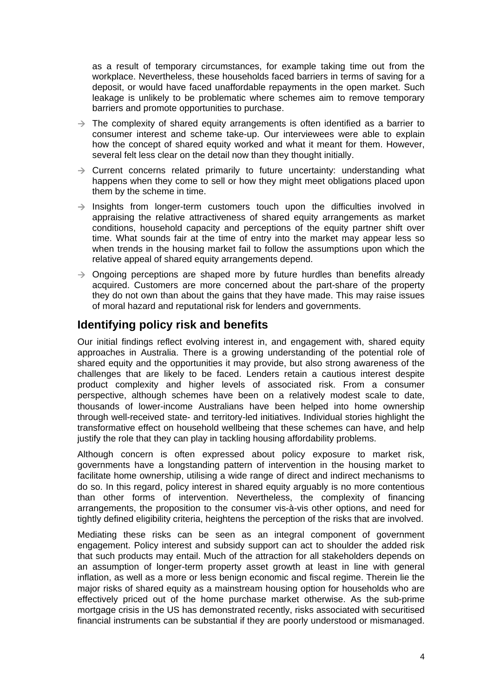as a result of temporary circumstances, for example taking time out from the workplace. Nevertheless, these households faced barriers in terms of saving for a deposit, or would have faced unaffordable repayments in the open market. Such leakage is unlikely to be problematic where schemes aim to remove temporary barriers and promote opportunities to purchase.

- $\rightarrow$  The complexity of shared equity arrangements is often identified as a barrier to consumer interest and scheme take-up. Our interviewees were able to explain how the concept of shared equity worked and what it meant for them. However, several felt less clear on the detail now than they thought initially.
- $\rightarrow$  Current concerns related primarily to future uncertainty: understanding what happens when they come to sell or how they might meet obligations placed upon them by the scheme in time.
- $\rightarrow$  Insights from longer-term customers touch upon the difficulties involved in appraising the relative attractiveness of shared equity arrangements as market conditions, household capacity and perceptions of the equity partner shift over time. What sounds fair at the time of entry into the market may appear less so when trends in the housing market fail to follow the assumptions upon which the relative appeal of shared equity arrangements depend.
- $\rightarrow$  Ongoing perceptions are shaped more by future hurdles than benefits already acquired. Customers are more concerned about the part-share of the property they do not own than about the gains that they have made. This may raise issues of moral hazard and reputational risk for lenders and governments.

## **Identifying policy risk and benefits**

Our initial findings reflect evolving interest in, and engagement with, shared equity approaches in Australia. There is a growing understanding of the potential role of shared equity and the opportunities it may provide, but also strong awareness of the challenges that are likely to be faced. Lenders retain a cautious interest despite product complexity and higher levels of associated risk. From a consumer perspective, although schemes have been on a relatively modest scale to date, thousands of lower-income Australians have been helped into home ownership through well-received state- and territory-led initiatives. Individual stories highlight the transformative effect on household wellbeing that these schemes can have, and help justify the role that they can play in tackling housing affordability problems.

Although concern is often expressed about policy exposure to market risk, governments have a longstanding pattern of intervention in the housing market to facilitate home ownership, utilising a wide range of direct and indirect mechanisms to do so. In this regard, policy interest in shared equity arguably is no more contentious than other forms of intervention. Nevertheless, the complexity of financing arrangements, the proposition to the consumer vis-à-vis other options, and need for tightly defined eligibility criteria, heightens the perception of the risks that are involved.

Mediating these risks can be seen as an integral component of government engagement. Policy interest and subsidy support can act to shoulder the added risk that such products may entail. Much of the attraction for all stakeholders depends on an assumption of longer-term property asset growth at least in line with general inflation, as well as a more or less benign economic and fiscal regime. Therein lie the major risks of shared equity as a mainstream housing option for households who are effectively priced out of the home purchase market otherwise. As the sub-prime mortgage crisis in the US has demonstrated recently, risks associated with securitised financial instruments can be substantial if they are poorly understood or mismanaged.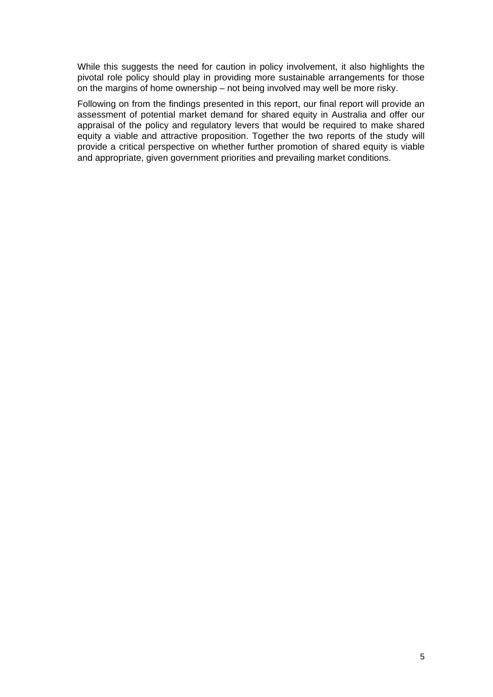While this suggests the need for caution in policy involvement, it also highlights the pivotal role policy should play in providing more sustainable arrangements for those on the margins of home ownership – not being involved may well be more risky.

Following on from the findings presented in this report, our final report will provide an assessment of potential market demand for shared equity in Australia and offer our appraisal of the policy and regulatory levers that would be required to make shared equity a viable and attractive proposition. Together the two reports of the study will provide a critical perspective on whether further promotion of shared equity is viable and appropriate, given government priorities and prevailing market conditions.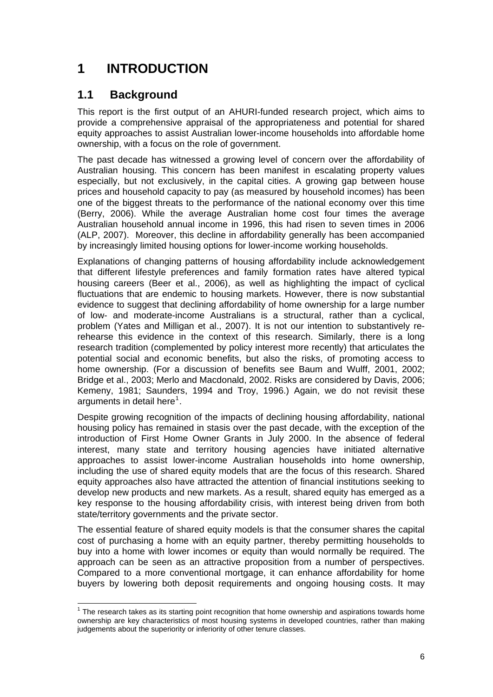# <span id="page-14-0"></span>**1 INTRODUCTION**

# **1.1 Background**

This report is the first output of an AHURI-funded research project, which aims to provide a comprehensive appraisal of the appropriateness and potential for shared equity approaches to assist Australian lower-income households into affordable home ownership, with a focus on the role of government.

The past decade has witnessed a growing level of concern over the affordability of Australian housing. This concern has been manifest in escalating property values especially, but not exclusively, in the capital cities. A growing gap between house prices and household capacity to pay (as measured by household incomes) has been one of the biggest threats to the performance of the national economy over this time (Berry, 2006). While the average Australian home cost four times the average Australian household annual income in 1996, this had risen to seven times in 2006 (ALP, 2007). Moreover, this decline in affordability generally has been accompanied by increasingly limited housing options for lower-income working households.

Explanations of changing patterns of housing affordability include acknowledgement that different lifestyle preferences and family formation rates have altered typical housing careers (Beer et al., 2006), as well as highlighting the impact of cyclical fluctuations that are endemic to housing markets. However, there is now substantial evidence to suggest that declining affordability of home ownership for a large number of low- and moderate-income Australians is a structural, rather than a cyclical, problem (Yates and Milligan et al., 2007). It is not our intention to substantively rerehearse this evidence in the context of this research. Similarly, there is a long research tradition (complemented by policy interest more recently) that articulates the potential social and economic benefits, but also the risks, of promoting access to home ownership. (For a discussion of benefits see Baum and Wulff, 2001, 2002; Bridge et al., 2003; Merlo and Macdonald, 2002. Risks are considered by Davis, 2006; Kemeny, 1981; Saunders, 1994 and Troy, 1996.) Again, we do not revisit these arguments in detail here<sup>[1](#page-14-1)</sup>.

Despite growing recognition of the impacts of declining housing affordability, national housing policy has remained in stasis over the past decade, with the exception of the introduction of First Home Owner Grants in July 2000. In the absence of federal interest, many state and territory housing agencies have initiated alternative approaches to assist lower-income Australian households into home ownership, including the use of shared equity models that are the focus of this research. Shared equity approaches also have attracted the attention of financial institutions seeking to develop new products and new markets. As a result, shared equity has emerged as a key response to the housing affordability crisis, with interest being driven from both state/territory governments and the private sector.

The essential feature of shared equity models is that the consumer shares the capital cost of purchasing a home with an equity partner, thereby permitting households to buy into a home with lower incomes or equity than would normally be required. The approach can be seen as an attractive proposition from a number of perspectives. Compared to a more conventional mortgage, it can enhance affordability for home buyers by lowering both deposit requirements and ongoing housing costs. It may

<span id="page-14-1"></span>THE RESECT THE RESECT THE RESECT THE RESECT THE RESECT THE THE RESECT THE THE RESECT THE THE THE THE THE THE T<br>The research takes as its starting point recognition that home ownership and aspirations towards home ownership are key characteristics of most housing systems in developed countries, rather than making judgements about the superiority or inferiority of other tenure classes.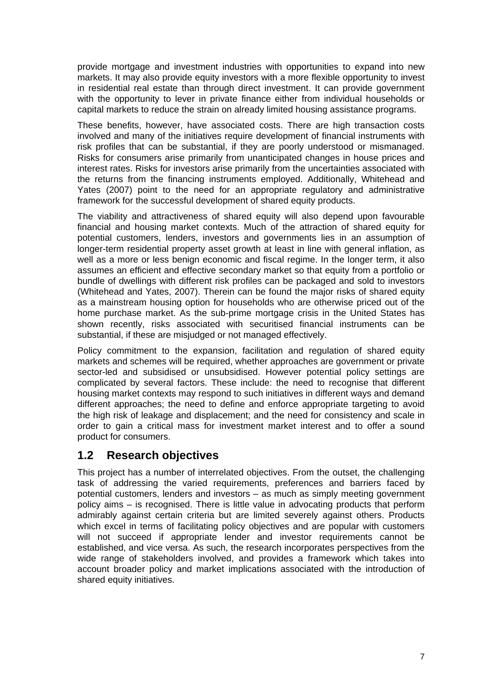<span id="page-15-0"></span>provide mortgage and investment industries with opportunities to expand into new markets. It may also provide equity investors with a more flexible opportunity to invest in residential real estate than through direct investment. It can provide government with the opportunity to lever in private finance either from individual households or capital markets to reduce the strain on already limited housing assistance programs.

These benefits, however, have associated costs. There are high transaction costs involved and many of the initiatives require development of financial instruments with risk profiles that can be substantial, if they are poorly understood or mismanaged. Risks for consumers arise primarily from unanticipated changes in house prices and interest rates. Risks for investors arise primarily from the uncertainties associated with the returns from the financing instruments employed. Additionally, Whitehead and Yates (2007) point to the need for an appropriate regulatory and administrative framework for the successful development of shared equity products.

The viability and attractiveness of shared equity will also depend upon favourable financial and housing market contexts. Much of the attraction of shared equity for potential customers, lenders, investors and governments lies in an assumption of longer-term residential property asset growth at least in line with general inflation, as well as a more or less benign economic and fiscal regime. In the longer term, it also assumes an efficient and effective secondary market so that equity from a portfolio or bundle of dwellings with different risk profiles can be packaged and sold to investors (Whitehead and Yates, 2007). Therein can be found the major risks of shared equity as a mainstream housing option for households who are otherwise priced out of the home purchase market. As the sub-prime mortgage crisis in the United States has shown recently, risks associated with securitised financial instruments can be substantial, if these are misjudged or not managed effectively.

Policy commitment to the expansion, facilitation and regulation of shared equity markets and schemes will be required, whether approaches are government or private sector-led and subsidised or unsubsidised. However potential policy settings are complicated by several factors. These include: the need to recognise that different housing market contexts may respond to such initiatives in different ways and demand different approaches; the need to define and enforce appropriate targeting to avoid the high risk of leakage and displacement; and the need for consistency and scale in order to gain a critical mass for investment market interest and to offer a sound product for consumers.

# **1.2 Research objectives**

This project has a number of interrelated objectives. From the outset, the challenging task of addressing the varied requirements, preferences and barriers faced by potential customers, lenders and investors – as much as simply meeting government policy aims – is recognised. There is little value in advocating products that perform admirably against certain criteria but are limited severely against others. Products which excel in terms of facilitating policy objectives and are popular with customers will not succeed if appropriate lender and investor requirements cannot be established, and vice versa. As such, the research incorporates perspectives from the wide range of stakeholders involved, and provides a framework which takes into account broader policy and market implications associated with the introduction of shared equity initiatives.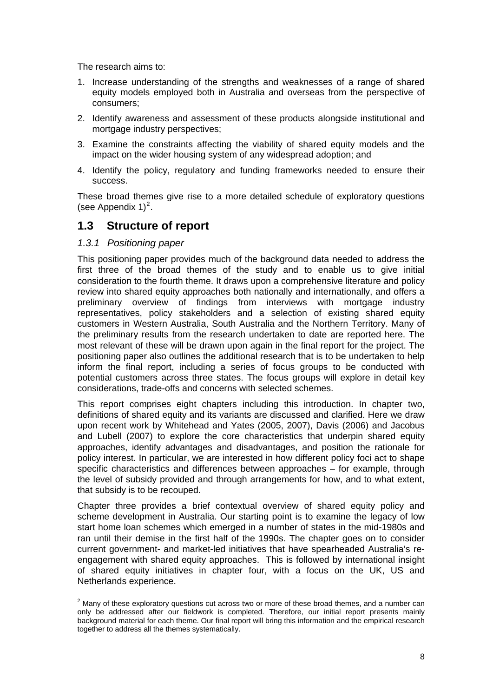<span id="page-16-0"></span>The research aims to:

- 1. Increase understanding of the strengths and weaknesses of a range of shared equity models employed both in Australia and overseas from the perspective of consumers;
- 2. Identify awareness and assessment of these products alongside institutional and mortgage industry perspectives;
- 3. Examine the constraints affecting the viability of shared equity models and the impact on the wider housing system of any widespread adoption; and
- 4. Identify the policy, regulatory and funding frameworks needed to ensure their success.

These broad themes give rise to a more detailed schedule of exploratory questions (see Appendix  $1)^2$  $1)^2$ .

## **1.3 Structure of report**

#### *1.3.1 Positioning paper*

This positioning paper provides much of the background data needed to address the first three of the broad themes of the study and to enable us to give initial consideration to the fourth theme. It draws upon a comprehensive literature and policy review into shared equity approaches both nationally and internationally, and offers a preliminary overview of findings from interviews with mortgage industry representatives, policy stakeholders and a selection of existing shared equity customers in Western Australia, South Australia and the Northern Territory. Many of the preliminary results from the research undertaken to date are reported here. The most relevant of these will be drawn upon again in the final report for the project. The positioning paper also outlines the additional research that is to be undertaken to help inform the final report, including a series of focus groups to be conducted with potential customers across three states. The focus groups will explore in detail key considerations, trade-offs and concerns with selected schemes.

This report comprises eight chapters including this introduction. In chapter two, definitions of shared equity and its variants are discussed and clarified. Here we draw upon recent work by Whitehead and Yates (2005, 2007), Davis (2006) and Jacobus and Lubell (2007) to explore the core characteristics that underpin shared equity approaches, identify advantages and disadvantages, and position the rationale for policy interest. In particular, we are interested in how different policy foci act to shape specific characteristics and differences between approaches – for example, through the level of subsidy provided and through arrangements for how, and to what extent, that subsidy is to be recouped.

Chapter three provides a brief contextual overview of shared equity policy and scheme development in Australia. Our starting point is to examine the legacy of low start home loan schemes which emerged in a number of states in the mid-1980s and ran until their demise in the first half of the 1990s. The chapter goes on to consider current government- and market-led initiatives that have spearheaded Australia's reengagement with shared equity approaches. This is followed by international insight of shared equity initiatives in chapter four, with a focus on the UK, US and Netherlands experience.

<span id="page-16-1"></span><sup>&</sup>lt;u>2</u><br><sup>2</sup> Many of these exploratory questions cut across two or more of these broad themes, and a number can only be addressed after our fieldwork is completed. Therefore, our initial report presents mainly background material for each theme. Our final report will bring this information and the empirical research together to address all the themes systematically.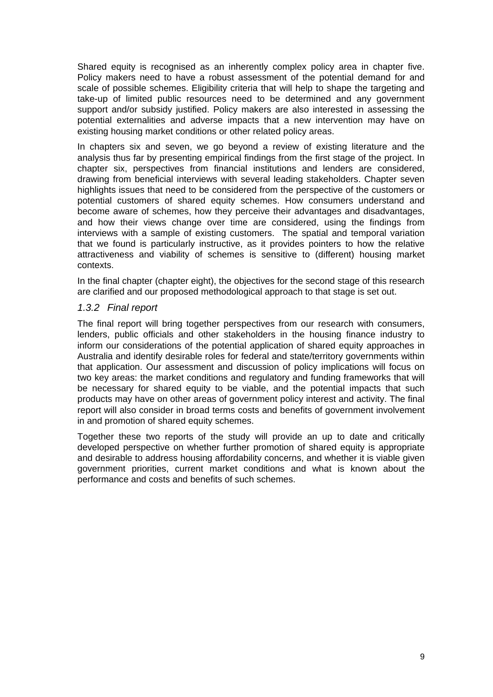<span id="page-17-0"></span>Shared equity is recognised as an inherently complex policy area in chapter five. Policy makers need to have a robust assessment of the potential demand for and scale of possible schemes. Eligibility criteria that will help to shape the targeting and take-up of limited public resources need to be determined and any government support and/or subsidy justified. Policy makers are also interested in assessing the potential externalities and adverse impacts that a new intervention may have on existing housing market conditions or other related policy areas.

In chapters six and seven, we go beyond a review of existing literature and the analysis thus far by presenting empirical findings from the first stage of the project. In chapter six, perspectives from financial institutions and lenders are considered, drawing from beneficial interviews with several leading stakeholders. Chapter seven highlights issues that need to be considered from the perspective of the customers or potential customers of shared equity schemes. How consumers understand and become aware of schemes, how they perceive their advantages and disadvantages, and how their views change over time are considered, using the findings from interviews with a sample of existing customers. The spatial and temporal variation that we found is particularly instructive, as it provides pointers to how the relative attractiveness and viability of schemes is sensitive to (different) housing market contexts.

In the final chapter (chapter eight), the objectives for the second stage of this research are clarified and our proposed methodological approach to that stage is set out.

#### *1.3.2 Final report*

The final report will bring together perspectives from our research with consumers, lenders, public officials and other stakeholders in the housing finance industry to inform our considerations of the potential application of shared equity approaches in Australia and identify desirable roles for federal and state/territory governments within that application. Our assessment and discussion of policy implications will focus on two key areas: the market conditions and regulatory and funding frameworks that will be necessary for shared equity to be viable, and the potential impacts that such products may have on other areas of government policy interest and activity. The final report will also consider in broad terms costs and benefits of government involvement in and promotion of shared equity schemes.

Together these two reports of the study will provide an up to date and critically developed perspective on whether further promotion of shared equity is appropriate and desirable to address housing affordability concerns, and whether it is viable given government priorities, current market conditions and what is known about the performance and costs and benefits of such schemes.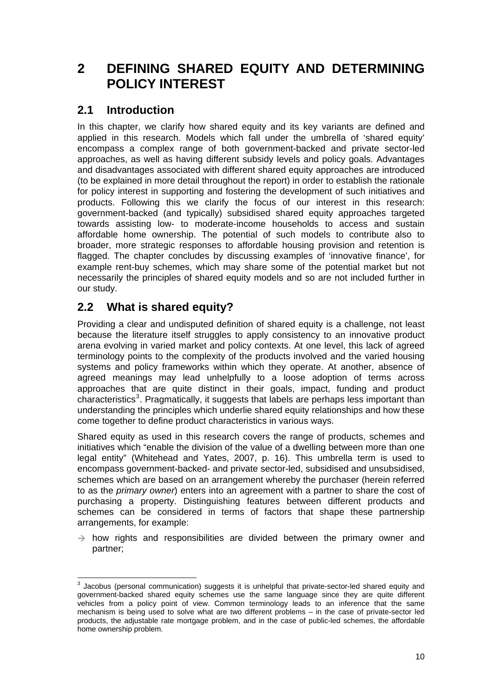# <span id="page-18-0"></span>**2 DEFINING SHARED EQUITY AND DETERMINING POLICY INTEREST**

# **2.1 Introduction**

In this chapter, we clarify how shared equity and its key variants are defined and applied in this research. Models which fall under the umbrella of 'shared equity' encompass a complex range of both government-backed and private sector-led approaches, as well as having different subsidy levels and policy goals. Advantages and disadvantages associated with different shared equity approaches are introduced (to be explained in more detail throughout the report) in order to establish the rationale for policy interest in supporting and fostering the development of such initiatives and products. Following this we clarify the focus of our interest in this research: government-backed (and typically) subsidised shared equity approaches targeted towards assisting low- to moderate-income households to access and sustain affordable home ownership. The potential of such models to contribute also to broader, more strategic responses to affordable housing provision and retention is flagged. The chapter concludes by discussing examples of 'innovative finance', for example rent-buy schemes, which may share some of the potential market but not necessarily the principles of shared equity models and so are not included further in our study.

# **2.2 What is shared equity?**

Providing a clear and undisputed definition of shared equity is a challenge, not least because the literature itself struggles to apply consistency to an innovative product arena evolving in varied market and policy contexts. At one level, this lack of agreed terminology points to the complexity of the products involved and the varied housing systems and policy frameworks within which they operate. At another, absence of agreed meanings may lead unhelpfully to a loose adoption of terms across approaches that are quite distinct in their goals, impact, funding and product characteristics<sup>[3](#page-18-1)</sup>. Pragmatically, it suggests that labels are perhaps less important than understanding the principles which underlie shared equity relationships and how these come together to define product characteristics in various ways.

Shared equity as used in this research covers the range of products, schemes and initiatives which "enable the division of the value of a dwelling between more than one legal entity" (Whitehead and Yates, 2007, p. 16). This umbrella term is used to encompass government-backed- and private sector-led, subsidised and unsubsidised, schemes which are based on an arrangement whereby the purchaser (herein referred to as the *primary owner*) enters into an agreement with a partner to share the cost of purchasing a property. Distinguishing features between different products and schemes can be considered in terms of factors that shape these partnership arrangements, for example:

 $\rightarrow$  how rights and responsibilities are divided between the primary owner and partner;

<span id="page-18-1"></span>**EXECTS 2012**<br><sup>3</sup> Jacobus (personal communication) suggests it is unhelpful that private-sector-led shared equity and government-backed shared equity schemes use the same language since they are quite different vehicles from a policy point of view. Common terminology leads to an inference that the same mechanism is being used to solve what are two different problems – in the case of private-sector led products, the adjustable rate mortgage problem, and in the case of public-led schemes, the affordable home ownership problem.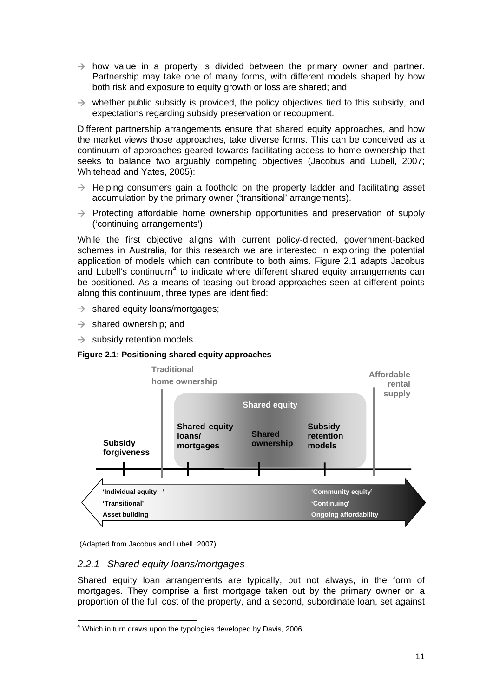- <span id="page-19-0"></span> $\rightarrow$  how value in a property is divided between the primary owner and partner. Partnership may take one of many forms, with different models shaped by how both risk and exposure to equity growth or loss are shared; and
- $\rightarrow$  whether public subsidy is provided, the policy objectives tied to this subsidy, and expectations regarding subsidy preservation or recoupment.

Different partnership arrangements ensure that shared equity approaches, and how the market views those approaches, take diverse forms. This can be conceived as a continuum of approaches geared towards facilitating access to home ownership that seeks to balance two arguably competing objectives (Jacobus and Lubell, 2007; Whitehead and Yates, 2005):

- $\rightarrow$  Helping consumers gain a foothold on the property ladder and facilitating asset accumulation by the primary owner ('transitional' arrangements).
- $\rightarrow$  Protecting affordable home ownership opportunities and preservation of supply ('continuing arrangements').

While the first objective aligns with current policy-directed, government-backed schemes in Australia, for this research we are interested in exploring the potential application of models which can contribute to both aims. Figure 2.1 adapts Jacobus and Lubell's continuum<sup>[4](#page-19-1)</sup> to indicate where different shared equity arrangements can be positioned. As a means of teasing out broad approaches seen at different points along this continuum, three types are identified:

- $\rightarrow$  shared equity loans/mortgages;
- $\rightarrow$  shared ownership; and
- $\rightarrow$  subsidy retention models.

#### **Figure 2.1: Positioning shared equity approaches**



(Adapted from Jacobus and Lubell, 2007)

#### *2.2.1 Shared equity loans/mortgages*

Shared equity loan arrangements are typically, but not always, in the form of mortgages. They comprise a first mortgage taken out by the primary owner on a proportion of the full cost of the property, and a second, subordinate loan, set against

<span id="page-19-1"></span>  $4$  Which in turn draws upon the typologies developed by Davis, 2006.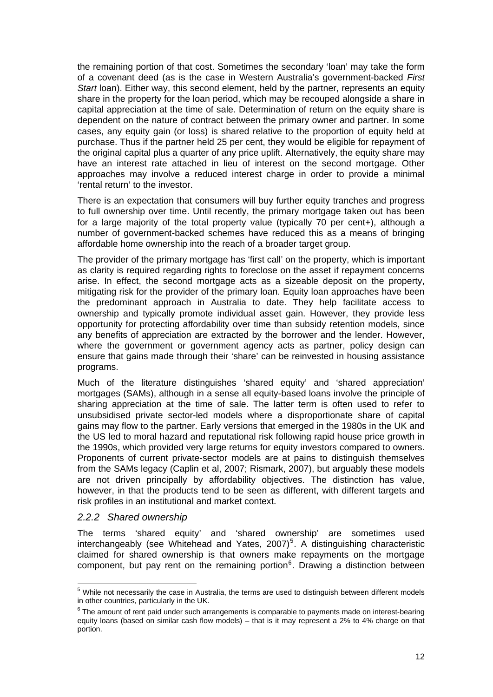<span id="page-20-0"></span>the remaining portion of that cost. Sometimes the secondary 'loan' may take the form of a covenant deed (as is the case in Western Australia's government-backed *First Start* loan). Either way, this second element, held by the partner, represents an equity share in the property for the loan period, which may be recouped alongside a share in capital appreciation at the time of sale. Determination of return on the equity share is dependent on the nature of contract between the primary owner and partner. In some cases, any equity gain (or loss) is shared relative to the proportion of equity held at purchase. Thus if the partner held 25 per cent, they would be eligible for repayment of the original capital plus a quarter of any price uplift. Alternatively, the equity share may have an interest rate attached in lieu of interest on the second mortgage. Other approaches may involve a reduced interest charge in order to provide a minimal 'rental return' to the investor.

There is an expectation that consumers will buy further equity tranches and progress to full ownership over time. Until recently, the primary mortgage taken out has been for a large majority of the total property value (typically 70 per cent+), although a number of government-backed schemes have reduced this as a means of bringing affordable home ownership into the reach of a broader target group.

The provider of the primary mortgage has 'first call' on the property, which is important as clarity is required regarding rights to foreclose on the asset if repayment concerns arise. In effect, the second mortgage acts as a sizeable deposit on the property, mitigating risk for the provider of the primary loan. Equity loan approaches have been the predominant approach in Australia to date. They help facilitate access to ownership and typically promote individual asset gain. However, they provide less opportunity for protecting affordability over time than subsidy retention models, since any benefits of appreciation are extracted by the borrower and the lender. However, where the government or government agency acts as partner, policy design can ensure that gains made through their 'share' can be reinvested in housing assistance programs.

Much of the literature distinguishes 'shared equity' and 'shared appreciation' mortgages (SAMs), although in a sense all equity-based loans involve the principle of sharing appreciation at the time of sale. The latter term is often used to refer to unsubsidised private sector-led models where a disproportionate share of capital gains may flow to the partner. Early versions that emerged in the 1980s in the UK and the US led to moral hazard and reputational risk following rapid house price growth in the 1990s, which provided very large returns for equity investors compared to owners. Proponents of current private-sector models are at pains to distinguish themselves from the SAMs legacy (Caplin et al, 2007; Rismark, 2007), but arguably these models are not driven principally by affordability objectives. The distinction has value, however, in that the products tend to be seen as different, with different targets and risk profiles in an institutional and market context.

#### *2.2.2 Shared ownership*

The terms 'shared equity' and 'shared ownership' are sometimes used interchangeably (see Whitehead and Yates,  $2007$ <sup>[5](#page-20-1)</sup>. A distinguishing characteristic claimed for shared ownership is that owners make repayments on the mortgage component, but pay rent on the remaining portion $6$ . Drawing a distinction between

<span id="page-20-1"></span><sup>&</sup>lt;u>Fand the notine consect the case in Australia</u>, the terms are used to distinguish between different models between the case in Australia, the terms are used to distinguish between different models in other countries, particularly in the UK.

<span id="page-20-2"></span> $6$  The amount of rent paid under such arrangements is comparable to payments made on interest-bearing equity loans (based on similar cash flow models) – that is it may represent a 2% to 4% charge on that portion.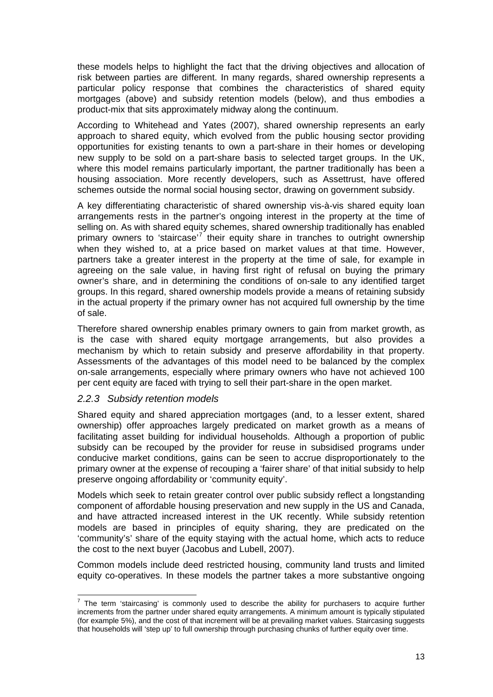<span id="page-21-0"></span>these models helps to highlight the fact that the driving objectives and allocation of risk between parties are different. In many regards, shared ownership represents a particular policy response that combines the characteristics of shared equity mortgages (above) and subsidy retention models (below), and thus embodies a product-mix that sits approximately midway along the continuum.

According to Whitehead and Yates (2007), shared ownership represents an early approach to shared equity, which evolved from the public housing sector providing opportunities for existing tenants to own a part-share in their homes or developing new supply to be sold on a part-share basis to selected target groups. In the UK, where this model remains particularly important, the partner traditionally has been a housing association. More recently developers, such as Assettrust, have offered schemes outside the normal social housing sector, drawing on government subsidy.

A key differentiating characteristic of shared ownership vis-à-vis shared equity loan arrangements rests in the partner's ongoing interest in the property at the time of selling on. As with shared equity schemes, shared ownership traditionally has enabled primary owners to 'staircase'<sup>[7](#page-21-1)</sup> their equity share in tranches to outright ownership when they wished to, at a price based on market values at that time. However, partners take a greater interest in the property at the time of sale, for example in agreeing on the sale value, in having first right of refusal on buying the primary owner's share, and in determining the conditions of on-sale to any identified target groups. In this regard, shared ownership models provide a means of retaining subsidy in the actual property if the primary owner has not acquired full ownership by the time of sale.

Therefore shared ownership enables primary owners to gain from market growth, as is the case with shared equity mortgage arrangements, but also provides a mechanism by which to retain subsidy and preserve affordability in that property. Assessments of the advantages of this model need to be balanced by the complex on-sale arrangements, especially where primary owners who have not achieved 100 per cent equity are faced with trying to sell their part-share in the open market.

#### *2.2.3 Subsidy retention models*

Shared equity and shared appreciation mortgages (and, to a lesser extent, shared ownership) offer approaches largely predicated on market growth as a means of facilitating asset building for individual households. Although a proportion of public subsidy can be recouped by the provider for reuse in subsidised programs under conducive market conditions, gains can be seen to accrue disproportionately to the primary owner at the expense of recouping a 'fairer share' of that initial subsidy to help preserve ongoing affordability or 'community equity'.

Models which seek to retain greater control over public subsidy reflect a longstanding component of affordable housing preservation and new supply in the US and Canada, and have attracted increased interest in the UK recently. While subsidy retention models are based in principles of equity sharing, they are predicated on the 'community's' share of the equity staying with the actual home, which acts to reduce the cost to the next buyer (Jacobus and Lubell, 2007).

Common models include deed restricted housing, community land trusts and limited equity co-operatives. In these models the partner takes a more substantive ongoing

<span id="page-21-1"></span>The term 'staircasing' is commonly used to describe the ability for purchasers to acquire further increments from the partner under shared equity arrangements. A minimum amount is typically stipulated (for example 5%), and the cost of that increment will be at prevailing market values. Staircasing suggests that households will 'step up' to full ownership through purchasing chunks of further equity over time.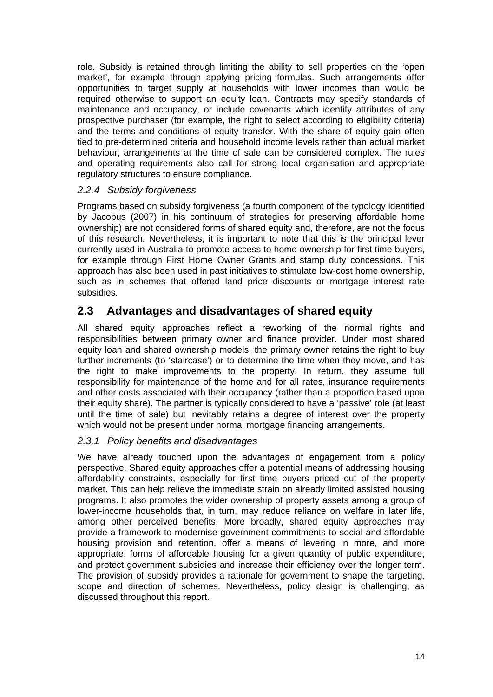<span id="page-22-0"></span>role. Subsidy is retained through limiting the ability to sell properties on the 'open market', for example through applying pricing formulas. Such arrangements offer opportunities to target supply at households with lower incomes than would be required otherwise to support an equity loan. Contracts may specify standards of maintenance and occupancy, or include covenants which identify attributes of any prospective purchaser (for example, the right to select according to eligibility criteria) and the terms and conditions of equity transfer. With the share of equity gain often tied to pre-determined criteria and household income levels rather than actual market behaviour, arrangements at the time of sale can be considered complex. The rules and operating requirements also call for strong local organisation and appropriate regulatory structures to ensure compliance.

#### *2.2.4 Subsidy forgiveness*

Programs based on subsidy forgiveness (a fourth component of the typology identified by Jacobus (2007) in his continuum of strategies for preserving affordable home ownership) are not considered forms of shared equity and, therefore, are not the focus of this research. Nevertheless, it is important to note that this is the principal lever currently used in Australia to promote access to home ownership for first time buyers, for example through First Home Owner Grants and stamp duty concessions. This approach has also been used in past initiatives to stimulate low-cost home ownership, such as in schemes that offered land price discounts or mortgage interest rate subsidies.

# **2.3 Advantages and disadvantages of shared equity**

All shared equity approaches reflect a reworking of the normal rights and responsibilities between primary owner and finance provider. Under most shared equity loan and shared ownership models, the primary owner retains the right to buy further increments (to 'staircase') or to determine the time when they move, and has the right to make improvements to the property. In return, they assume full responsibility for maintenance of the home and for all rates, insurance requirements and other costs associated with their occupancy (rather than a proportion based upon their equity share). The partner is typically considered to have a 'passive' role (at least until the time of sale) but inevitably retains a degree of interest over the property which would not be present under normal mortgage financing arrangements.

### *2.3.1 Policy benefits and disadvantages*

We have already touched upon the advantages of engagement from a policy perspective. Shared equity approaches offer a potential means of addressing housing affordability constraints, especially for first time buyers priced out of the property market. This can help relieve the immediate strain on already limited assisted housing programs. It also promotes the wider ownership of property assets among a group of lower-income households that, in turn, may reduce reliance on welfare in later life, among other perceived benefits. More broadly, shared equity approaches may provide a framework to modernise government commitments to social and affordable housing provision and retention, offer a means of levering in more, and more appropriate, forms of affordable housing for a given quantity of public expenditure, and protect government subsidies and increase their efficiency over the longer term. The provision of subsidy provides a rationale for government to shape the targeting, scope and direction of schemes. Nevertheless, policy design is challenging, as discussed throughout this report.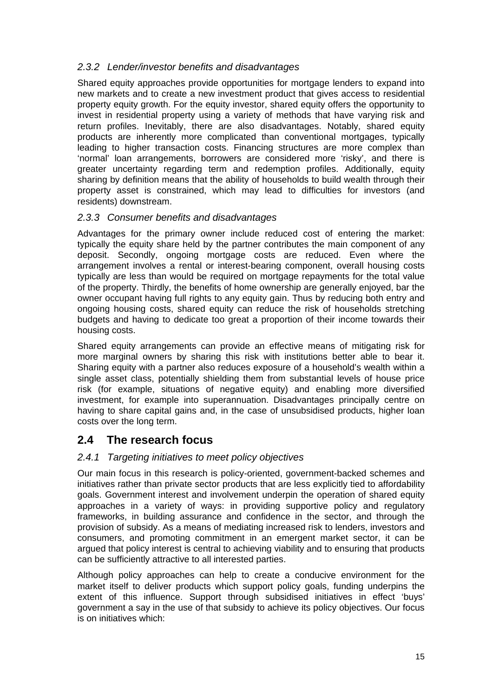#### <span id="page-23-0"></span>*2.3.2 Lender/investor benefits and disadvantages*

Shared equity approaches provide opportunities for mortgage lenders to expand into new markets and to create a new investment product that gives access to residential property equity growth. For the equity investor, shared equity offers the opportunity to invest in residential property using a variety of methods that have varying risk and return profiles. Inevitably, there are also disadvantages. Notably, shared equity products are inherently more complicated than conventional mortgages, typically leading to higher transaction costs. Financing structures are more complex than 'normal' loan arrangements, borrowers are considered more 'risky', and there is greater uncertainty regarding term and redemption profiles. Additionally, equity sharing by definition means that the ability of households to build wealth through their property asset is constrained, which may lead to difficulties for investors (and residents) downstream.

#### *2.3.3 Consumer benefits and disadvantages*

Advantages for the primary owner include reduced cost of entering the market: typically the equity share held by the partner contributes the main component of any deposit. Secondly, ongoing mortgage costs are reduced. Even where the arrangement involves a rental or interest-bearing component, overall housing costs typically are less than would be required on mortgage repayments for the total value of the property. Thirdly, the benefits of home ownership are generally enjoyed, bar the owner occupant having full rights to any equity gain. Thus by reducing both entry and ongoing housing costs, shared equity can reduce the risk of households stretching budgets and having to dedicate too great a proportion of their income towards their housing costs.

Shared equity arrangements can provide an effective means of mitigating risk for more marginal owners by sharing this risk with institutions better able to bear it. Sharing equity with a partner also reduces exposure of a household's wealth within a single asset class, potentially shielding them from substantial levels of house price risk (for example, situations of negative equity) and enabling more diversified investment, for example into superannuation. Disadvantages principally centre on having to share capital gains and, in the case of unsubsidised products, higher loan costs over the long term.

## **2.4 The research focus**

#### *2.4.1 Targeting initiatives to meet policy objectives*

Our main focus in this research is policy-oriented, government-backed schemes and initiatives rather than private sector products that are less explicitly tied to affordability goals. Government interest and involvement underpin the operation of shared equity approaches in a variety of ways: in providing supportive policy and regulatory frameworks, in building assurance and confidence in the sector, and through the provision of subsidy. As a means of mediating increased risk to lenders, investors and consumers, and promoting commitment in an emergent market sector, it can be argued that policy interest is central to achieving viability and to ensuring that products can be sufficiently attractive to all interested parties.

Although policy approaches can help to create a conducive environment for the market itself to deliver products which support policy goals, funding underpins the extent of this influence. Support through subsidised initiatives in effect 'buys' government a say in the use of that subsidy to achieve its policy objectives. Our focus is on initiatives which: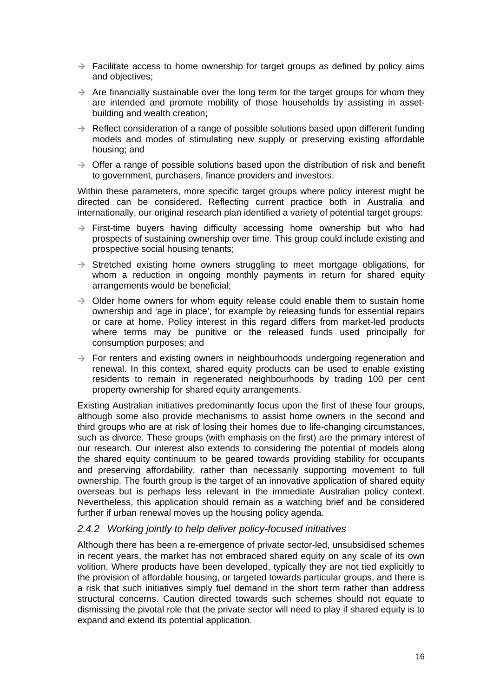- <span id="page-24-0"></span> $\rightarrow$  Facilitate access to home ownership for target groups as defined by policy aims and objectives;
- $\rightarrow$  Are financially sustainable over the long term for the target groups for whom they are intended and promote mobility of those households by assisting in assetbuilding and wealth creation;
- $\rightarrow$  Reflect consideration of a range of possible solutions based upon different funding models and modes of stimulating new supply or preserving existing affordable housing; and
- $\rightarrow$  Offer a range of possible solutions based upon the distribution of risk and benefit to government, purchasers, finance providers and investors.

Within these parameters, more specific target groups where policy interest might be directed can be considered. Reflecting current practice both in Australia and internationally, our original research plan identified a variety of potential target groups:

- $\rightarrow$  First-time buyers having difficulty accessing home ownership but who had prospects of sustaining ownership over time. This group could include existing and prospective social housing tenants;
- $\rightarrow$  Stretched existing home owners struggling to meet mortgage obligations, for whom a reduction in ongoing monthly payments in return for shared equity arrangements would be beneficial;
- $\rightarrow$  Older home owners for whom equity release could enable them to sustain home ownership and 'age in place', for example by releasing funds for essential repairs or care at home. Policy interest in this regard differs from market-led products where terms may be punitive or the released funds used principally for consumption purposes; and
- $\rightarrow$  For renters and existing owners in neighbourhoods undergoing regeneration and renewal. In this context, shared equity products can be used to enable existing residents to remain in regenerated neighbourhoods by trading 100 per cent property ownership for shared equity arrangements.

Existing Australian initiatives predominantly focus upon the first of these four groups, although some also provide mechanisms to assist home owners in the second and third groups who are at risk of losing their homes due to life-changing circumstances, such as divorce. These groups (with emphasis on the first) are the primary interest of our research. Our interest also extends to considering the potential of models along the shared equity continuum to be geared towards providing stability for occupants and preserving affordability, rather than necessarily supporting movement to full ownership. The fourth group is the target of an innovative application of shared equity overseas but is perhaps less relevant in the immediate Australian policy context. Nevertheless, this application should remain as a watching brief and be considered further if urban renewal moves up the housing policy agenda.

#### *2.4.2 Working jointly to help deliver policy-focused initiatives*

Although there has been a re-emergence of private sector-led, unsubsidised schemes in recent years, the market has not embraced shared equity on any scale of its own volition. Where products have been developed, typically they are not tied explicitly to the provision of affordable housing, or targeted towards particular groups, and there is a risk that such initiatives simply fuel demand in the short term rather than address structural concerns. Caution directed towards such schemes should not equate to dismissing the pivotal role that the private sector will need to play if shared equity is to expand and extend its potential application.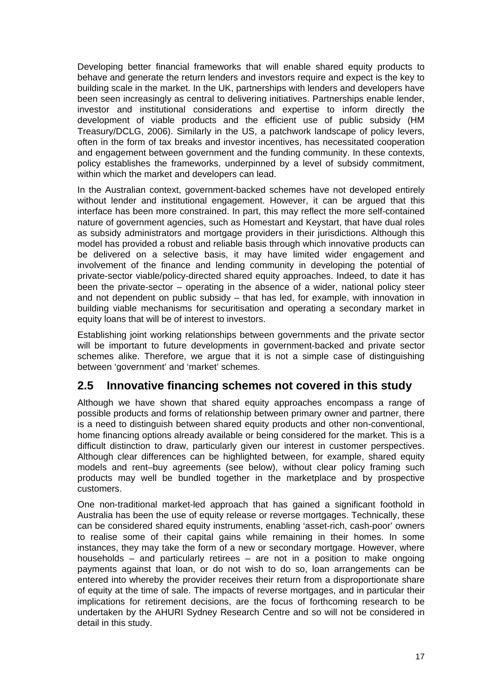<span id="page-25-0"></span>Developing better financial frameworks that will enable shared equity products to behave and generate the return lenders and investors require and expect is the key to building scale in the market. In the UK, partnerships with lenders and developers have been seen increasingly as central to delivering initiatives. Partnerships enable lender, investor and institutional considerations and expertise to inform directly the development of viable products and the efficient use of public subsidy (HM Treasury/DCLG, 2006). Similarly in the US, a patchwork landscape of policy levers, often in the form of tax breaks and investor incentives, has necessitated cooperation and engagement between government and the funding community. In these contexts, policy establishes the frameworks, underpinned by a level of subsidy commitment, within which the market and developers can lead.

In the Australian context, government-backed schemes have not developed entirely without lender and institutional engagement. However, it can be argued that this interface has been more constrained. In part, this may reflect the more self-contained nature of government agencies, such as Homestart and Keystart, that have dual roles as subsidy administrators and mortgage providers in their jurisdictions. Although this model has provided a robust and reliable basis through which innovative products can be delivered on a selective basis, it may have limited wider engagement and involvement of the finance and lending community in developing the potential of private-sector viable/policy-directed shared equity approaches. Indeed, to date it has been the private-sector – operating in the absence of a wider, national policy steer and not dependent on public subsidy – that has led, for example, with innovation in building viable mechanisms for securitisation and operating a secondary market in equity loans that will be of interest to investors.

Establishing joint working relationships between governments and the private sector will be important to future developments in government-backed and private sector schemes alike. Therefore, we argue that it is not a simple case of distinguishing between 'government' and 'market' schemes.

# **2.5 Innovative financing schemes not covered in this study**

Although we have shown that shared equity approaches encompass a range of possible products and forms of relationship between primary owner and partner, there is a need to distinguish between shared equity products and other non-conventional, home financing options already available or being considered for the market. This is a difficult distinction to draw, particularly given our interest in customer perspectives. Although clear differences can be highlighted between, for example, shared equity models and rent–buy agreements (see below), without clear policy framing such products may well be bundled together in the marketplace and by prospective customers.

One non-traditional market-led approach that has gained a significant foothold in Australia has been the use of equity release or reverse mortgages. Technically, these can be considered shared equity instruments, enabling 'asset-rich, cash-poor' owners to realise some of their capital gains while remaining in their homes. In some instances, they may take the form of a new or secondary mortgage. However, where households – and particularly retirees – are not in a position to make ongoing payments against that loan, or do not wish to do so, loan arrangements can be entered into whereby the provider receives their return from a disproportionate share of equity at the time of sale. The impacts of reverse mortgages, and in particular their implications for retirement decisions, are the focus of forthcoming research to be undertaken by the AHURI Sydney Research Centre and so will not be considered in detail in this study.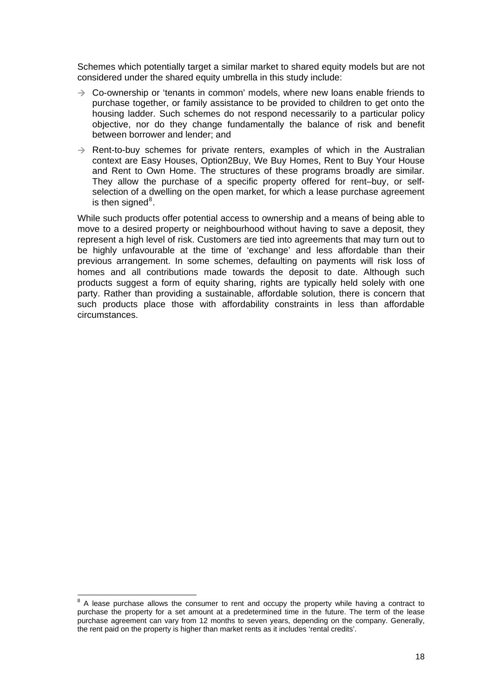Schemes which potentially target a similar market to shared equity models but are not considered under the shared equity umbrella in this study include:

- $\rightarrow$  Co-ownership or 'tenants in common' models, where new loans enable friends to purchase together, or family assistance to be provided to children to get onto the housing ladder. Such schemes do not respond necessarily to a particular policy objective, nor do they change fundamentally the balance of risk and benefit between borrower and lender; and
- $\rightarrow$  Rent-to-buy schemes for private renters, examples of which in the Australian context are Easy Houses, Option2Buy, We Buy Homes, Rent to Buy Your House and Rent to Own Home. The structures of these programs broadly are similar. They allow the purchase of a specific property offered for rent–buy, or selfselection of a dwelling on the open market, for which a lease purchase agreement is then signed $^8$  $^8$ .

While such products offer potential access to ownership and a means of being able to move to a desired property or neighbourhood without having to save a deposit, they represent a high level of risk. Customers are tied into agreements that may turn out to be highly unfavourable at the time of 'exchange' and less affordable than their previous arrangement. In some schemes, defaulting on payments will risk loss of homes and all contributions made towards the deposit to date. Although such products suggest a form of equity sharing, rights are typically held solely with one party. Rather than providing a sustainable, affordable solution, there is concern that such products place those with affordability constraints in less than affordable circumstances.

<span id="page-26-0"></span><sup>&</sup>lt;sup>8</sup> A lease purchase allows the consumer to rent and occupy the property while having a contract to purchase the property for a set amount at a predetermined time in the future. The term of the lease purchase agreement can vary from 12 months to seven years, depending on the company. Generally, the rent paid on the property is higher than market rents as it includes 'rental credits'.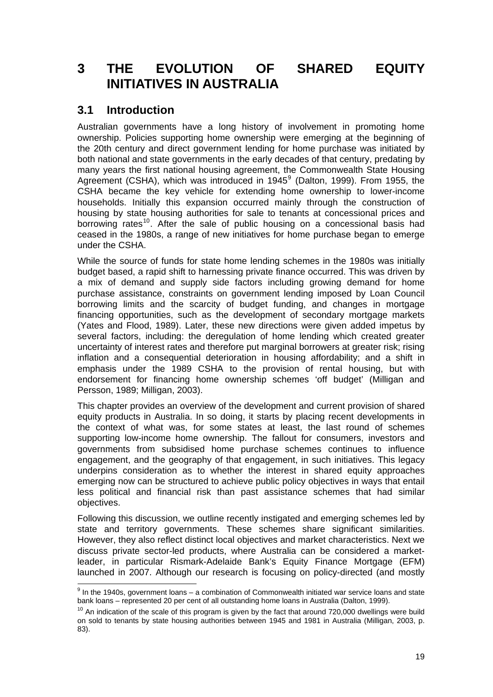# <span id="page-27-0"></span>**3 THE EVOLUTION OF SHARED EQUITY INITIATIVES IN AUSTRALIA**

## **3.1 Introduction**

 $\overline{\phantom{a}}$ 

Australian governments have a long history of involvement in promoting home ownership. Policies supporting home ownership were emerging at the beginning of the 20th century and direct government lending for home purchase was initiated by both national and state governments in the early decades of that century, predating by many years the first national housing agreement, the Commonwealth State Housing Agreement (CSHA), which was introduced in 1[9](#page-27-1)45 $^9$  (Dalton, 1999). From 1955, the CSHA became the key vehicle for extending home ownership to lower-income households. Initially this expansion occurred mainly through the construction of housing by state housing authorities for sale to tenants at concessional prices and borrowing rates<sup>[10](#page-27-2)</sup>. After the sale of public housing on a concessional basis had ceased in the 1980s, a range of new initiatives for home purchase began to emerge under the CSHA.

While the source of funds for state home lending schemes in the 1980s was initially budget based, a rapid shift to harnessing private finance occurred. This was driven by a mix of demand and supply side factors including growing demand for home purchase assistance, constraints on government lending imposed by Loan Council borrowing limits and the scarcity of budget funding, and changes in mortgage financing opportunities, such as the development of secondary mortgage markets (Yates and Flood, 1989). Later, these new directions were given added impetus by several factors, including: the deregulation of home lending which created greater uncertainty of interest rates and therefore put marginal borrowers at greater risk; rising inflation and a consequential deterioration in housing affordability; and a shift in emphasis under the 1989 CSHA to the provision of rental housing, but with endorsement for financing home ownership schemes 'off budget' (Milligan and Persson, 1989; Milligan, 2003).

This chapter provides an overview of the development and current provision of shared equity products in Australia. In so doing, it starts by placing recent developments in the context of what was, for some states at least, the last round of schemes supporting low-income home ownership. The fallout for consumers, investors and governments from subsidised home purchase schemes continues to influence engagement, and the geography of that engagement, in such initiatives. This legacy underpins consideration as to whether the interest in shared equity approaches emerging now can be structured to achieve public policy objectives in ways that entail less political and financial risk than past assistance schemes that had similar objectives.

Following this discussion, we outline recently instigated and emerging schemes led by state and territory governments. These schemes share significant similarities. However, they also reflect distinct local objectives and market characteristics. Next we discuss private sector-led products, where Australia can be considered a marketleader, in particular Rismark-Adelaide Bank's Equity Finance Mortgage (EFM) launched in 2007. Although our research is focusing on policy-directed (and mostly

<span id="page-27-1"></span> $9$  In the 1940s, government loans – a combination of Commonwealth initiated war service loans and state bank loans – represented 20 per cent of all outstanding home loans in Australia (Dalton, 1999).

<span id="page-27-2"></span> $10$  An indication of the scale of this program is given by the fact that around 720,000 dwellings were build on sold to tenants by state housing authorities between 1945 and 1981 in Australia (Milligan, 2003, p. 83).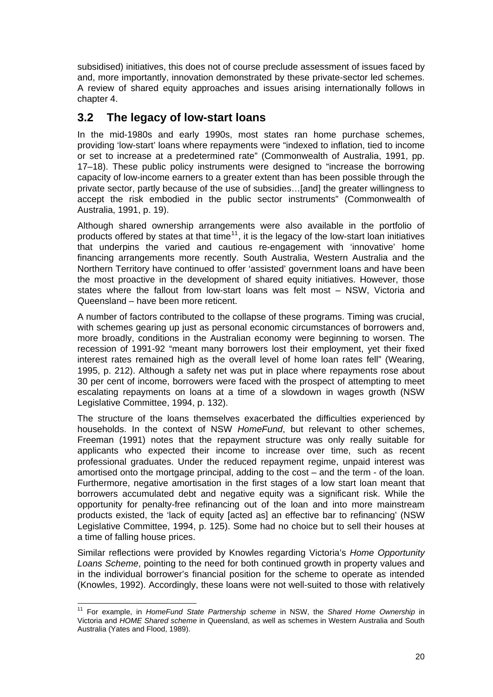<span id="page-28-0"></span>subsidised) initiatives, this does not of course preclude assessment of issues faced by and, more importantly, innovation demonstrated by these private-sector led schemes. A review of shared equity approaches and issues arising internationally follows in chapter 4.

## **3.2 The legacy of low-start loans**

In the mid-1980s and early 1990s, most states ran home purchase schemes, providing 'low-start' loans where repayments were "indexed to inflation, tied to income or set to increase at a predetermined rate" (Commonwealth of Australia, 1991, pp. 17–18). These public policy instruments were designed to "increase the borrowing capacity of low-income earners to a greater extent than has been possible through the private sector, partly because of the use of subsidies…[and] the greater willingness to accept the risk embodied in the public sector instruments" (Commonwealth of Australia, 1991, p. 19).

Although shared ownership arrangements were also available in the portfolio of products offered by states at that time $11$ , it is the legacy of the low-start loan initiatives that underpins the varied and cautious re-engagement with 'innovative' home financing arrangements more recently. South Australia, Western Australia and the Northern Territory have continued to offer 'assisted' government loans and have been the most proactive in the development of shared equity initiatives. However, those states where the fallout from low-start loans was felt most – NSW, Victoria and Queensland – have been more reticent.

A number of factors contributed to the collapse of these programs. Timing was crucial, with schemes gearing up just as personal economic circumstances of borrowers and, more broadly, conditions in the Australian economy were beginning to worsen. The recession of 1991-92 "meant many borrowers lost their employment, yet their fixed interest rates remained high as the overall level of home loan rates fell" (Wearing, 1995, p. 212). Although a safety net was put in place where repayments rose about 30 per cent of income, borrowers were faced with the prospect of attempting to meet escalating repayments on loans at a time of a slowdown in wages growth (NSW Legislative Committee, 1994, p. 132).

The structure of the loans themselves exacerbated the difficulties experienced by households. In the context of NSW *HomeFund*, but relevant to other schemes, Freeman (1991) notes that the repayment structure was only really suitable for applicants who expected their income to increase over time, such as recent professional graduates. Under the reduced repayment regime, unpaid interest was amortised onto the mortgage principal, adding to the cost – and the term - of the loan. Furthermore, negative amortisation in the first stages of a low start loan meant that borrowers accumulated debt and negative equity was a significant risk. While the opportunity for penalty-free refinancing out of the loan and into more mainstream products existed, the 'lack of equity [acted as] an effective bar to refinancing' (NSW Legislative Committee, 1994, p. 125). Some had no choice but to sell their houses at a time of falling house prices.

Similar reflections were provided by Knowles regarding Victoria's *Home Opportunity Loans Scheme*, pointing to the need for both continued growth in property values and in the individual borrower's financial position for the scheme to operate as intended (Knowles, 1992). Accordingly, these loans were not well-suited to those with relatively

<span id="page-28-1"></span><sup>11</sup> For example, in *HomeFund State Partnership scheme* in NSW, the *Shared Home Ownership* in Victoria and *HOME Shared scheme* in Queensland, as well as schemes in Western Australia and South Australia (Yates and Flood, 1989).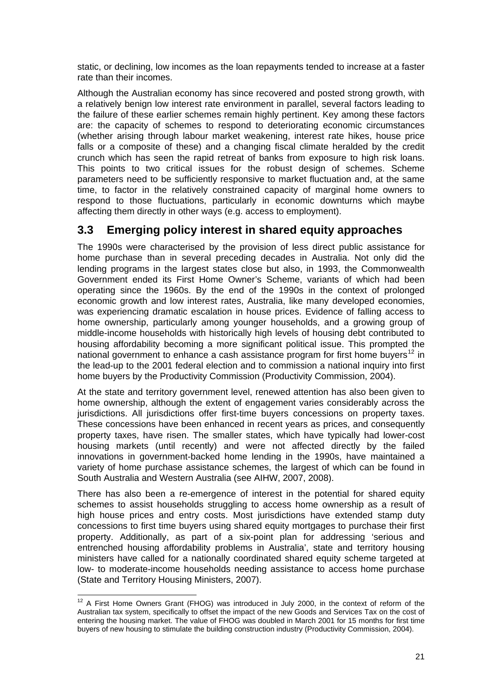<span id="page-29-0"></span>static, or declining, low incomes as the loan repayments tended to increase at a faster rate than their incomes.

Although the Australian economy has since recovered and posted strong growth, with a relatively benign low interest rate environment in parallel, several factors leading to the failure of these earlier schemes remain highly pertinent. Key among these factors are: the capacity of schemes to respond to deteriorating economic circumstances (whether arising through labour market weakening, interest rate hikes, house price falls or a composite of these) and a changing fiscal climate heralded by the credit crunch which has seen the rapid retreat of banks from exposure to high risk loans. This points to two critical issues for the robust design of schemes. Scheme parameters need to be sufficiently responsive to market fluctuation and, at the same time, to factor in the relatively constrained capacity of marginal home owners to respond to those fluctuations, particularly in economic downturns which maybe affecting them directly in other ways (e.g. access to employment).

## **3.3 Emerging policy interest in shared equity approaches**

The 1990s were characterised by the provision of less direct public assistance for home purchase than in several preceding decades in Australia. Not only did the lending programs in the largest states close but also, in 1993, the Commonwealth Government ended its First Home Owner's Scheme, variants of which had been operating since the 1960s. By the end of the 1990s in the context of prolonged economic growth and low interest rates, Australia, like many developed economies, was experiencing dramatic escalation in house prices. Evidence of falling access to home ownership, particularly among younger households, and a growing group of middle-income households with historically high levels of housing debt contributed to housing affordability becoming a more significant political issue. This prompted the national government to enhance a cash assistance program for first home buyers<sup>[12](#page-29-1)</sup> in the lead-up to the 2001 federal election and to commission a national inquiry into first home buyers by the Productivity Commission (Productivity Commission, 2004).

At the state and territory government level, renewed attention has also been given to home ownership, although the extent of engagement varies considerably across the jurisdictions. All jurisdictions offer first-time buyers concessions on property taxes. These concessions have been enhanced in recent years as prices, and consequently property taxes, have risen. The smaller states, which have typically had lower-cost housing markets (until recently) and were not affected directly by the failed innovations in government-backed home lending in the 1990s, have maintained a variety of home purchase assistance schemes, the largest of which can be found in South Australia and Western Australia (see AIHW, 2007, 2008).

There has also been a re-emergence of interest in the potential for shared equity schemes to assist households struggling to access home ownership as a result of high house prices and entry costs. Most jurisdictions have extended stamp duty concessions to first time buyers using shared equity mortgages to purchase their first property. Additionally, as part of a six-point plan for addressing 'serious and entrenched housing affordability problems in Australia', state and territory housing ministers have called for a nationally coordinated shared equity scheme targeted at low- to moderate-income households needing assistance to access home purchase (State and Territory Housing Ministers, 2007).

<span id="page-29-1"></span> $12$  A First Home Owners Grant (FHOG) was introduced in July 2000, in the context of reform of the Australian tax system, specifically to offset the impact of the new Goods and Services Tax on the cost of entering the housing market. The value of FHOG was doubled in March 2001 for 15 months for first time buyers of new housing to stimulate the building construction industry (Productivity Commission, 2004).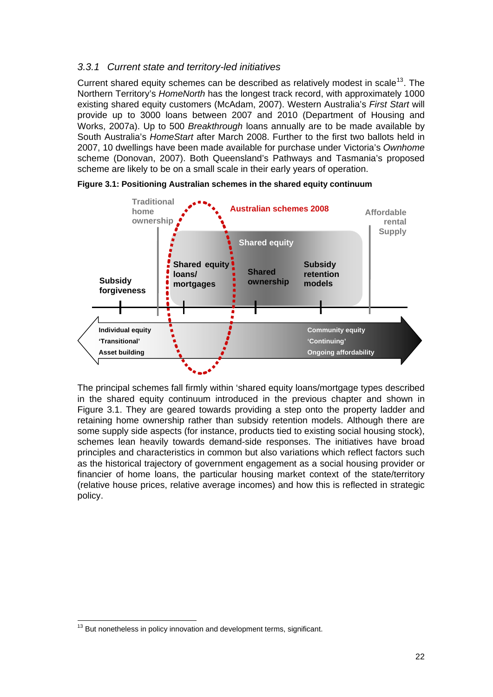#### <span id="page-30-0"></span>*3.3.1 Current state and territory-led initiatives*

Current shared equity schemes can be described as relatively modest in scale<sup>[13](#page-30-1)</sup>. The Northern Territory's *HomeNorth* has the longest track record, with approximately 1000 existing shared equity customers (McAdam, 2007). Western Australia's *First Start* will provide up to 3000 loans between 2007 and 2010 (Department of Housing and Works, 2007a). Up to 500 *Breakthrough* loans annually are to be made available by South Australia's *HomeStart* after March 2008. Further to the first two ballots held in 2007, 10 dwellings have been made available for purchase under Victoria's *Ownhome* scheme (Donovan, 2007). Both Queensland's Pathways and Tasmania's proposed scheme are likely to be on a small scale in their early years of operation.



**Figure 3.1: Positioning Australian schemes in the shared equity continuum** 

The principal schemes fall firmly within 'shared equity loans/mortgage types described in the shared equity continuum introduced in the previous chapter and shown in Figure 3.1. They are geared towards providing a step onto the property ladder and retaining home ownership rather than subsidy retention models. Although there are some supply side aspects (for instance, products tied to existing social housing stock), schemes lean heavily towards demand-side responses. The initiatives have broad principles and characteristics in common but also variations which reflect factors such as the historical trajectory of government engagement as a social housing provider or financier of home loans, the particular housing market context of the state/territory (relative house prices, relative average incomes) and how this is reflected in strategic policy.

<span id="page-30-1"></span>  $13$  But nonetheless in policy innovation and development terms, significant.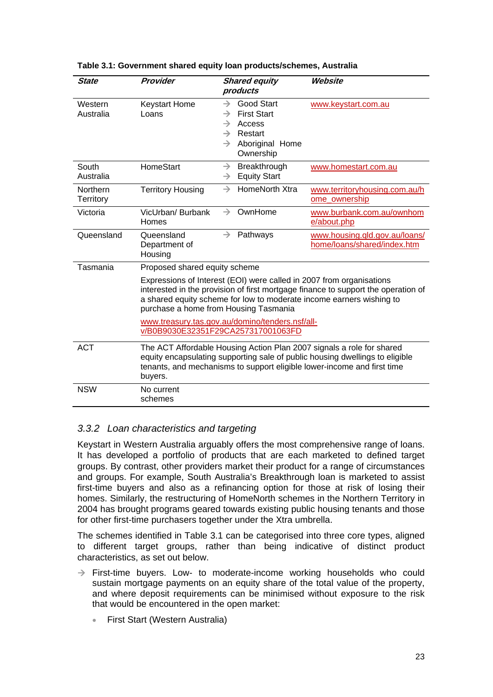| <b>State</b>                                                                          | Provider                                                                                                                                                                                                                                                                   | <b>Shared equity</b><br>products                                                                                                                                                  | Website                                                      |  |  |
|---------------------------------------------------------------------------------------|----------------------------------------------------------------------------------------------------------------------------------------------------------------------------------------------------------------------------------------------------------------------------|-----------------------------------------------------------------------------------------------------------------------------------------------------------------------------------|--------------------------------------------------------------|--|--|
| Western<br>Australia                                                                  | <b>Keystart Home</b><br>Loans                                                                                                                                                                                                                                              | <b>Good Start</b><br>$\rightarrow$<br><b>First Start</b><br>$\rightarrow$<br>Access<br>$\rightarrow$<br>Restart<br>$\rightarrow$<br>Aboriginal Home<br>$\rightarrow$<br>Ownership | www.keystart.com.au                                          |  |  |
| South<br>Australia                                                                    | HomeStart                                                                                                                                                                                                                                                                  | Breakthrough<br>$\rightarrow$<br><b>Equity Start</b><br>$\rightarrow$                                                                                                             | www.homestart.com.au                                         |  |  |
| Northern<br>Territory                                                                 | <b>Territory Housing</b>                                                                                                                                                                                                                                                   | HomeNorth Xtra<br>$\rightarrow$                                                                                                                                                   | www.territoryhousing.com.au/h<br>ome_ownership               |  |  |
| Victoria                                                                              | VicUrban/ Burbank<br>Homes                                                                                                                                                                                                                                                 | OwnHome<br>$\rightarrow$                                                                                                                                                          | www.burbank.com.au/ownhom<br>e/about.php                     |  |  |
| Queensland                                                                            | Queensland<br>Department of<br>Housing                                                                                                                                                                                                                                     | $\rightarrow$<br>Pathways                                                                                                                                                         | www.housing.qld.gov.au/loans/<br>home/loans/shared/index.htm |  |  |
| Tasmania                                                                              | Proposed shared equity scheme                                                                                                                                                                                                                                              |                                                                                                                                                                                   |                                                              |  |  |
|                                                                                       | Expressions of Interest (EOI) were called in 2007 from organisations<br>interested in the provision of first mortgage finance to support the operation of<br>a shared equity scheme for low to moderate income earners wishing to<br>purchase a home from Housing Tasmania |                                                                                                                                                                                   |                                                              |  |  |
| www.treasury.tas.gov.au/domino/tenders.nsf/all-<br>v/B0B9030E32351F29CA257317001063FD |                                                                                                                                                                                                                                                                            |                                                                                                                                                                                   |                                                              |  |  |
| <b>ACT</b>                                                                            | The ACT Affordable Housing Action Plan 2007 signals a role for shared<br>equity encapsulating supporting sale of public housing dwellings to eligible<br>tenants, and mechanisms to support eligible lower-income and first time<br>buyers.                                |                                                                                                                                                                                   |                                                              |  |  |
| <b>NSW</b>                                                                            | No current<br>schemes                                                                                                                                                                                                                                                      |                                                                                                                                                                                   |                                                              |  |  |

#### <span id="page-31-0"></span>**Table 3.1: Government shared equity loan products/schemes, Australia**

#### *3.3.2 Loan characteristics and targeting*

Keystart in Western Australia arguably offers the most comprehensive range of loans. It has developed a portfolio of products that are each marketed to defined target groups. By contrast, other providers market their product for a range of circumstances and groups. For example, South Australia's Breakthrough loan is marketed to assist first-time buyers and also as a refinancing option for those at risk of losing their homes. Similarly, the restructuring of HomeNorth schemes in the Northern Territory in 2004 has brought programs geared towards existing public housing tenants and those for other first-time purchasers together under the Xtra umbrella.

The schemes identified in Table 3.1 can be categorised into three core types, aligned to different target groups, rather than being indicative of distinct product characteristics, as set out below.

- $\rightarrow$  First-time buyers. Low- to moderate-income working households who could sustain mortgage payments on an equity share of the total value of the property, and where deposit requirements can be minimised without exposure to the risk that would be encountered in the open market:
	- First Start (Western Australia)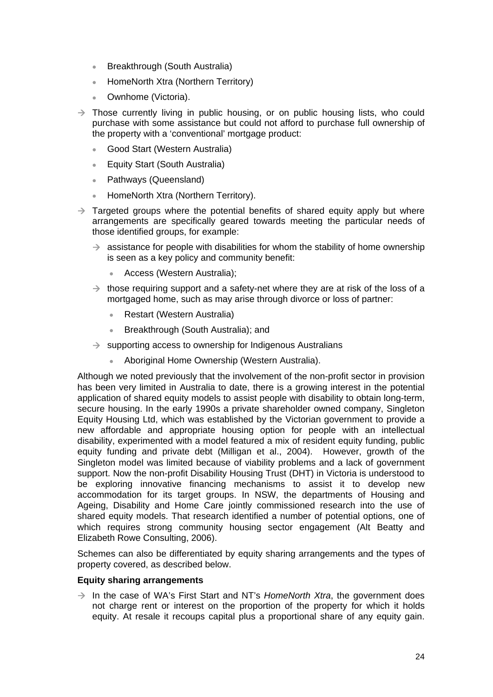- Breakthrough (South Australia)
- HomeNorth Xtra (Northern Territory)
- Ownhome (Victoria).
- $\rightarrow$  Those currently living in public housing, or on public housing lists, who could purchase with some assistance but could not afford to purchase full ownership of the property with a 'conventional' mortgage product:
	- Good Start (Western Australia)
	- Equity Start (South Australia)
	- Pathways (Queensland)
	- HomeNorth Xtra (Northern Territory).
- $\rightarrow$  Targeted groups where the potential benefits of shared equity apply but where arrangements are specifically geared towards meeting the particular needs of those identified groups, for example:
	- $\rightarrow$  assistance for people with disabilities for whom the stability of home ownership is seen as a key policy and community benefit:
		- Access (Western Australia);
	- $\rightarrow$  those requiring support and a safety-net where they are at risk of the loss of a mortgaged home, such as may arise through divorce or loss of partner:
		- Restart (Western Australia)
		- Breakthrough (South Australia); and
	- $\rightarrow$  supporting access to ownership for Indigenous Australians
		- Aboriginal Home Ownership (Western Australia).

Although we noted previously that the involvement of the non-profit sector in provision has been very limited in Australia to date, there is a growing interest in the potential application of shared equity models to assist people with disability to obtain long-term, secure housing. In the early 1990s a private shareholder owned company, Singleton Equity Housing Ltd, which was established by the Victorian government to provide a new affordable and appropriate housing option for people with an intellectual disability, experimented with a model featured a mix of resident equity funding, public equity funding and private debt (Milligan et al., 2004). However, growth of the Singleton model was limited because of viability problems and a lack of government support. Now the non-profit Disability Housing Trust (DHT) in Victoria is understood to be exploring innovative financing mechanisms to assist it to develop new accommodation for its target groups. In NSW, the departments of Housing and Ageing, Disability and Home Care jointly commissioned research into the use of shared equity models. That research identified a number of potential options, one of which requires strong community housing sector engagement (Alt Beatty and Elizabeth Rowe Consulting, 2006).

Schemes can also be differentiated by equity sharing arrangements and the types of property covered, as described below.

#### **Equity sharing arrangements**

 $\rightarrow$  In the case of WA's First Start and NT's *HomeNorth Xtra*, the government does not charge rent or interest on the proportion of the property for which it holds equity. At resale it recoups capital plus a proportional share of any equity gain.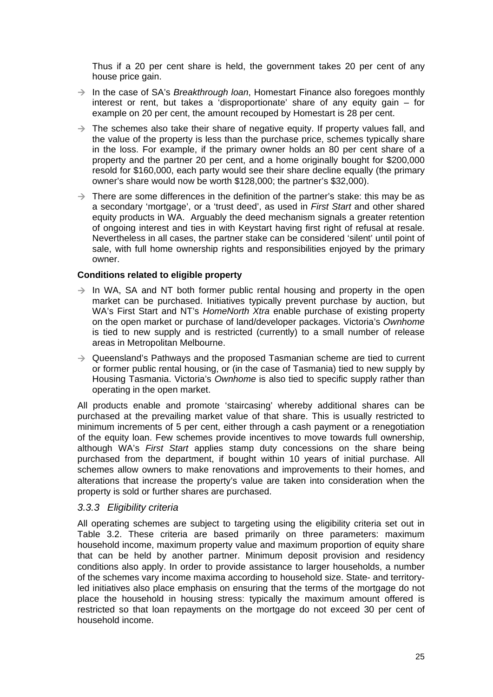<span id="page-33-0"></span>Thus if a 20 per cent share is held, the government takes 20 per cent of any house price gain.

- → In the case of SA's *Breakthrough loan*, Homestart Finance also foregoes monthly interest or rent, but takes a 'disproportionate' share of any equity gain – for example on 20 per cent, the amount recouped by Homestart is 28 per cent.
- $\rightarrow$  The schemes also take their share of negative equity. If property values fall, and the value of the property is less than the purchase price, schemes typically share in the loss. For example, if the primary owner holds an 80 per cent share of a property and the partner 20 per cent, and a home originally bought for \$200,000 resold for \$160,000, each party would see their share decline equally (the primary owner's share would now be worth \$128,000; the partner's \$32,000).
- $\rightarrow$  There are some differences in the definition of the partner's stake: this may be as a secondary 'mortgage', or a 'trust deed', as used in *First Start* and other shared equity products in WA. Arguably the deed mechanism signals a greater retention of ongoing interest and ties in with Keystart having first right of refusal at resale. Nevertheless in all cases, the partner stake can be considered 'silent' until point of sale, with full home ownership rights and responsibilities enjoyed by the primary owner.

#### **Conditions related to eligible property**

- $\rightarrow$  In WA, SA and NT both former public rental housing and property in the open market can be purchased. Initiatives typically prevent purchase by auction, but WA's First Start and NT's *HomeNorth Xtra* enable purchase of existing property on the open market or purchase of land/developer packages. Victoria's *Ownhome* is tied to new supply and is restricted (currently) to a small number of release areas in Metropolitan Melbourne.
- $\rightarrow$  Queensland's Pathways and the proposed Tasmanian scheme are tied to current or former public rental housing, or (in the case of Tasmania) tied to new supply by Housing Tasmania. Victoria's *Ownhome* is also tied to specific supply rather than operating in the open market.

All products enable and promote 'staircasing' whereby additional shares can be purchased at the prevailing market value of that share. This is usually restricted to minimum increments of 5 per cent, either through a cash payment or a renegotiation of the equity loan. Few schemes provide incentives to move towards full ownership, although WA's *First Start* applies stamp duty concessions on the share being purchased from the department, if bought within 10 years of initial purchase. All schemes allow owners to make renovations and improvements to their homes, and alterations that increase the property's value are taken into consideration when the property is sold or further shares are purchased.

#### *3.3.3 Eligibility criteria*

All operating schemes are subject to targeting using the eligibility criteria set out in Table 3.2. These criteria are based primarily on three parameters: maximum household income, maximum property value and maximum proportion of equity share that can be held by another partner. Minimum deposit provision and residency conditions also apply. In order to provide assistance to larger households, a number of the schemes vary income maxima according to household size. State- and territoryled initiatives also place emphasis on ensuring that the terms of the mortgage do not place the household in housing stress: typically the maximum amount offered is restricted so that loan repayments on the mortgage do not exceed 30 per cent of household income.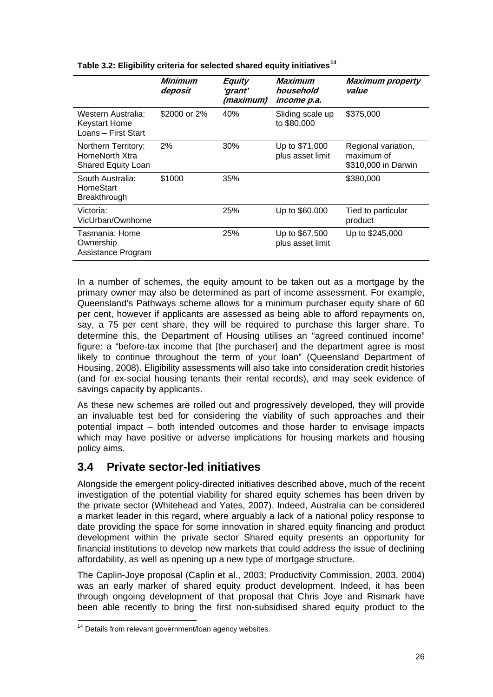|                                                                    | <b>Minimum</b><br>deposit | <b>Equity</b><br>'grant'<br>(maximum) | Maximum<br>household<br>income p.a. | <b>Maximum property</b><br>value                         |
|--------------------------------------------------------------------|---------------------------|---------------------------------------|-------------------------------------|----------------------------------------------------------|
| Western Australia:<br><b>Keystart Home</b><br>Loans - First Start  | \$2000 or 2%              | 40%                                   | Sliding scale up<br>to \$80,000     | \$375,000                                                |
| Northern Territory:<br>HomeNorth Xtra<br><b>Shared Equity Loan</b> | 2%                        | 30%                                   | Up to \$71,000<br>plus asset limit  | Regional variation,<br>maximum of<br>\$310,000 in Darwin |
| South Australia:<br>HomeStart<br>Breakthrough                      | \$1000                    | 35%                                   |                                     | \$380,000                                                |
| Victoria:<br>VicUrban/Ownhome                                      |                           | 25%                                   | Up to \$60,000                      | Tied to particular<br>product                            |
| Tasmania: Home<br>Ownership<br>Assistance Program                  |                           | 25%                                   | Up to \$67,500<br>plus asset limit  | Up to \$245,000                                          |

<span id="page-34-0"></span>**Table 3.2: Eligibility criteria for selected shared equity initiatives[14](#page-34-1)** 

In a number of schemes, the equity amount to be taken out as a mortgage by the primary owner may also be determined as part of income assessment. For example, Queensland's Pathways scheme allows for a minimum purchaser equity share of 60 per cent, however if applicants are assessed as being able to afford repayments on, say, a 75 per cent share, they will be required to purchase this larger share. To determine this, the Department of Housing utilises an "agreed continued income" figure: a "before-tax income that [the purchaser] and the department agree is most likely to continue throughout the term of your loan" (Queensland Department of Housing, 2008). Eligibility assessments will also take into consideration credit histories (and for ex-social housing tenants their rental records), and may seek evidence of savings capacity by applicants.

As these new schemes are rolled out and progressively developed, they will provide an invaluable test bed for considering the viability of such approaches and their potential impact – both intended outcomes and those harder to envisage impacts which may have positive or adverse implications for housing markets and housing policy aims.

# **3.4 Private sector-led initiatives**

Alongside the emergent policy-directed initiatives described above, much of the recent investigation of the potential viability for shared equity schemes has been driven by the private sector (Whitehead and Yates, 2007). Indeed, Australia can be considered a market leader in this regard, where arguably a lack of a national policy response to date providing the space for some innovation in shared equity financing and product development within the private sector Shared equity presents an opportunity for financial institutions to develop new markets that could address the issue of declining affordability, as well as opening up a new type of mortgage structure.

The Caplin-Joye proposal (Caplin et al., 2003; Productivity Commission, 2003, 2004) was an early marker of shared equity product development. Indeed, it has been through ongoing development of that proposal that Chris Joye and Rismark have been able recently to bring the first non-subsidised shared equity product to the

<span id="page-34-1"></span>  $14$  Details from relevant government/loan agency websites.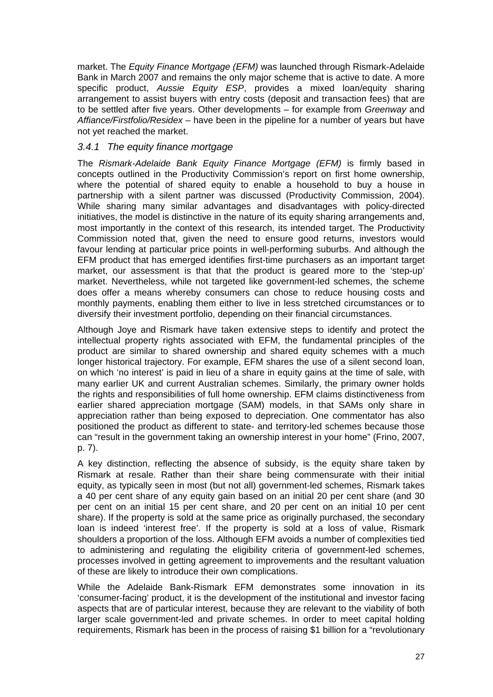<span id="page-35-0"></span>market. The *Equity Finance Mortgage (EFM)* was launched through Rismark-Adelaide Bank in March 2007 and remains the only major scheme that is active to date. A more specific product, *Aussie Equity ESP*, provides a mixed loan/equity sharing arrangement to assist buyers with entry costs (deposit and transaction fees) that are to be settled after five years. Other developments – for example from *Greenway* and *Affiance/Firstfolio/Residex* – have been in the pipeline for a number of years but have not yet reached the market.

#### *3.4.1 The equity finance mortgage*

The *Rismark-Adelaide Bank Equity Finance Mortgage (EFM)* is firmly based in concepts outlined in the Productivity Commission's report on first home ownership, where the potential of shared equity to enable a household to buy a house in partnership with a silent partner was discussed (Productivity Commission, 2004). While sharing many similar advantages and disadvantages with policy-directed initiatives, the model is distinctive in the nature of its equity sharing arrangements and, most importantly in the context of this research, its intended target. The Productivity Commission noted that, given the need to ensure good returns, investors would favour lending at particular price points in well-performing suburbs. And although the EFM product that has emerged identifies first-time purchasers as an important target market, our assessment is that that the product is geared more to the 'step-up' market. Nevertheless, while not targeted like government-led schemes, the scheme does offer a means whereby consumers can chose to reduce housing costs and monthly payments, enabling them either to live in less stretched circumstances or to diversify their investment portfolio, depending on their financial circumstances.

Although Joye and Rismark have taken extensive steps to identify and protect the intellectual property rights associated with EFM, the fundamental principles of the product are similar to shared ownership and shared equity schemes with a much longer historical trajectory. For example, EFM shares the use of a silent second loan, on which 'no interest' is paid in lieu of a share in equity gains at the time of sale, with many earlier UK and current Australian schemes. Similarly, the primary owner holds the rights and responsibilities of full home ownership. EFM claims distinctiveness from earlier shared appreciation mortgage (SAM) models, in that SAMs only share in appreciation rather than being exposed to depreciation. One commentator has also positioned the product as different to state- and territory-led schemes because those can "result in the government taking an ownership interest in your home" (Frino, 2007, p. 7).

A key distinction, reflecting the absence of subsidy, is the equity share taken by Rismark at resale. Rather than their share being commensurate with their initial equity, as typically seen in most (but not all) government-led schemes, Rismark takes a 40 per cent share of any equity gain based on an initial 20 per cent share (and 30 per cent on an initial 15 per cent share, and 20 per cent on an initial 10 per cent share). If the property is sold at the same price as originally purchased, the secondary loan is indeed 'interest free'. If the property is sold at a loss of value, Rismark shoulders a proportion of the loss. Although EFM avoids a number of complexities tied to administering and regulating the eligibility criteria of government-led schemes, processes involved in getting agreement to improvements and the resultant valuation of these are likely to introduce their own complications.

While the Adelaide Bank-Rismark EFM demonstrates some innovation in its 'consumer-facing' product, it is the development of the institutional and investor facing aspects that are of particular interest, because they are relevant to the viability of both larger scale government-led and private schemes. In order to meet capital holding requirements, Rismark has been in the process of raising \$1 billion for a "revolutionary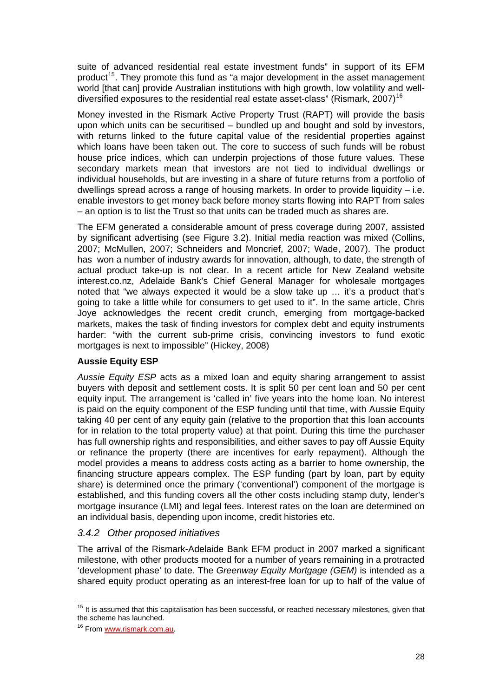suite of advanced residential real estate investment funds" in support of its EFM product<sup>[15](#page-36-0)</sup>. They promote this fund as "a major development in the asset management world [that can] provide Australian institutions with high growth, low volatility and welldiversified exposures to the residential real estate asset-class" (Rismark,  $2007$ )<sup>[16](#page-36-1)</sup>

Money invested in the Rismark Active Property Trust (RAPT) will provide the basis upon which units can be securitised – bundled up and bought and sold by investors, with returns linked to the future capital value of the residential properties against which loans have been taken out. The core to success of such funds will be robust house price indices, which can underpin projections of those future values. These secondary markets mean that investors are not tied to individual dwellings or individual households, but are investing in a share of future returns from a portfolio of dwellings spread across a range of housing markets. In order to provide liquidity  $-$  i.e. enable investors to get money back before money starts flowing into RAPT from sales – an option is to list the Trust so that units can be traded much as shares are.

The EFM generated a considerable amount of press coverage during 2007, assisted by significant advertising (see Figure 3.2). Initial media reaction was mixed (Collins, 2007; McMullen, 2007; Schneiders and Moncrief, 2007; Wade, 2007). The product has won a number of industry awards for innovation, although, to date, the strength of actual product take-up is not clear. In a recent article for New Zealand website interest.co.nz, Adelaide Bank's Chief General Manager for wholesale mortgages noted that "we always expected it would be a slow take up … it's a product that's going to take a little while for consumers to get used to it". In the same article, Chris Joye acknowledges the recent credit crunch, emerging from mortgage-backed markets, makes the task of finding investors for complex debt and equity instruments harder: "with the current sub-prime crisis, convincing investors to fund exotic mortgages is next to impossible" (Hickey, 2008)

#### **Aussie Equity ESP**

*Aussie Equity ESP* acts as a mixed loan and equity sharing arrangement to assist buyers with deposit and settlement costs. It is split 50 per cent loan and 50 per cent equity input. The arrangement is 'called in' five years into the home loan. No interest is paid on the equity component of the ESP funding until that time, with Aussie Equity taking 40 per cent of any equity gain (relative to the proportion that this loan accounts for in relation to the total property value) at that point. During this time the purchaser has full ownership rights and responsibilities, and either saves to pay off Aussie Equity or refinance the property (there are incentives for early repayment). Although the model provides a means to address costs acting as a barrier to home ownership, the financing structure appears complex. The ESP funding (part by loan, part by equity share) is determined once the primary ('conventional') component of the mortgage is established, and this funding covers all the other costs including stamp duty, lender's mortgage insurance (LMI) and legal fees. Interest rates on the loan are determined on an individual basis, depending upon income, credit histories etc.

#### *3.4.2 Other proposed initiatives*

The arrival of the Rismark-Adelaide Bank EFM product in 2007 marked a significant milestone, with other products mooted for a number of years remaining in a protracted 'development phase' to date. The *Greenway Equity Mortgage (GEM)* is intended as a shared equity product operating as an interest-free loan for up to half of the value of

<span id="page-36-0"></span>  $15$  It is assumed that this capitalisation has been successful, or reached necessary milestones, given that the scheme has launched.

<span id="page-36-1"></span><sup>&</sup>lt;sup>16</sup> From [www.rismark.com.au.](http://www.rismark.com.au/)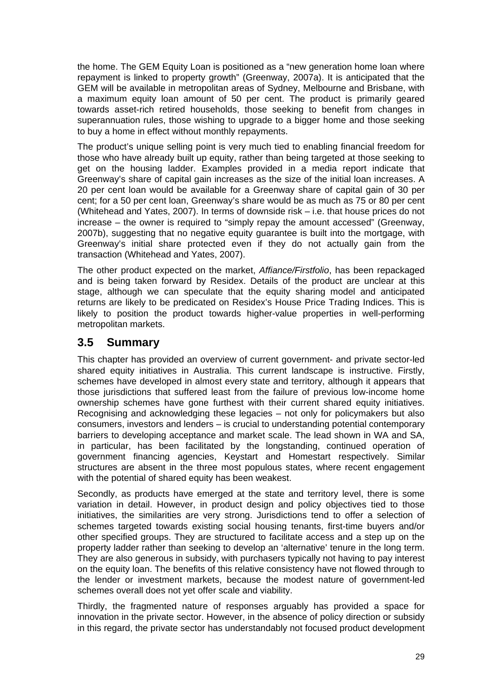the home. The GEM Equity Loan is positioned as a "new generation home loan where repayment is linked to property growth" (Greenway, 2007a). It is anticipated that the GEM will be available in metropolitan areas of Sydney, Melbourne and Brisbane, with a maximum equity loan amount of 50 per cent. The product is primarily geared towards asset-rich retired households, those seeking to benefit from changes in superannuation rules, those wishing to upgrade to a bigger home and those seeking to buy a home in effect without monthly repayments.

The product's unique selling point is very much tied to enabling financial freedom for those who have already built up equity, rather than being targeted at those seeking to get on the housing ladder. Examples provided in a media report indicate that Greenway's share of capital gain increases as the size of the initial loan increases. A 20 per cent loan would be available for a Greenway share of capital gain of 30 per cent; for a 50 per cent loan, Greenway's share would be as much as 75 or 80 per cent (Whitehead and Yates, 2007). In terms of downside risk – i.e. that house prices do not increase – the owner is required to "simply repay the amount accessed" (Greenway, 2007b), suggesting that no negative equity guarantee is built into the mortgage, with Greenway's initial share protected even if they do not actually gain from the transaction (Whitehead and Yates, 2007).

The other product expected on the market, *Affiance/Firstfolio*, has been repackaged and is being taken forward by Residex. Details of the product are unclear at this stage, although we can speculate that the equity sharing model and anticipated returns are likely to be predicated on Residex's House Price Trading Indices. This is likely to position the product towards higher-value properties in well-performing metropolitan markets.

# **3.5 Summary**

This chapter has provided an overview of current government- and private sector-led shared equity initiatives in Australia. This current landscape is instructive. Firstly, schemes have developed in almost every state and territory, although it appears that those jurisdictions that suffered least from the failure of previous low-income home ownership schemes have gone furthest with their current shared equity initiatives. Recognising and acknowledging these legacies – not only for policymakers but also consumers, investors and lenders – is crucial to understanding potential contemporary barriers to developing acceptance and market scale. The lead shown in WA and SA, in particular, has been facilitated by the longstanding, continued operation of government financing agencies, Keystart and Homestart respectively. Similar structures are absent in the three most populous states, where recent engagement with the potential of shared equity has been weakest.

Secondly, as products have emerged at the state and territory level, there is some variation in detail. However, in product design and policy objectives tied to those initiatives, the similarities are very strong. Jurisdictions tend to offer a selection of schemes targeted towards existing social housing tenants, first-time buyers and/or other specified groups. They are structured to facilitate access and a step up on the property ladder rather than seeking to develop an 'alternative' tenure in the long term. They are also generous in subsidy, with purchasers typically not having to pay interest on the equity loan. The benefits of this relative consistency have not flowed through to the lender or investment markets, because the modest nature of government-led schemes overall does not yet offer scale and viability.

Thirdly, the fragmented nature of responses arguably has provided a space for innovation in the private sector. However, in the absence of policy direction or subsidy in this regard, the private sector has understandably not focused product development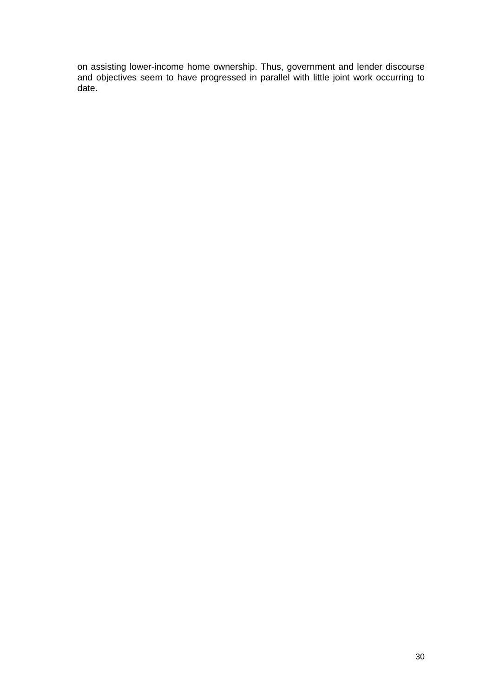on assisting lower-income home ownership. Thus, government and lender discourse and objectives seem to have progressed in parallel with little joint work occurring to date.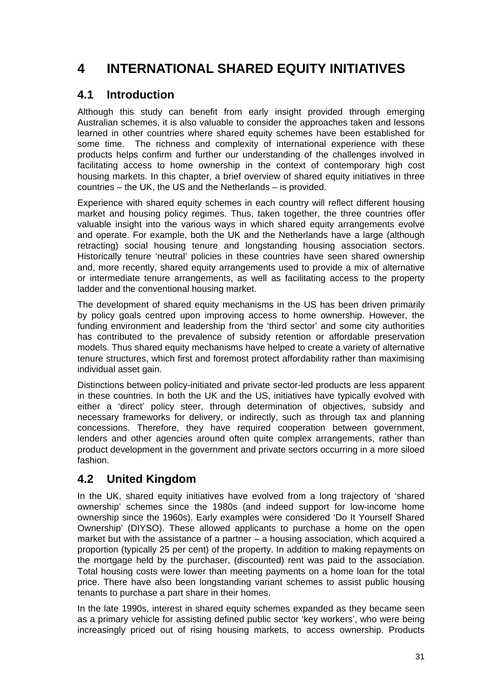# **4 INTERNATIONAL SHARED EQUITY INITIATIVES**

# **4.1 Introduction**

Although this study can benefit from early insight provided through emerging Australian schemes, it is also valuable to consider the approaches taken and lessons learned in other countries where shared equity schemes have been established for some time. The richness and complexity of international experience with these products helps confirm and further our understanding of the challenges involved in facilitating access to home ownership in the context of contemporary high cost housing markets. In this chapter, a brief overview of shared equity initiatives in three countries – the UK, the US and the Netherlands – is provided.

Experience with shared equity schemes in each country will reflect different housing market and housing policy regimes. Thus, taken together, the three countries offer valuable insight into the various ways in which shared equity arrangements evolve and operate. For example, both the UK and the Netherlands have a large (although retracting) social housing tenure and longstanding housing association sectors. Historically tenure 'neutral' policies in these countries have seen shared ownership and, more recently, shared equity arrangements used to provide a mix of alternative or intermediate tenure arrangements, as well as facilitating access to the property ladder and the conventional housing market.

The development of shared equity mechanisms in the US has been driven primarily by policy goals centred upon improving access to home ownership. However, the funding environment and leadership from the 'third sector' and some city authorities has contributed to the prevalence of subsidy retention or affordable preservation models. Thus shared equity mechanisms have helped to create a variety of alternative tenure structures, which first and foremost protect affordability rather than maximising individual asset gain.

Distinctions between policy-initiated and private sector-led products are less apparent in these countries. In both the UK and the US, initiatives have typically evolved with either a 'direct' policy steer, through determination of objectives, subsidy and necessary frameworks for delivery, or indirectly, such as through tax and planning concessions. Therefore, they have required cooperation between government, lenders and other agencies around often quite complex arrangements, rather than product development in the government and private sectors occurring in a more siloed fashion.

# **4.2 United Kingdom**

In the UK, shared equity initiatives have evolved from a long trajectory of 'shared ownership' schemes since the 1980s (and indeed support for low-income home ownership since the 1960s). Early examples were considered 'Do It Yourself Shared Ownership' (DIYSO). These allowed applicants to purchase a home on the open market but with the assistance of a partner – a housing association, which acquired a proportion (typically 25 per cent) of the property. In addition to making repayments on the mortgage held by the purchaser, (discounted) rent was paid to the association. Total housing costs were lower than meeting payments on a home loan for the total price. There have also been longstanding variant schemes to assist public housing tenants to purchase a part share in their homes.

In the late 1990s, interest in shared equity schemes expanded as they became seen as a primary vehicle for assisting defined public sector 'key workers', who were being increasingly priced out of rising housing markets, to access ownership. Products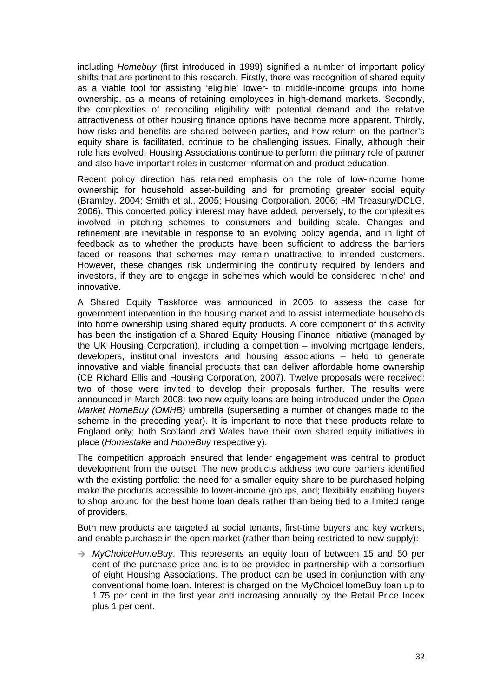including *Homebuy* (first introduced in 1999) signified a number of important policy shifts that are pertinent to this research. Firstly, there was recognition of shared equity as a viable tool for assisting 'eligible' lower- to middle-income groups into home ownership, as a means of retaining employees in high-demand markets. Secondly, the complexities of reconciling eligibility with potential demand and the relative attractiveness of other housing finance options have become more apparent. Thirdly, how risks and benefits are shared between parties, and how return on the partner's equity share is facilitated, continue to be challenging issues. Finally, although their role has evolved, Housing Associations continue to perform the primary role of partner and also have important roles in customer information and product education.

Recent policy direction has retained emphasis on the role of low-income home ownership for household asset-building and for promoting greater social equity (Bramley, 2004; Smith et al., 2005; Housing Corporation, 2006; HM Treasury/DCLG, 2006). This concerted policy interest may have added, perversely, to the complexities involved in pitching schemes to consumers and building scale. Changes and refinement are inevitable in response to an evolving policy agenda, and in light of feedback as to whether the products have been sufficient to address the barriers faced or reasons that schemes may remain unattractive to intended customers. However, these changes risk undermining the continuity required by lenders and investors, if they are to engage in schemes which would be considered 'niche' and innovative.

A Shared Equity Taskforce was announced in 2006 to assess the case for government intervention in the housing market and to assist intermediate households into home ownership using shared equity products. A core component of this activity has been the instigation of a Shared Equity Housing Finance Initiative (managed by the UK Housing Corporation), including a competition – involving mortgage lenders, developers, institutional investors and housing associations – held to generate innovative and viable financial products that can deliver affordable home ownership (CB Richard Ellis and Housing Corporation, 2007). Twelve proposals were received: two of those were invited to develop their proposals further. The results were announced in March 2008: two new equity loans are being introduced under the *Open Market HomeBuy (OMHB)* umbrella (superseding a number of changes made to the scheme in the preceding year). It is important to note that these products relate to England only; both Scotland and Wales have their own shared equity initiatives in place (*Homestake* and *HomeBuy* respectively).

The competition approach ensured that lender engagement was central to product development from the outset. The new products address two core barriers identified with the existing portfolio: the need for a smaller equity share to be purchased helping make the products accessible to lower-income groups, and; flexibility enabling buyers to shop around for the best home loan deals rather than being tied to a limited range of providers.

Both new products are targeted at social tenants, first-time buyers and key workers, and enable purchase in the open market (rather than being restricted to new supply):

 $\rightarrow$  *MyChoiceHomeBuy*. This represents an equity loan of between 15 and 50 per cent of the purchase price and is to be provided in partnership with a consortium of eight Housing Associations. The product can be used in conjunction with any conventional home loan. Interest is charged on the MyChoiceHomeBuy loan up to 1.75 per cent in the first year and increasing annually by the Retail Price Index plus 1 per cent.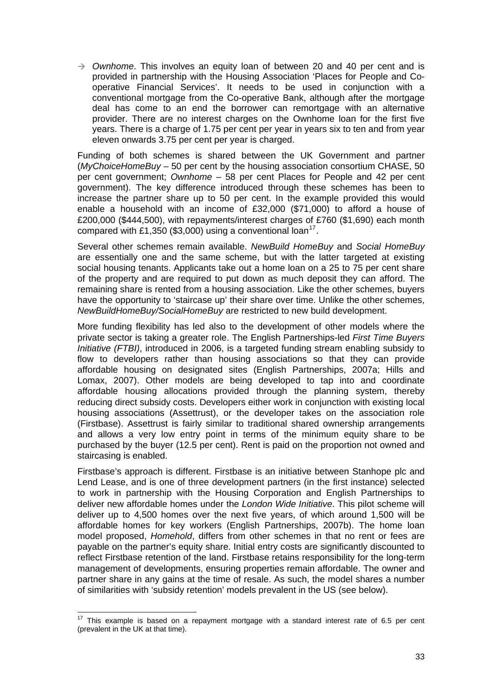$\rightarrow$  *Ownhome*. This involves an equity loan of between 20 and 40 per cent and is provided in partnership with the Housing Association 'Places for People and Cooperative Financial Services'. It needs to be used in conjunction with a conventional mortgage from the Co-operative Bank, although after the mortgage deal has come to an end the borrower can remortgage with an alternative provider. There are no interest charges on the Ownhome loan for the first five years. There is a charge of 1.75 per cent per year in years six to ten and from year eleven onwards 3.75 per cent per year is charged.

Funding of both schemes is shared between the UK Government and partner (*MyChoiceHomeBuy* – 50 per cent by the housing association consortium CHASE, 50 per cent government; *Ownhome* – 58 per cent Places for People and 42 per cent government). The key difference introduced through these schemes has been to increase the partner share up to 50 per cent. In the example provided this would enable a household with an income of £32,000 (\$71,000) to afford a house of £200,000 (\$444,500), with repayments/interest charges of £760 (\$1,690) each month compared with £1,350 (\$3,000) using a conventional loan<sup>[17](#page-41-0)</sup>.

Several other schemes remain available. *NewBuild HomeBuy* and *Social HomeBuy*  are essentially one and the same scheme, but with the latter targeted at existing social housing tenants. Applicants take out a home loan on a 25 to 75 per cent share of the property and are required to put down as much deposit they can afford. The remaining share is rented from a housing association. Like the other schemes, buyers have the opportunity to 'staircase up' their share over time. Unlike the other schemes, *NewBuildHomeBuy/SocialHomeBuy* are restricted to new build development.

More funding flexibility has led also to the development of other models where the private sector is taking a greater role. The English Partnerships-led *First Time Buyers Initiative (FTBI)*, introduced in 2006, is a targeted funding stream enabling subsidy to flow to developers rather than housing associations so that they can provide affordable housing on designated sites (English Partnerships, 2007a; Hills and Lomax, 2007). Other models are being developed to tap into and coordinate affordable housing allocations provided through the planning system, thereby reducing direct subsidy costs. Developers either work in conjunction with existing local housing associations (Assettrust), or the developer takes on the association role (Firstbase). Assettrust is fairly similar to traditional shared ownership arrangements and allows a very low entry point in terms of the minimum equity share to be purchased by the buyer (12.5 per cent). Rent is paid on the proportion not owned and staircasing is enabled.

Firstbase's approach is different. Firstbase is an initiative between Stanhope plc and Lend Lease, and is one of three development partners (in the first instance) selected to work in partnership with the Housing Corporation and English Partnerships to deliver new affordable homes under the *London Wide Initiative*. This pilot scheme will deliver up to 4,500 homes over the next five years, of which around 1,500 will be affordable homes for key workers (English Partnerships, 2007b). The home loan model proposed, *Homehold*, differs from other schemes in that no rent or fees are payable on the partner's equity share. Initial entry costs are significantly discounted to reflect Firstbase retention of the land. Firstbase retains responsibility for the long-term management of developments, ensuring properties remain affordable. The owner and partner share in any gains at the time of resale. As such, the model shares a number of similarities with 'subsidy retention' models prevalent in the US (see below).

<span id="page-41-0"></span> $\overline{\phantom{a}}$  $17$  This example is based on a repayment mortgage with a standard interest rate of 6.5 per cent (prevalent in the UK at that time).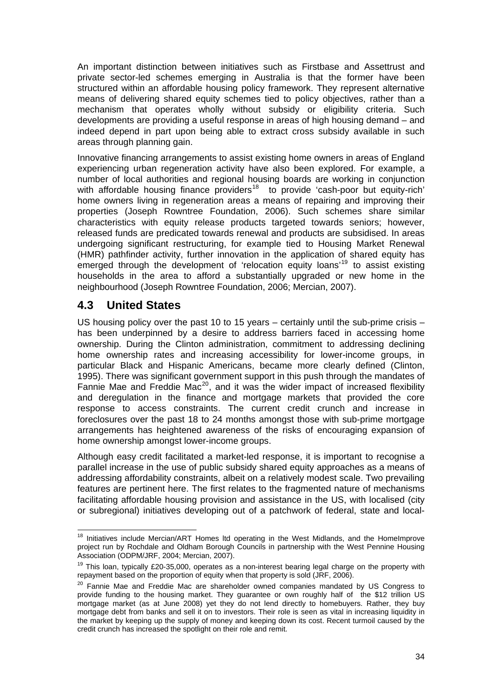An important distinction between initiatives such as Firstbase and Assettrust and private sector-led schemes emerging in Australia is that the former have been structured within an affordable housing policy framework. They represent alternative means of delivering shared equity schemes tied to policy objectives, rather than a mechanism that operates wholly without subsidy or eligibility criteria. Such developments are providing a useful response in areas of high housing demand – and indeed depend in part upon being able to extract cross subsidy available in such areas through planning gain.

Innovative financing arrangements to assist existing home owners in areas of England experiencing urban regeneration activity have also been explored. For example, a number of local authorities and regional housing boards are working in conjunction with affordable housing finance providers<sup>[18](#page-42-0)</sup> to provide 'cash-poor but equity-rich' home owners living in regeneration areas a means of repairing and improving their properties (Joseph Rowntree Foundation, 2006). Such schemes share similar characteristics with equity release products targeted towards seniors; however, released funds are predicated towards renewal and products are subsidised. In areas undergoing significant restructuring, for example tied to Housing Market Renewal (HMR) pathfinder activity, further innovation in the application of shared equity has emerged through the development of 'relocation equity loans'<sup>[19](#page-42-1)</sup> to assist existing households in the area to afford a substantially upgraded or new home in the neighbourhood (Joseph Rowntree Foundation, 2006; Mercian, 2007).

# **4.3 United States**

US housing policy over the past 10 to 15 years – certainly until the sub-prime crisis – has been underpinned by a desire to address barriers faced in accessing home ownership. During the Clinton administration, commitment to addressing declining home ownership rates and increasing accessibility for lower-income groups, in particular Black and Hispanic Americans, became more clearly defined (Clinton, 1995). There was significant government support in this push through the mandates of Fannie Mae and Freddie Mac<sup>[20](#page-42-2)</sup>, and it was the wider impact of increased flexibility and deregulation in the finance and mortgage markets that provided the core response to access constraints. The current credit crunch and increase in foreclosures over the past 18 to 24 months amongst those with sub-prime mortgage arrangements has heightened awareness of the risks of encouraging expansion of home ownership amongst lower-income groups.

Although easy credit facilitated a market-led response, it is important to recognise a parallel increase in the use of public subsidy shared equity approaches as a means of addressing affordability constraints, albeit on a relatively modest scale. Two prevailing features are pertinent here. The first relates to the fragmented nature of mechanisms facilitating affordable housing provision and assistance in the US, with localised (city or subregional) initiatives developing out of a patchwork of federal, state and local-

<span id="page-42-0"></span>  $18$  Initiatives include Mercian/ART Homes Itd operating in the West Midlands, and the HomeImprove project run by Rochdale and Oldham Borough Councils in partnership with the West Pennine Housing Association (ODPM/JRF, 2004; Mercian, 2007).

<span id="page-42-1"></span><sup>&</sup>lt;sup>19</sup> This loan, typically £20-35,000, operates as a non-interest bearing legal charge on the property with repayment based on the proportion of equity when that property is sold (JRF, 2006).

<span id="page-42-2"></span><sup>&</sup>lt;sup>20</sup> Fannie Mae and Freddie Mac are shareholder owned companies mandated by US Congress to provide funding to the housing market. They guarantee or own roughly half of the \$12 trillion US mortgage market (as at June 2008) yet they do not lend directly to homebuyers. Rather, they buy mortgage debt from banks and sell it on to investors. Their role is seen as vital in increasing liquidity in the market by keeping up the supply of money and keeping down its cost. Recent turmoil caused by the credit crunch has increased the spotlight on their role and remit.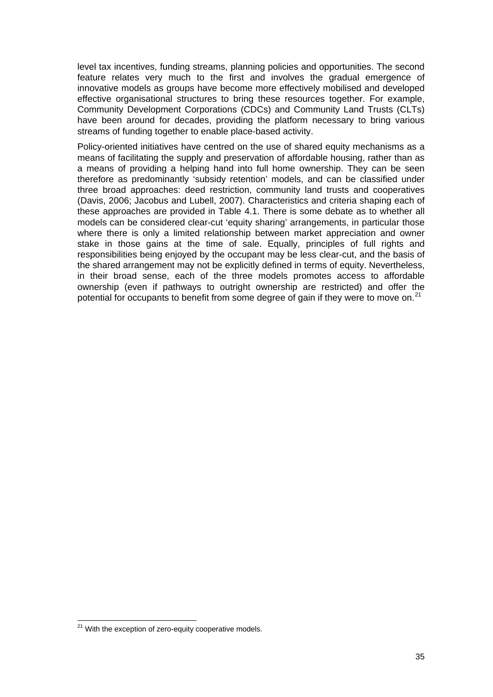level tax incentives, funding streams, planning policies and opportunities. The second feature relates very much to the first and involves the gradual emergence of innovative models as groups have become more effectively mobilised and developed effective organisational structures to bring these resources together. For example, Community Development Corporations (CDCs) and Community Land Trusts (CLTs) have been around for decades, providing the platform necessary to bring various streams of funding together to enable place-based activity.

Policy-oriented initiatives have centred on the use of shared equity mechanisms as a means of facilitating the supply and preservation of affordable housing, rather than as a means of providing a helping hand into full home ownership. They can be seen therefore as predominantly 'subsidy retention' models, and can be classified under three broad approaches: deed restriction, community land trusts and cooperatives (Davis, 2006; Jacobus and Lubell, 2007). Characteristics and criteria shaping each of these approaches are provided in Table 4.1. There is some debate as to whether all models can be considered clear-cut 'equity sharing' arrangements, in particular those where there is only a limited relationship between market appreciation and owner stake in those gains at the time of sale. Equally, principles of full rights and responsibilities being enjoyed by the occupant may be less clear-cut, and the basis of the shared arrangement may not be explicitly defined in terms of equity. Nevertheless, in their broad sense, each of the three models promotes access to affordable ownership (even if pathways to outright ownership are restricted) and offer the potential for occupants to benefit from some degree of gain if they were to move on.<sup>[21](#page-43-0)</sup>

<span id="page-43-0"></span><sup>&</sup>lt;sup>21</sup> With the exception of zero-equity cooperative models.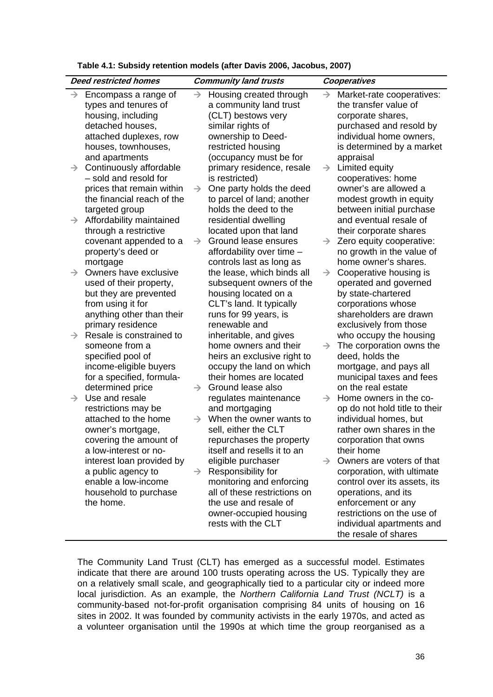| Table 4.1: Subsidy retention models (after Davis 2006, Jacobus, 2007) |  |  |  |  |
|-----------------------------------------------------------------------|--|--|--|--|
|-----------------------------------------------------------------------|--|--|--|--|

|               | <b>Deed restricted homes</b>                                                                                                                              |               | <b>Community land trusts</b>                                                                                                                                                                                 |               | Cooperatives                                                                                                                                                                                                                                        |
|---------------|-----------------------------------------------------------------------------------------------------------------------------------------------------------|---------------|--------------------------------------------------------------------------------------------------------------------------------------------------------------------------------------------------------------|---------------|-----------------------------------------------------------------------------------------------------------------------------------------------------------------------------------------------------------------------------------------------------|
| $\rightarrow$ | Encompass a range of<br>types and tenures of<br>housing, including<br>detached houses,<br>attached duplexes, row<br>houses, townhouses,<br>and apartments | $\rightarrow$ | Housing created through<br>a community land trust<br>(CLT) bestows very<br>similar rights of<br>ownership to Deed-<br>restricted housing<br>(occupancy must be for                                           | $\rightarrow$ | Market-rate cooperatives:<br>the transfer value of<br>corporate shares,<br>purchased and resold by<br>individual home owners,<br>is determined by a market<br>appraisal                                                                             |
| $\rightarrow$ | Continuously affordable<br>- sold and resold for<br>prices that remain within<br>the financial reach of the                                               | $\rightarrow$ | primary residence, resale<br>is restricted)<br>One party holds the deed<br>to parcel of land; another<br>holds the deed to the                                                                               | $\rightarrow$ | Limited equity<br>cooperatives: home<br>owner's are allowed a<br>modest growth in equity                                                                                                                                                            |
| $\rightarrow$ | targeted group<br>Affordability maintained<br>through a restrictive<br>covenant appended to a                                                             | $\rightarrow$ | residential dwelling<br>located upon that land<br>Ground lease ensures                                                                                                                                       | $\rightarrow$ | between initial purchase<br>and eventual resale of<br>their corporate shares<br>Zero equity cooperative:                                                                                                                                            |
| $\rightarrow$ | property's deed or<br>mortgage<br>Owners have exclusive<br>used of their property,                                                                        |               | affordability over time -<br>controls last as long as<br>the lease, which binds all<br>subsequent owners of the                                                                                              | $\rightarrow$ | no growth in the value of<br>home owner's shares.<br>Cooperative housing is<br>operated and governed                                                                                                                                                |
|               | but they are prevented<br>from using it for<br>anything other than their<br>primary residence<br>Resale is constrained to                                 |               | housing located on a<br>CLT's land. It typically<br>runs for 99 years, is<br>renewable and                                                                                                                   |               | by state-chartered<br>corporations whose<br>shareholders are drawn<br>exclusively from those                                                                                                                                                        |
| $\rightarrow$ | someone from a<br>specified pool of<br>income-eligible buyers                                                                                             |               | inheritable, and gives<br>home owners and their<br>heirs an exclusive right to<br>occupy the land on which<br>their homes are located                                                                        | $\rightarrow$ | who occupy the housing<br>The corporation owns the<br>deed, holds the<br>mortgage, and pays all                                                                                                                                                     |
| $\rightarrow$ | for a specified, formula-<br>determined price<br>Use and resale                                                                                           | $\rightarrow$ | Ground lease also<br>regulates maintenance                                                                                                                                                                   | $\rightarrow$ | municipal taxes and fees<br>on the real estate<br>Home owners in the co-                                                                                                                                                                            |
|               | restrictions may be<br>attached to the home<br>owner's mortgage,<br>covering the amount of                                                                | $\rightarrow$ | and mortgaging<br>When the owner wants to<br>sell, either the CLT<br>repurchases the property                                                                                                                |               | op do not hold title to their<br>individual homes, but<br>rather own shares in the<br>corporation that owns                                                                                                                                         |
|               | a low-interest or no-<br>interest loan provided by<br>a public agency to<br>enable a low-income<br>household to purchase<br>the home.                     | $\rightarrow$ | itself and resells it to an<br>eligible purchaser<br>Responsibility for<br>monitoring and enforcing<br>all of these restrictions on<br>the use and resale of<br>owner-occupied housing<br>rests with the CLT |               | their home<br>$\rightarrow$ Owners are voters of that<br>corporation, with ultimate<br>control over its assets, its<br>operations, and its<br>enforcement or any<br>restrictions on the use of<br>individual apartments and<br>the resale of shares |

The Community Land Trust (CLT) has emerged as a successful model. Estimates indicate that there are around 100 trusts operating across the US. Typically they are on a relatively small scale, and geographically tied to a particular city or indeed more local jurisdiction. As an example, the *Northern California Land Trust (NCLT)* is a community-based not-for-profit organisation comprising 84 units of housing on 16 sites in 2002. It was founded by community activists in the early 1970s, and acted as a volunteer organisation until the 1990s at which time the group reorganised as a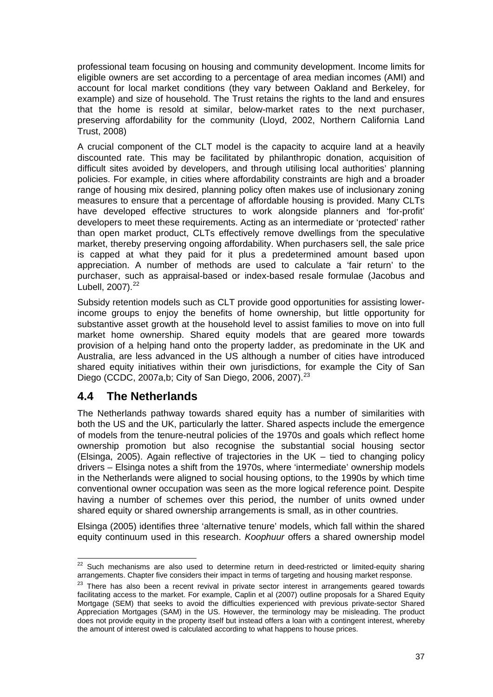professional team focusing on housing and community development. Income limits for eligible owners are set according to a percentage of area median incomes (AMI) and account for local market conditions (they vary between Oakland and Berkeley, for example) and size of household. The Trust retains the rights to the land and ensures that the home is resold at similar, below-market rates to the next purchaser, preserving affordability for the community (Lloyd, 2002, Northern California Land Trust, 2008)

A crucial component of the CLT model is the capacity to acquire land at a heavily discounted rate. This may be facilitated by philanthropic donation, acquisition of difficult sites avoided by developers, and through utilising local authorities' planning policies. For example, in cities where affordability constraints are high and a broader range of housing mix desired, planning policy often makes use of inclusionary zoning measures to ensure that a percentage of affordable housing is provided. Many CLTs have developed effective structures to work alongside planners and 'for-profit' developers to meet these requirements. Acting as an intermediate or 'protected' rather than open market product, CLTs effectively remove dwellings from the speculative market, thereby preserving ongoing affordability. When purchasers sell, the sale price is capped at what they paid for it plus a predetermined amount based upon appreciation. A number of methods are used to calculate a 'fair return' to the purchaser, such as appraisal-based or index-based resale formulae (Jacobus and Lubell,  $2007$ ). $^{22}$  $^{22}$  $^{22}$ 

Subsidy retention models such as CLT provide good opportunities for assisting lowerincome groups to enjoy the benefits of home ownership, but little opportunity for substantive asset growth at the household level to assist families to move on into full market home ownership. Shared equity models that are geared more towards provision of a helping hand onto the property ladder, as predominate in the UK and Australia, are less advanced in the US although a number of cities have introduced shared equity initiatives within their own jurisdictions, for example the City of San Diego (CCDC, 2007a,b; City of San Diego, 2006, 2007).<sup>[23](#page-45-1)</sup>

## **4.4 The Netherlands**

The Netherlands pathway towards shared equity has a number of similarities with both the US and the UK, particularly the latter. Shared aspects include the emergence of models from the tenure-neutral policies of the 1970s and goals which reflect home ownership promotion but also recognise the substantial social housing sector (Elsinga, 2005). Again reflective of trajectories in the UK – tied to changing policy drivers – Elsinga notes a shift from the 1970s, where 'intermediate' ownership models in the Netherlands were aligned to social housing options, to the 1990s by which time conventional owner occupation was seen as the more logical reference point. Despite having a number of schemes over this period, the number of units owned under shared equity or shared ownership arrangements is small, as in other countries.

Elsinga (2005) identifies three 'alternative tenure' models, which fall within the shared equity continuum used in this research. *Koophuur* offers a shared ownership model

<span id="page-45-0"></span>j  $22$  Such mechanisms are also used to determine return in deed-restricted or limited-equity sharing arrangements. Chapter five considers their impact in terms of targeting and housing market response.<br><sup>23</sup> There has also been a recent revival in private sector interest in arrangements geared towards

<span id="page-45-1"></span>facilitating access to the market. For example, Caplin et al (2007) outline proposals for a Shared Equity Mortgage (SEM) that seeks to avoid the difficulties experienced with previous private-sector Shared Appreciation Mortgages (SAM) in the US. However, the terminology may be misleading. The product does not provide equity in the property itself but instead offers a loan with a contingent interest, whereby the amount of interest owed is calculated according to what happens to house prices.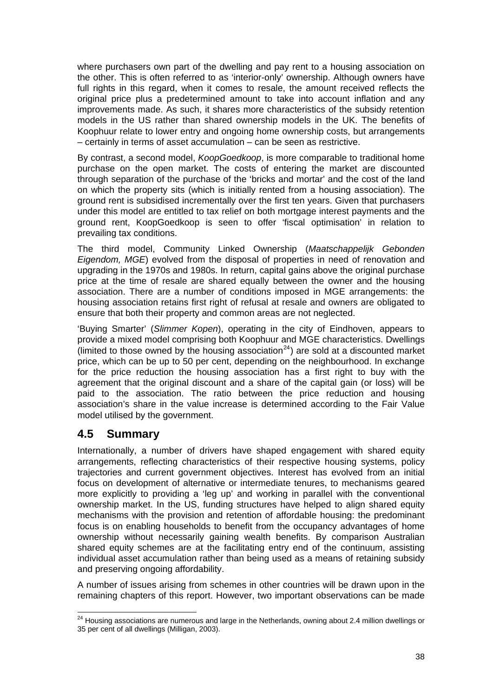where purchasers own part of the dwelling and pay rent to a housing association on the other. This is often referred to as 'interior-only' ownership. Although owners have full rights in this regard, when it comes to resale, the amount received reflects the original price plus a predetermined amount to take into account inflation and any improvements made. As such, it shares more characteristics of the subsidy retention models in the US rather than shared ownership models in the UK. The benefits of Koophuur relate to lower entry and ongoing home ownership costs, but arrangements – certainly in terms of asset accumulation – can be seen as restrictive.

By contrast, a second model, *KoopGoedkoop*, is more comparable to traditional home purchase on the open market. The costs of entering the market are discounted through separation of the purchase of the 'bricks and mortar' and the cost of the land on which the property sits (which is initially rented from a housing association). The ground rent is subsidised incrementally over the first ten years. Given that purchasers under this model are entitled to tax relief on both mortgage interest payments and the ground rent, KoopGoedkoop is seen to offer 'fiscal optimisation' in relation to prevailing tax conditions.

The third model, Community Linked Ownership (*Maatschappelijk Gebonden Eigendom, MGE*) evolved from the disposal of properties in need of renovation and upgrading in the 1970s and 1980s. In return, capital gains above the original purchase price at the time of resale are shared equally between the owner and the housing association. There are a number of conditions imposed in MGE arrangements: the housing association retains first right of refusal at resale and owners are obligated to ensure that both their property and common areas are not neglected.

'Buying Smarter' (*Slimmer Kopen*), operating in the city of Eindhoven, appears to provide a mixed model comprising both Koophuur and MGE characteristics. Dwellings (limited to those owned by the housing association<sup>[24](#page-46-0)</sup>) are sold at a discounted market price, which can be up to 50 per cent, depending on the neighbourhood. In exchange for the price reduction the housing association has a first right to buy with the agreement that the original discount and a share of the capital gain (or loss) will be paid to the association. The ratio between the price reduction and housing association's share in the value increase is determined according to the Fair Value model utilised by the government.

# **4.5 Summary**

Internationally, a number of drivers have shaped engagement with shared equity arrangements, reflecting characteristics of their respective housing systems, policy trajectories and current government objectives. Interest has evolved from an initial focus on development of alternative or intermediate tenures, to mechanisms geared more explicitly to providing a 'leg up' and working in parallel with the conventional ownership market. In the US, funding structures have helped to align shared equity mechanisms with the provision and retention of affordable housing: the predominant focus is on enabling households to benefit from the occupancy advantages of home ownership without necessarily gaining wealth benefits. By comparison Australian shared equity schemes are at the facilitating entry end of the continuum, assisting individual asset accumulation rather than being used as a means of retaining subsidy and preserving ongoing affordability.

A number of issues arising from schemes in other countries will be drawn upon in the remaining chapters of this report. However, two important observations can be made

<span id="page-46-0"></span> $\overline{\phantom{a}}$ <sup>24</sup> Housing associations are numerous and large in the Netherlands, owning about 2.4 million dwellings or 35 per cent of all dwellings (Milligan, 2003).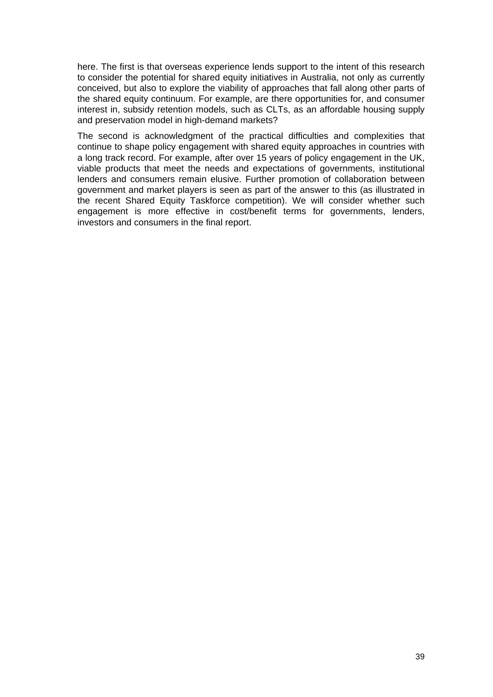here. The first is that overseas experience lends support to the intent of this research to consider the potential for shared equity initiatives in Australia, not only as currently conceived, but also to explore the viability of approaches that fall along other parts of the shared equity continuum. For example, are there opportunities for, and consumer interest in, subsidy retention models, such as CLTs, as an affordable housing supply and preservation model in high-demand markets?

The second is acknowledgment of the practical difficulties and complexities that continue to shape policy engagement with shared equity approaches in countries with a long track record. For example, after over 15 years of policy engagement in the UK, viable products that meet the needs and expectations of governments, institutional lenders and consumers remain elusive. Further promotion of collaboration between government and market players is seen as part of the answer to this (as illustrated in the recent Shared Equity Taskforce competition). We will consider whether such engagement is more effective in cost/benefit terms for governments, lenders, investors and consumers in the final report.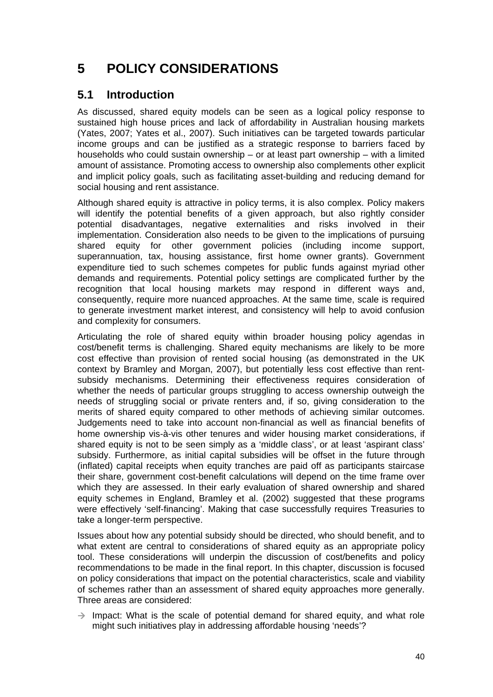# **5 POLICY CONSIDERATIONS**

# **5.1 Introduction**

As discussed, shared equity models can be seen as a logical policy response to sustained high house prices and lack of affordability in Australian housing markets (Yates, 2007; Yates et al., 2007). Such initiatives can be targeted towards particular income groups and can be justified as a strategic response to barriers faced by households who could sustain ownership – or at least part ownership – with a limited amount of assistance. Promoting access to ownership also complements other explicit and implicit policy goals, such as facilitating asset-building and reducing demand for social housing and rent assistance.

Although shared equity is attractive in policy terms, it is also complex. Policy makers will identify the potential benefits of a given approach, but also rightly consider potential disadvantages, negative externalities and risks involved in their implementation. Consideration also needs to be given to the implications of pursuing shared equity for other government policies (including income support, superannuation, tax, housing assistance, first home owner grants). Government expenditure tied to such schemes competes for public funds against myriad other demands and requirements. Potential policy settings are complicated further by the recognition that local housing markets may respond in different ways and, consequently, require more nuanced approaches. At the same time, scale is required to generate investment market interest, and consistency will help to avoid confusion and complexity for consumers.

Articulating the role of shared equity within broader housing policy agendas in cost/benefit terms is challenging. Shared equity mechanisms are likely to be more cost effective than provision of rented social housing (as demonstrated in the UK context by Bramley and Morgan, 2007), but potentially less cost effective than rentsubsidy mechanisms. Determining their effectiveness requires consideration of whether the needs of particular groups struggling to access ownership outweigh the needs of struggling social or private renters and, if so, giving consideration to the merits of shared equity compared to other methods of achieving similar outcomes. Judgements need to take into account non-financial as well as financial benefits of home ownership vis-à-vis other tenures and wider housing market considerations, if shared equity is not to be seen simply as a 'middle class', or at least 'aspirant class' subsidy. Furthermore, as initial capital subsidies will be offset in the future through (inflated) capital receipts when equity tranches are paid off as participants staircase their share, government cost-benefit calculations will depend on the time frame over which they are assessed. In their early evaluation of shared ownership and shared equity schemes in England, Bramley et al. (2002) suggested that these programs were effectively 'self-financing'. Making that case successfully requires Treasuries to take a longer-term perspective.

Issues about how any potential subsidy should be directed, who should benefit, and to what extent are central to considerations of shared equity as an appropriate policy tool. These considerations will underpin the discussion of cost/benefits and policy recommendations to be made in the final report. In this chapter, discussion is focused on policy considerations that impact on the potential characteristics, scale and viability of schemes rather than an assessment of shared equity approaches more generally. Three areas are considered:

 $\rightarrow$  Impact: What is the scale of potential demand for shared equity, and what role might such initiatives play in addressing affordable housing 'needs'?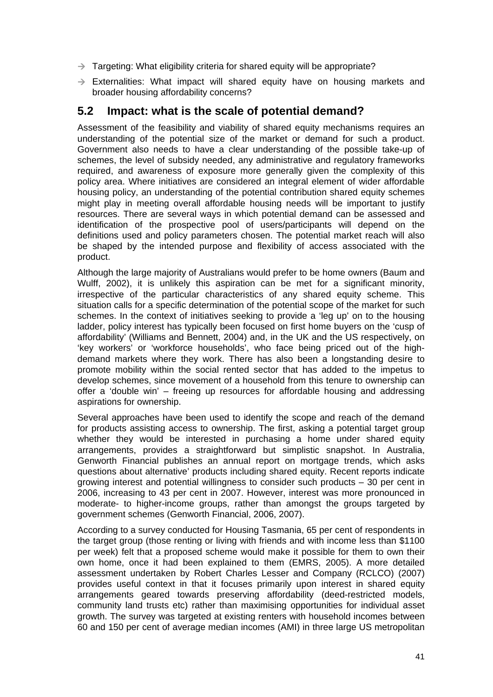- $\rightarrow$  Targeting: What eligibility criteria for shared equity will be appropriate?
- $\rightarrow$  Externalities: What impact will shared equity have on housing markets and broader housing affordability concerns?

### **5.2 Impact: what is the scale of potential demand?**

Assessment of the feasibility and viability of shared equity mechanisms requires an understanding of the potential size of the market or demand for such a product. Government also needs to have a clear understanding of the possible take-up of schemes, the level of subsidy needed, any administrative and regulatory frameworks required, and awareness of exposure more generally given the complexity of this policy area. Where initiatives are considered an integral element of wider affordable housing policy, an understanding of the potential contribution shared equity schemes might play in meeting overall affordable housing needs will be important to justify resources. There are several ways in which potential demand can be assessed and identification of the prospective pool of users/participants will depend on the definitions used and policy parameters chosen. The potential market reach will also be shaped by the intended purpose and flexibility of access associated with the product.

Although the large majority of Australians would prefer to be home owners (Baum and Wulff, 2002), it is unlikely this aspiration can be met for a significant minority, irrespective of the particular characteristics of any shared equity scheme. This situation calls for a specific determination of the potential scope of the market for such schemes. In the context of initiatives seeking to provide a 'leg up' on to the housing ladder, policy interest has typically been focused on first home buyers on the 'cusp of affordability' (Williams and Bennett, 2004) and, in the UK and the US respectively, on 'key workers' or 'workforce households', who face being priced out of the highdemand markets where they work. There has also been a longstanding desire to promote mobility within the social rented sector that has added to the impetus to develop schemes, since movement of a household from this tenure to ownership can offer a 'double win' – freeing up resources for affordable housing and addressing aspirations for ownership.

Several approaches have been used to identify the scope and reach of the demand for products assisting access to ownership. The first, asking a potential target group whether they would be interested in purchasing a home under shared equity arrangements, provides a straightforward but simplistic snapshot. In Australia, Genworth Financial publishes an annual report on mortgage trends, which asks questions about alternative' products including shared equity. Recent reports indicate growing interest and potential willingness to consider such products – 30 per cent in 2006, increasing to 43 per cent in 2007. However, interest was more pronounced in moderate- to higher-income groups, rather than amongst the groups targeted by government schemes (Genworth Financial, 2006, 2007).

According to a survey conducted for Housing Tasmania, 65 per cent of respondents in the target group (those renting or living with friends and with income less than \$1100 per week) felt that a proposed scheme would make it possible for them to own their own home, once it had been explained to them (EMRS, 2005). A more detailed assessment undertaken by Robert Charles Lesser and Company (RCLCO) (2007) provides useful context in that it focuses primarily upon interest in shared equity arrangements geared towards preserving affordability (deed-restricted models, community land trusts etc) rather than maximising opportunities for individual asset growth. The survey was targeted at existing renters with household incomes between 60 and 150 per cent of average median incomes (AMI) in three large US metropolitan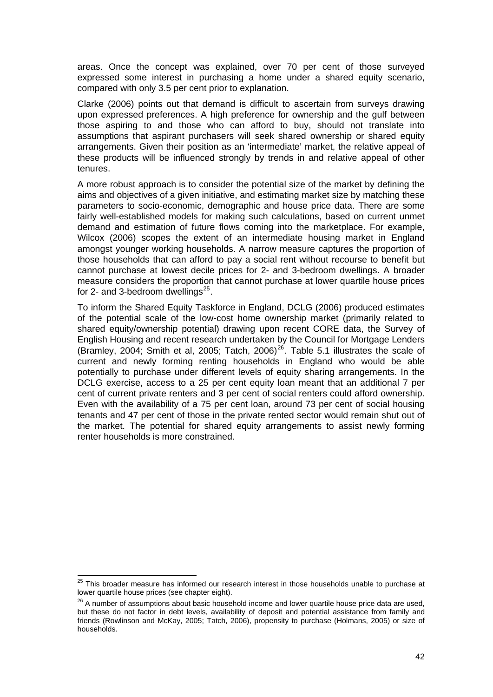areas. Once the concept was explained, over 70 per cent of those surveyed expressed some interest in purchasing a home under a shared equity scenario, compared with only 3.5 per cent prior to explanation.

Clarke (2006) points out that demand is difficult to ascertain from surveys drawing upon expressed preferences. A high preference for ownership and the gulf between those aspiring to and those who can afford to buy, should not translate into assumptions that aspirant purchasers will seek shared ownership or shared equity arrangements. Given their position as an 'intermediate' market, the relative appeal of these products will be influenced strongly by trends in and relative appeal of other tenures.

A more robust approach is to consider the potential size of the market by defining the aims and objectives of a given initiative, and estimating market size by matching these parameters to socio-economic, demographic and house price data. There are some fairly well-established models for making such calculations, based on current unmet demand and estimation of future flows coming into the marketplace. For example, Wilcox (2006) scopes the extent of an intermediate housing market in England amongst younger working households. A narrow measure captures the proportion of those households that can afford to pay a social rent without recourse to benefit but cannot purchase at lowest decile prices for 2- and 3-bedroom dwellings. A broader measure considers the proportion that cannot purchase at lower quartile house prices for 2- and 3-bedroom dwellings $^{25}$  $^{25}$  $^{25}$ .

To inform the Shared Equity Taskforce in England, DCLG (2006) produced estimates of the potential scale of the low-cost home ownership market (primarily related to shared equity/ownership potential) drawing upon recent CORE data, the Survey of English Housing and recent research undertaken by the Council for Mortgage Lenders (Bramley, 2004; Smith et al, 2005; Tatch, 2006)<sup>[26](#page-50-1)</sup>. Table 5.1 illustrates the scale of current and newly forming renting households in England who would be able potentially to purchase under different levels of equity sharing arrangements. In the DCLG exercise, access to a 25 per cent equity loan meant that an additional 7 per cent of current private renters and 3 per cent of social renters could afford ownership. Even with the availability of a 75 per cent loan, around 73 per cent of social housing tenants and 47 per cent of those in the private rented sector would remain shut out of the market. The potential for shared equity arrangements to assist newly forming renter households is more constrained.

<span id="page-50-0"></span>  $25$  This broader measure has informed our research interest in those households unable to purchase at lower quartile house prices (see chapter eight).

<span id="page-50-1"></span><sup>&</sup>lt;sup>26</sup> A number of assumptions about basic household income and lower quartile house price data are used, but these do not factor in debt levels, availability of deposit and potential assistance from family and friends (Rowlinson and McKay, 2005; Tatch, 2006), propensity to purchase (Holmans, 2005) or size of households.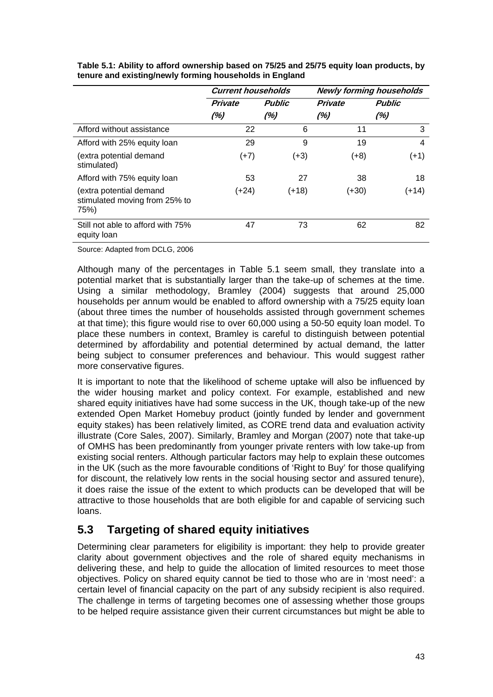|                                                                  | <b>Current households</b> |               | <b>Newly forming households</b> |               |
|------------------------------------------------------------------|---------------------------|---------------|---------------------------------|---------------|
|                                                                  | <b>Private</b>            | <b>Public</b> | <b>Private</b>                  | <b>Public</b> |
|                                                                  | (%)                       | (%)           | (%)                             | (%)           |
| Afford without assistance                                        | 22                        | 6             | 11                              | 3             |
| Afford with 25% equity loan                                      | 29                        | 9             | 19                              | 4             |
| (extra potential demand<br>stimulated)                           | $(+7)$                    | $(+3)$        | (+8)                            | $(+1)$        |
| Afford with 75% equity loan                                      | 53                        | 27            | 38                              | 18            |
| (extra potential demand<br>stimulated moving from 25% to<br>75%) | (+24)                     | $(+18)$       | (+30)                           | $(+14)$       |
| Still not able to afford with 75%<br>equity loan                 | 47                        | 73            | 62                              | 82            |

**Table 5.1: Ability to afford ownership based on 75/25 and 25/75 equity loan products, by tenure and existing/newly forming households in England** 

Source: Adapted from DCLG, 2006

Although many of the percentages in Table 5.1 seem small, they translate into a potential market that is substantially larger than the take-up of schemes at the time. Using a similar methodology, Bramley (2004) suggests that around 25,000 households per annum would be enabled to afford ownership with a 75/25 equity loan (about three times the number of households assisted through government schemes at that time); this figure would rise to over 60,000 using a 50-50 equity loan model. To place these numbers in context, Bramley is careful to distinguish between potential determined by affordability and potential determined by actual demand, the latter being subject to consumer preferences and behaviour. This would suggest rather more conservative figures.

It is important to note that the likelihood of scheme uptake will also be influenced by the wider housing market and policy context. For example, established and new shared equity initiatives have had some success in the UK, though take-up of the new extended Open Market Homebuy product (jointly funded by lender and government equity stakes) has been relatively limited, as CORE trend data and evaluation activity illustrate (Core Sales, 2007). Similarly, Bramley and Morgan (2007) note that take-up of OMHS has been predominantly from younger private renters with low take-up from existing social renters. Although particular factors may help to explain these outcomes in the UK (such as the more favourable conditions of 'Right to Buy' for those qualifying for discount, the relatively low rents in the social housing sector and assured tenure), it does raise the issue of the extent to which products can be developed that will be attractive to those households that are both eligible for and capable of servicing such loans.

# **5.3 Targeting of shared equity initiatives**

Determining clear parameters for eligibility is important: they help to provide greater clarity about government objectives and the role of shared equity mechanisms in delivering these, and help to guide the allocation of limited resources to meet those objectives. Policy on shared equity cannot be tied to those who are in 'most need': a certain level of financial capacity on the part of any subsidy recipient is also required. The challenge in terms of targeting becomes one of assessing whether those groups to be helped require assistance given their current circumstances but might be able to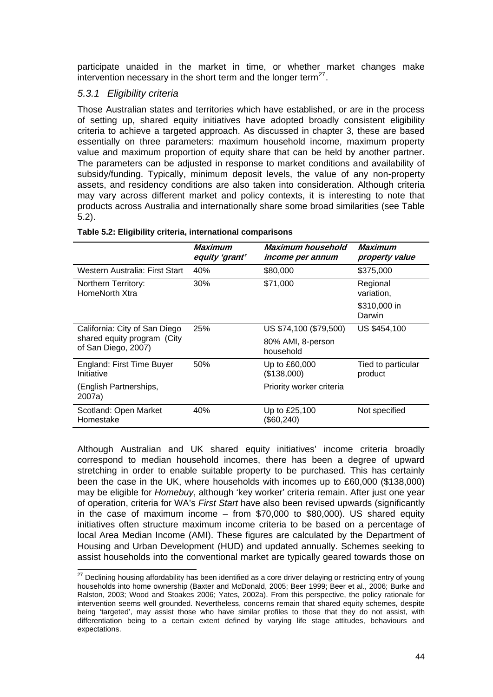participate unaided in the market in time, or whether market changes make intervention necessary in the short term and the longer term $^{27}$  $^{27}$  $^{27}$ .

#### *5.3.1 Eligibility criteria*

Those Australian states and territories which have established, or are in the process of setting up, shared equity initiatives have adopted broadly consistent eligibility criteria to achieve a targeted approach. As discussed in chapter 3, these are based essentially on three parameters: maximum household income, maximum property value and maximum proportion of equity share that can be held by another partner. The parameters can be adjusted in response to market conditions and availability of subsidy/funding. Typically, minimum deposit levels, the value of any non-property assets, and residency conditions are also taken into consideration. Although criteria may vary across different market and policy contexts, it is interesting to note that products across Australia and internationally share some broad similarities (see Table 5.2).

|                                                    | Maximum<br>equity 'grant' | Maximum household<br><i>income per annum</i> | Maximum<br>property value     |
|----------------------------------------------------|---------------------------|----------------------------------------------|-------------------------------|
| Western Australia: First Start                     | 40%                       | \$80,000                                     | \$375,000                     |
| Northern Territory:<br>HomeNorth Xtra              | 30%                       | \$71,000                                     | Regional<br>variation,        |
|                                                    |                           |                                              | \$310,000 in<br>Darwin        |
| California: City of San Diego                      | <b>25%</b>                | US \$74,100 (\$79,500)                       | US \$454,100                  |
| shared equity program (City<br>of San Diego, 2007) |                           | 80% AMI, 8-person<br>household               |                               |
| <b>England: First Time Buyer</b><br>Initiative     | 50%                       | Up to £60,000<br>(\$138,000)                 | Tied to particular<br>product |
| (English Partnerships,<br>2007a)                   |                           | Priority worker criteria                     |                               |
| Scotland: Open Market<br>Homestake                 | 40%                       | Up to £25,100<br>(\$60,240)                  | Not specified                 |

#### **Table 5.2: Eligibility criteria, international comparisons**

Although Australian and UK shared equity initiatives' income criteria broadly correspond to median household incomes, there has been a degree of upward stretching in order to enable suitable property to be purchased. This has certainly been the case in the UK, where households with incomes up to £60,000 (\$138,000) may be eligible for *Homebuy*, although 'key worker' criteria remain. After just one year of operation, criteria for WA's *First Start* have also been revised upwards (significantly in the case of maximum income – from \$70,000 to \$80,000). US shared equity initiatives often structure maximum income criteria to be based on a percentage of local Area Median Income (AMI). These figures are calculated by the Department of Housing and Urban Development (HUD) and updated annually. Schemes seeking to assist households into the conventional market are typically geared towards those on

<span id="page-52-0"></span> $27$  Declining housing affordability has been identified as a core driver delaying or restricting entry of young households into home ownership (Baxter and McDonald, 2005; Beer 1999; Beer et al., 2006; Burke and Ralston, 2003; Wood and Stoakes 2006; Yates, 2002a). From this perspective, the policy rationale for intervention seems well grounded. Nevertheless, concerns remain that shared equity schemes, despite being 'targeted', may assist those who have similar profiles to those that they do not assist, with differentiation being to a certain extent defined by varying life stage attitudes, behaviours and expectations.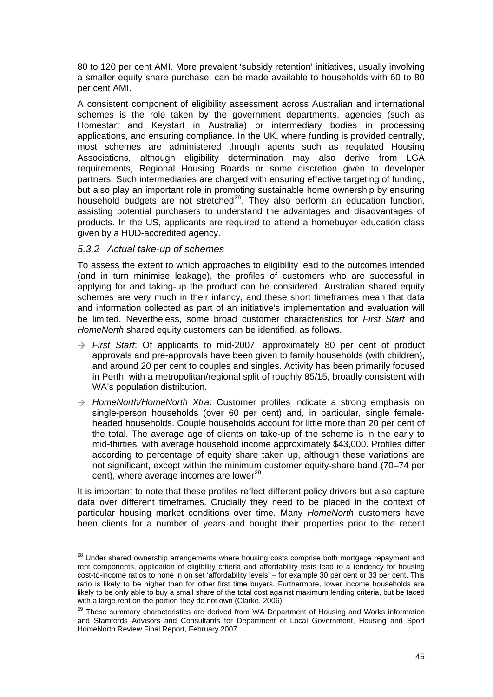80 to 120 per cent AMI. More prevalent 'subsidy retention' initiatives, usually involving a smaller equity share purchase, can be made available to households with 60 to 80 per cent AMI.

A consistent component of eligibility assessment across Australian and international schemes is the role taken by the government departments, agencies (such as Homestart and Keystart in Australia) or intermediary bodies in processing applications, and ensuring compliance. In the UK, where funding is provided centrally, most schemes are administered through agents such as regulated Housing Associations, although eligibility determination may also derive from LGA requirements, Regional Housing Boards or some discretion given to developer partners. Such intermediaries are charged with ensuring effective targeting of funding, but also play an important role in promoting sustainable home ownership by ensuring household budgets are not stretched<sup>[28](#page-53-0)</sup>. They also perform an education function, assisting potential purchasers to understand the advantages and disadvantages of products. In the US, applicants are required to attend a homebuyer education class given by a HUD-accredited agency.

#### *5.3.2 Actual take-up of schemes*

To assess the extent to which approaches to eligibility lead to the outcomes intended (and in turn minimise leakage), the profiles of customers who are successful in applying for and taking-up the product can be considered. Australian shared equity schemes are very much in their infancy, and these short timeframes mean that data and information collected as part of an initiative's implementation and evaluation will be limited. Nevertheless, some broad customer characteristics for *First Start* and *HomeNorth* shared equity customers can be identified, as follows.

- $\rightarrow$  First Start: Of applicants to mid-2007, approximately 80 per cent of product approvals and pre-approvals have been given to family households (with children), and around 20 per cent to couples and singles. Activity has been primarily focused in Perth, with a metropolitan/regional split of roughly 85/15, broadly consistent with WA's population distribution.
- Æ *HomeNorth/HomeNorth Xtra*: Customer profiles indicate a strong emphasis on single-person households (over 60 per cent) and, in particular, single femaleheaded households. Couple households account for little more than 20 per cent of the total. The average age of clients on take-up of the scheme is in the early to mid-thirties, with average household income approximately \$43,000. Profiles differ according to percentage of equity share taken up, although these variations are not significant, except within the minimum customer equity-share band (70–74 per cent), where average incomes are lower $^{29}$  $^{29}$  $^{29}$ .

It is important to note that these profiles reflect different policy drivers but also capture data over different timeframes. Crucially they need to be placed in the context of particular housing market conditions over time. Many *HomeNorth* customers have been clients for a number of years and bought their properties prior to the recent

<span id="page-53-0"></span>  $^{28}$  Under shared ownership arrangements where housing costs comprise both mortgage repayment and rent components, application of eligibility criteria and affordability tests lead to a tendency for housing cost-to-income ratios to hone in on set 'affordability levels' – for example 30 per cent or 33 per cent. This ratio is likely to be higher than for other first time buyers. Furthermore, lower income households are likely to be only able to buy a small share of the total cost against maximum lending criteria, but be faced with a large rent on the portion they do not own (Clarke, 2006).

<span id="page-53-1"></span><sup>&</sup>lt;sup>29</sup> These summary characteristics are derived from WA Department of Housing and Works information and Stamfords Advisors and Consultants for Department of Local Government, Housing and Sport HomeNorth Review Final Report, February 2007.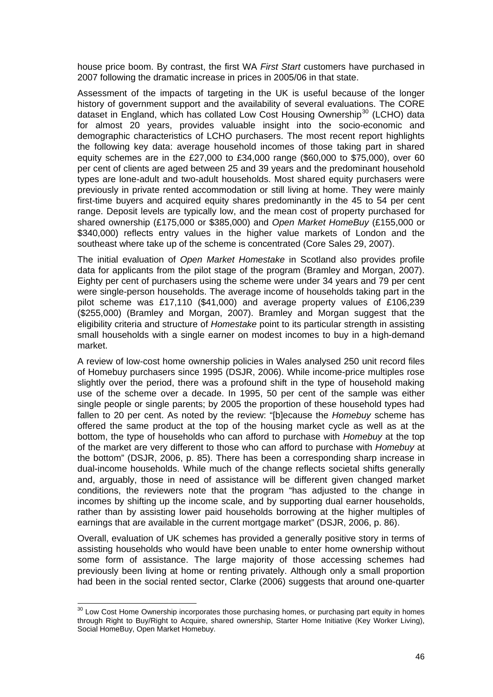house price boom. By contrast, the first WA *First Start* customers have purchased in 2007 following the dramatic increase in prices in 2005/06 in that state.

Assessment of the impacts of targeting in the UK is useful because of the longer history of government support and the availability of several evaluations. The CORE dataset in England, which has collated Low Cost Housing Ownership<sup>[30](#page-54-0)</sup> (LCHO) data for almost 20 years, provides valuable insight into the socio-economic and demographic characteristics of LCHO purchasers. The most recent report highlights the following key data: average household incomes of those taking part in shared equity schemes are in the £27,000 to £34,000 range (\$60,000 to \$75,000), over 60 per cent of clients are aged between 25 and 39 years and the predominant household types are lone-adult and two-adult households. Most shared equity purchasers were previously in private rented accommodation or still living at home. They were mainly first-time buyers and acquired equity shares predominantly in the 45 to 54 per cent range. Deposit levels are typically low, and the mean cost of property purchased for shared ownership (£175,000 or \$385,000) and *Open Market HomeBuy* (£155,000 or \$340,000) reflects entry values in the higher value markets of London and the southeast where take up of the scheme is concentrated (Core Sales 29, 2007).

The initial evaluation of *Open Market Homestake* in Scotland also provides profile data for applicants from the pilot stage of the program (Bramley and Morgan, 2007). Eighty per cent of purchasers using the scheme were under 34 years and 79 per cent were single-person households. The average income of households taking part in the pilot scheme was £17,110 (\$41,000) and average property values of £106,239 (\$255,000) (Bramley and Morgan, 2007). Bramley and Morgan suggest that the eligibility criteria and structure of *Homestake* point to its particular strength in assisting small households with a single earner on modest incomes to buy in a high-demand market.

A review of low-cost home ownership policies in Wales analysed 250 unit record files of Homebuy purchasers since 1995 (DSJR, 2006). While income-price multiples rose slightly over the period, there was a profound shift in the type of household making use of the scheme over a decade. In 1995, 50 per cent of the sample was either single people or single parents; by 2005 the proportion of these household types had fallen to 20 per cent. As noted by the review: "[b]ecause the *Homebuy* scheme has offered the same product at the top of the housing market cycle as well as at the bottom, the type of households who can afford to purchase with *Homebuy* at the top of the market are very different to those who can afford to purchase with *Homebuy* at the bottom" (DSJR, 2006, p. 85). There has been a corresponding sharp increase in dual-income households. While much of the change reflects societal shifts generally and, arguably, those in need of assistance will be different given changed market conditions, the reviewers note that the program "has adjusted to the change in incomes by shifting up the income scale, and by supporting dual earner households, rather than by assisting lower paid households borrowing at the higher multiples of earnings that are available in the current mortgage market" (DSJR, 2006, p. 86).

Overall, evaluation of UK schemes has provided a generally positive story in terms of assisting households who would have been unable to enter home ownership without some form of assistance. The large majority of those accessing schemes had previously been living at home or renting privately. Although only a small proportion had been in the social rented sector, Clarke (2006) suggests that around one-quarter

<span id="page-54-0"></span> $30$  Low Cost Home Ownership incorporates those purchasing homes, or purchasing part equity in homes through Right to Buy/Right to Acquire, shared ownership, Starter Home Initiative (Key Worker Living), Social HomeBuy, Open Market Homebuy.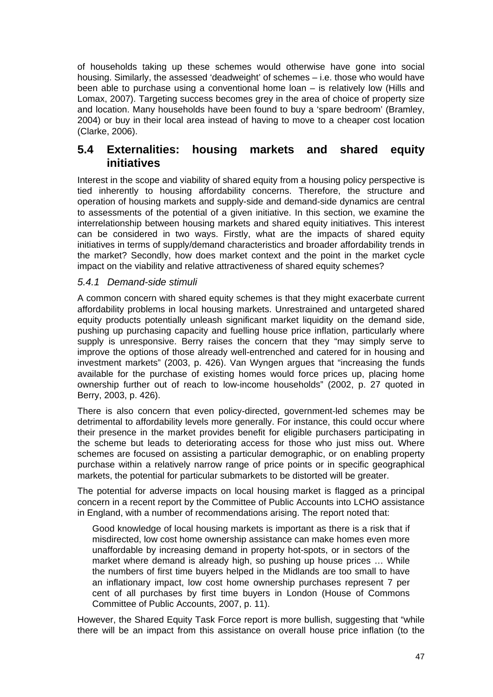of households taking up these schemes would otherwise have gone into social housing. Similarly, the assessed 'deadweight' of schemes – i.e. those who would have been able to purchase using a conventional home loan – is relatively low (Hills and Lomax, 2007). Targeting success becomes grey in the area of choice of property size and location. Many households have been found to buy a 'spare bedroom' (Bramley, 2004) or buy in their local area instead of having to move to a cheaper cost location (Clarke, 2006).

## **5.4 Externalities: housing markets and shared equity initiatives**

Interest in the scope and viability of shared equity from a housing policy perspective is tied inherently to housing affordability concerns. Therefore, the structure and operation of housing markets and supply-side and demand-side dynamics are central to assessments of the potential of a given initiative. In this section, we examine the interrelationship between housing markets and shared equity initiatives. This interest can be considered in two ways. Firstly, what are the impacts of shared equity initiatives in terms of supply/demand characteristics and broader affordability trends in the market? Secondly, how does market context and the point in the market cycle impact on the viability and relative attractiveness of shared equity schemes?

#### *5.4.1 Demand-side stimuli*

A common concern with shared equity schemes is that they might exacerbate current affordability problems in local housing markets. Unrestrained and untargeted shared equity products potentially unleash significant market liquidity on the demand side, pushing up purchasing capacity and fuelling house price inflation, particularly where supply is unresponsive. Berry raises the concern that they "may simply serve to improve the options of those already well-entrenched and catered for in housing and investment markets" (2003, p. 426). Van Wyngen argues that "increasing the funds available for the purchase of existing homes would force prices up, placing home ownership further out of reach to low-income households" (2002, p. 27 quoted in Berry, 2003, p. 426).

There is also concern that even policy-directed, government-led schemes may be detrimental to affordability levels more generally. For instance, this could occur where their presence in the market provides benefit for eligible purchasers participating in the scheme but leads to deteriorating access for those who just miss out. Where schemes are focused on assisting a particular demographic, or on enabling property purchase within a relatively narrow range of price points or in specific geographical markets, the potential for particular submarkets to be distorted will be greater.

The potential for adverse impacts on local housing market is flagged as a principal concern in a recent report by the Committee of Public Accounts into LCHO assistance in England, with a number of recommendations arising. The report noted that:

Good knowledge of local housing markets is important as there is a risk that if misdirected, low cost home ownership assistance can make homes even more unaffordable by increasing demand in property hot-spots, or in sectors of the market where demand is already high, so pushing up house prices … While the numbers of first time buyers helped in the Midlands are too small to have an inflationary impact, low cost home ownership purchases represent 7 per cent of all purchases by first time buyers in London (House of Commons Committee of Public Accounts, 2007, p. 11).

However, the Shared Equity Task Force report is more bullish, suggesting that "while there will be an impact from this assistance on overall house price inflation (to the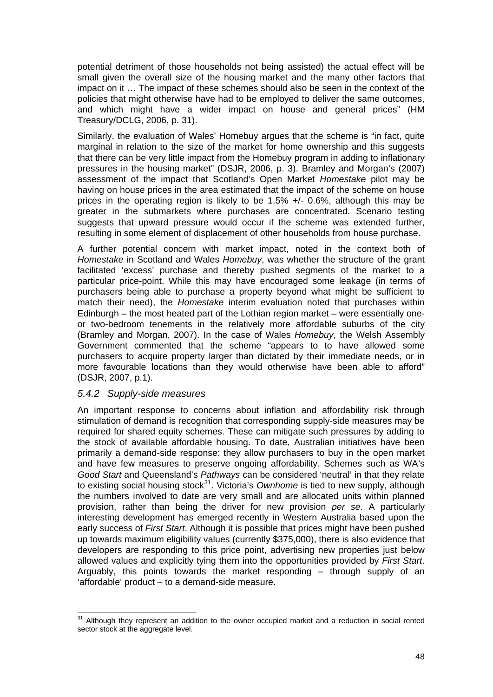potential detriment of those households not being assisted) the actual effect will be small given the overall size of the housing market and the many other factors that impact on it … The impact of these schemes should also be seen in the context of the policies that might otherwise have had to be employed to deliver the same outcomes, and which might have a wider impact on house and general prices" (HM Treasury/DCLG, 2006, p. 31).

Similarly, the evaluation of Wales' Homebuy argues that the scheme is "in fact, quite marginal in relation to the size of the market for home ownership and this suggests that there can be very little impact from the Homebuy program in adding to inflationary pressures in the housing market" (DSJR, 2006, p. 3). Bramley and Morgan's (2007) assessment of the impact that Scotland's Open Market *Homestake* pilot may be having on house prices in the area estimated that the impact of the scheme on house prices in the operating region is likely to be 1.5% +/- 0.6%, although this may be greater in the submarkets where purchases are concentrated. Scenario testing suggests that upward pressure would occur if the scheme was extended further, resulting in some element of displacement of other households from house purchase.

A further potential concern with market impact, noted in the context both of *Homestake* in Scotland and Wales *Homebuy*, was whether the structure of the grant facilitated 'excess' purchase and thereby pushed segments of the market to a particular price-point. While this may have encouraged some leakage (in terms of purchasers being able to purchase a property beyond what might be sufficient to match their need), the *Homestake* interim evaluation noted that purchases within Edinburgh – the most heated part of the Lothian region market – were essentially oneor two-bedroom tenements in the relatively more affordable suburbs of the city (Bramley and Morgan, 2007). In the case of Wales *Homebuy*, the Welsh Assembly Government commented that the scheme "appears to to have allowed some purchasers to acquire property larger than dictated by their immediate needs, or in more favourable locations than they would otherwise have been able to afford" (DSJR, 2007, p.1).

#### *5.4.2 Supply-side measures*

An important response to concerns about inflation and affordability risk through stimulation of demand is recognition that corresponding supply-side measures may be required for shared equity schemes. These can mitigate such pressures by adding to the stock of available affordable housing. To date, Australian initiatives have been primarily a demand-side response: they allow purchasers to buy in the open market and have few measures to preserve ongoing affordability. Schemes such as WA's *Good Start* and Queensland's *Pathways* can be considered 'neutral' in that they relate to existing social housing stock<sup>[31](#page-56-0)</sup>. Victoria's *Ownhome* is tied to new supply, although the numbers involved to date are very small and are allocated units within planned provision, rather than being the driver for new provision *per se*. A particularly interesting development has emerged recently in Western Australia based upon the early success of *First Start*. Although it is possible that prices might have been pushed up towards maximum eligibility values (currently \$375,000), there is also evidence that developers are responding to this price point, advertising new properties just below allowed values and explicitly tying them into the opportunities provided by *First Start*. Arguably, this points towards the market responding – through supply of an 'affordable' product – to a demand-side measure.

<span id="page-56-0"></span> $\overline{\phantom{a}}$  $31$  Although they represent an addition to the owner occupied market and a reduction in social rented sector stock at the aggregate level.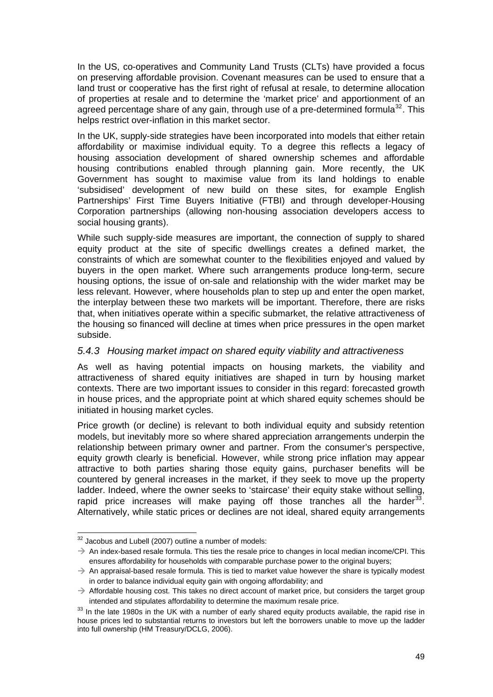In the US, co-operatives and Community Land Trusts (CLTs) have provided a focus on preserving affordable provision. Covenant measures can be used to ensure that a land trust or cooperative has the first right of refusal at resale, to determine allocation of properties at resale and to determine the 'market price' and apportionment of an agreed percentage share of any gain, through use of a pre-determined formula<sup>[32](#page-57-0)</sup>. This helps restrict over-inflation in this market sector.

In the UK, supply-side strategies have been incorporated into models that either retain affordability or maximise individual equity. To a degree this reflects a legacy of housing association development of shared ownership schemes and affordable housing contributions enabled through planning gain. More recently, the UK Government has sought to maximise value from its land holdings to enable 'subsidised' development of new build on these sites, for example English Partnerships' First Time Buyers Initiative (FTBI) and through developer-Housing Corporation partnerships (allowing non-housing association developers access to social housing grants).

While such supply-side measures are important, the connection of supply to shared equity product at the site of specific dwellings creates a defined market, the constraints of which are somewhat counter to the flexibilities enjoyed and valued by buyers in the open market. Where such arrangements produce long-term, secure housing options, the issue of on-sale and relationship with the wider market may be less relevant. However, where households plan to step up and enter the open market, the interplay between these two markets will be important. Therefore, there are risks that, when initiatives operate within a specific submarket, the relative attractiveness of the housing so financed will decline at times when price pressures in the open market subside.

#### *5.4.3 Housing market impact on shared equity viability and attractiveness*

As well as having potential impacts on housing markets, the viability and attractiveness of shared equity initiatives are shaped in turn by housing market contexts. There are two important issues to consider in this regard: forecasted growth in house prices, and the appropriate point at which shared equity schemes should be initiated in housing market cycles.

Price growth (or decline) is relevant to both individual equity and subsidy retention models, but inevitably more so where shared appreciation arrangements underpin the relationship between primary owner and partner. From the consumer's perspective, equity growth clearly is beneficial. However, while strong price inflation may appear attractive to both parties sharing those equity gains, purchaser benefits will be countered by general increases in the market, if they seek to move up the property ladder. Indeed, where the owner seeks to 'staircase' their equity stake without selling, rapid price increases will make paying off those tranches all the harder  $33$ . Alternatively, while static prices or declines are not ideal, shared equity arrangements

  $32$  Jacobus and Lubell (2007) outline a number of models:

<span id="page-57-0"></span> $\rightarrow$  An index-based resale formula. This ties the resale price to changes in local median income/CPI. This ensures affordability for households with comparable purchase power to the original buyers;

 $\rightarrow$  An appraisal-based resale formula. This is tied to market value however the share is typically modest in order to balance individual equity gain with ongoing affordability; and

 $\rightarrow$  Affordable housing cost. This takes no direct account of market price, but considers the target group

<span id="page-57-1"></span>intended and stipulates affordability to determine the maximum resale price.<br><sup>33</sup> In the late 1980s in the UK with a number of early shared equity products available, the rapid rise in house prices led to substantial returns to investors but left the borrowers unable to move up the ladder into full ownership (HM Treasury/DCLG, 2006).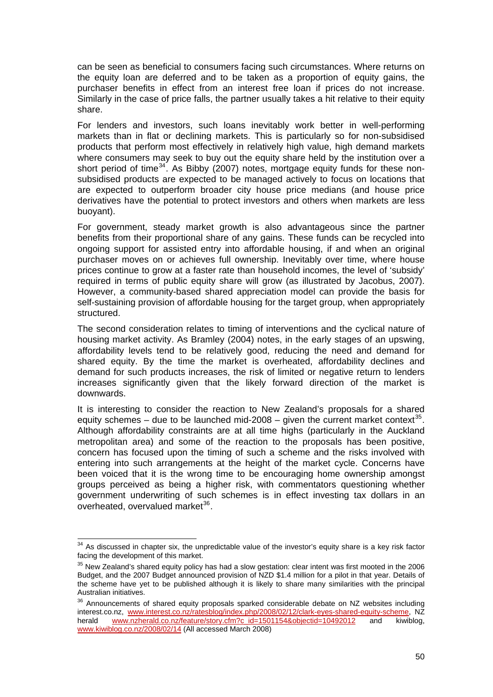can be seen as beneficial to consumers facing such circumstances. Where returns on the equity loan are deferred and to be taken as a proportion of equity gains, the purchaser benefits in effect from an interest free loan if prices do not increase. Similarly in the case of price falls, the partner usually takes a hit relative to their equity share.

For lenders and investors, such loans inevitably work better in well-performing markets than in flat or declining markets. This is particularly so for non-subsidised products that perform most effectively in relatively high value, high demand markets where consumers may seek to buy out the equity share held by the institution over a short period of time<sup>[34](#page-58-0)</sup>. As Bibby (2007) notes, mortgage equity funds for these nonsubsidised products are expected to be managed actively to focus on locations that are expected to outperform broader city house price medians (and house price derivatives have the potential to protect investors and others when markets are less buoyant).

For government, steady market growth is also advantageous since the partner benefits from their proportional share of any gains. These funds can be recycled into ongoing support for assisted entry into affordable housing, if and when an original purchaser moves on or achieves full ownership. Inevitably over time, where house prices continue to grow at a faster rate than household incomes, the level of 'subsidy' required in terms of public equity share will grow (as illustrated by Jacobus, 2007). However, a community-based shared appreciation model can provide the basis for self-sustaining provision of affordable housing for the target group, when appropriately structured.

The second consideration relates to timing of interventions and the cyclical nature of housing market activity. As Bramley (2004) notes, in the early stages of an upswing, affordability levels tend to be relatively good, reducing the need and demand for shared equity. By the time the market is overheated, affordability declines and demand for such products increases, the risk of limited or negative return to lenders increases significantly given that the likely forward direction of the market is downwards.

It is interesting to consider the reaction to New Zealand's proposals for a shared equity schemes – due to be launched mid-2008 – given the current market context<sup>[35](#page-58-1)</sup>. Although affordability constraints are at all time highs (particularly in the Auckland metropolitan area) and some of the reaction to the proposals has been positive, concern has focused upon the timing of such a scheme and the risks involved with entering into such arrangements at the height of the market cycle. Concerns have been voiced that it is the wrong time to be encouraging home ownership amongst groups perceived as being a higher risk, with commentators questioning whether government underwriting of such schemes is in effect investing tax dollars in an  $overhead$ , overvalued market $36$ .

 $\overline{\phantom{a}}$ 

<span id="page-58-0"></span> $34$  As discussed in chapter six, the unpredictable value of the investor's equity share is a key risk factor facing the development of this market.

<span id="page-58-1"></span><sup>&</sup>lt;sup>35</sup> New Zealand's shared equity policy has had a slow gestation: clear intent was first mooted in the 2006 Budget, and the 2007 Budget announced provision of NZD \$1.4 million for a pilot in that year. Details of the scheme have yet to be published although it is likely to share many similarities with the principal Australian initiatives.

<span id="page-58-2"></span><sup>&</sup>lt;sup>36</sup> Announcements of shared equity proposals sparked considerable debate on NZ websites including interest.co.nz, [www.interest.co.nz/ratesblog/index.php/2008/02/12/clark-eyes-shared-equity-scheme,](http://www.interest.co.nz/ratesblog/index.php/2008/02/12/clark-eyes-shared-equity-scheme) NZ herald [www.nzherald.co.nz/feature/story.cfm?c\\_id=1501154&objectid=10492012](http://www.nzherald.co.nz/feature/story.cfm?c_id=1501154&objectid=10492012) and kiwiblog, [www.kiwiblog.co.nz/2008/02/14](http://www.kiwiblog.co.nz/2008/02/14) (All accessed March 2008)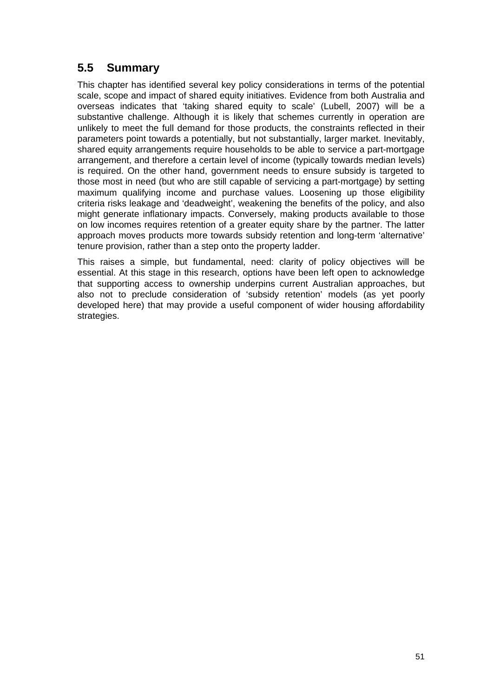# **5.5 Summary**

This chapter has identified several key policy considerations in terms of the potential scale, scope and impact of shared equity initiatives. Evidence from both Australia and overseas indicates that 'taking shared equity to scale' (Lubell, 2007) will be a substantive challenge. Although it is likely that schemes currently in operation are unlikely to meet the full demand for those products, the constraints reflected in their parameters point towards a potentially, but not substantially, larger market. Inevitably, shared equity arrangements require households to be able to service a part-mortgage arrangement, and therefore a certain level of income (typically towards median levels) is required. On the other hand, government needs to ensure subsidy is targeted to those most in need (but who are still capable of servicing a part-mortgage) by setting maximum qualifying income and purchase values. Loosening up those eligibility criteria risks leakage and 'deadweight', weakening the benefits of the policy, and also might generate inflationary impacts. Conversely, making products available to those on low incomes requires retention of a greater equity share by the partner. The latter approach moves products more towards subsidy retention and long-term 'alternative' tenure provision, rather than a step onto the property ladder.

This raises a simple, but fundamental, need: clarity of policy objectives will be essential. At this stage in this research, options have been left open to acknowledge that supporting access to ownership underpins current Australian approaches, but also not to preclude consideration of 'subsidy retention' models (as yet poorly developed here) that may provide a useful component of wider housing affordability strategies.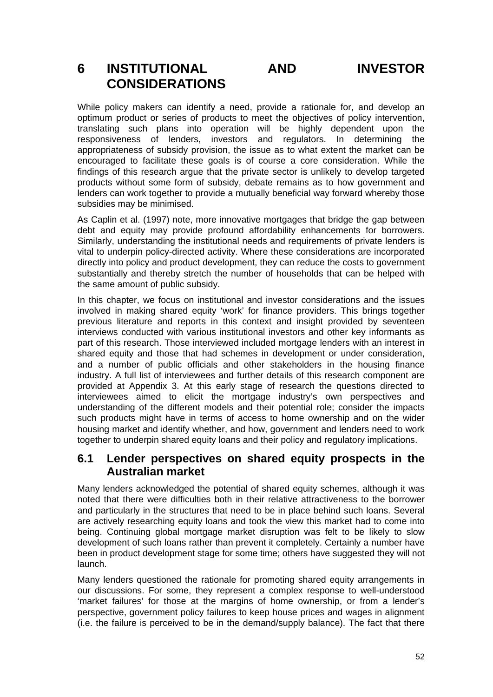# **6 INSTITUTIONAL AND INVESTOR CONSIDERATIONS**

While policy makers can identify a need, provide a rationale for, and develop an optimum product or series of products to meet the objectives of policy intervention, translating such plans into operation will be highly dependent upon the responsiveness of lenders, investors and regulators. In determining the appropriateness of subsidy provision, the issue as to what extent the market can be encouraged to facilitate these goals is of course a core consideration. While the findings of this research argue that the private sector is unlikely to develop targeted products without some form of subsidy, debate remains as to how government and lenders can work together to provide a mutually beneficial way forward whereby those subsidies may be minimised.

As Caplin et al. (1997) note, more innovative mortgages that bridge the gap between debt and equity may provide profound affordability enhancements for borrowers. Similarly, understanding the institutional needs and requirements of private lenders is vital to underpin policy-directed activity. Where these considerations are incorporated directly into policy and product development, they can reduce the costs to government substantially and thereby stretch the number of households that can be helped with the same amount of public subsidy.

In this chapter, we focus on institutional and investor considerations and the issues involved in making shared equity 'work' for finance providers. This brings together previous literature and reports in this context and insight provided by seventeen interviews conducted with various institutional investors and other key informants as part of this research. Those interviewed included mortgage lenders with an interest in shared equity and those that had schemes in development or under consideration, and a number of public officials and other stakeholders in the housing finance industry. A full list of interviewees and further details of this research component are provided at Appendix 3. At this early stage of research the questions directed to interviewees aimed to elicit the mortgage industry's own perspectives and understanding of the different models and their potential role; consider the impacts such products might have in terms of access to home ownership and on the wider housing market and identify whether, and how, government and lenders need to work together to underpin shared equity loans and their policy and regulatory implications.

### **6.1 Lender perspectives on shared equity prospects in the Australian market**

Many lenders acknowledged the potential of shared equity schemes, although it was noted that there were difficulties both in their relative attractiveness to the borrower and particularly in the structures that need to be in place behind such loans. Several are actively researching equity loans and took the view this market had to come into being. Continuing global mortgage market disruption was felt to be likely to slow development of such loans rather than prevent it completely. Certainly a number have been in product development stage for some time; others have suggested they will not launch.

Many lenders questioned the rationale for promoting shared equity arrangements in our discussions. For some, they represent a complex response to well-understood 'market failures' for those at the margins of home ownership, or from a lender's perspective, government policy failures to keep house prices and wages in alignment (i.e. the failure is perceived to be in the demand/supply balance). The fact that there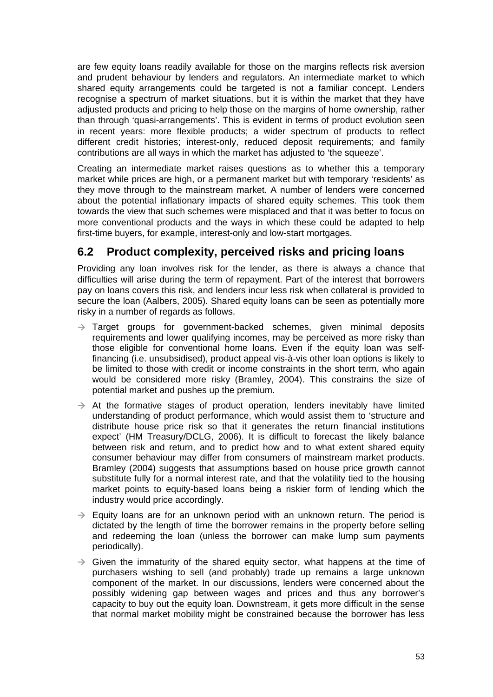are few equity loans readily available for those on the margins reflects risk aversion and prudent behaviour by lenders and regulators. An intermediate market to which shared equity arrangements could be targeted is not a familiar concept. Lenders recognise a spectrum of market situations, but it is within the market that they have adjusted products and pricing to help those on the margins of home ownership, rather than through 'quasi-arrangements'. This is evident in terms of product evolution seen in recent years: more flexible products; a wider spectrum of products to reflect different credit histories; interest-only, reduced deposit requirements; and family contributions are all ways in which the market has adjusted to 'the squeeze'.

Creating an intermediate market raises questions as to whether this a temporary market while prices are high, or a permanent market but with temporary 'residents' as they move through to the mainstream market. A number of lenders were concerned about the potential inflationary impacts of shared equity schemes. This took them towards the view that such schemes were misplaced and that it was better to focus on more conventional products and the ways in which these could be adapted to help first-time buyers, for example, interest-only and low-start mortgages.

# **6.2 Product complexity, perceived risks and pricing loans**

Providing any loan involves risk for the lender, as there is always a chance that difficulties will arise during the term of repayment. Part of the interest that borrowers pay on loans covers this risk, and lenders incur less risk when collateral is provided to secure the loan (Aalbers, 2005). Shared equity loans can be seen as potentially more risky in a number of regards as follows.

- $\rightarrow$  Target groups for government-backed schemes, given minimal deposits requirements and lower qualifying incomes, may be perceived as more risky than those eligible for conventional home loans. Even if the equity loan was selffinancing (i.e. unsubsidised), product appeal vis-à-vis other loan options is likely to be limited to those with credit or income constraints in the short term, who again would be considered more risky (Bramley, 2004). This constrains the size of potential market and pushes up the premium.
- $\rightarrow$  At the formative stages of product operation, lenders inevitably have limited understanding of product performance, which would assist them to 'structure and distribute house price risk so that it generates the return financial institutions expect' (HM Treasury/DCLG, 2006). It is difficult to forecast the likely balance between risk and return, and to predict how and to what extent shared equity consumer behaviour may differ from consumers of mainstream market products. Bramley (2004) suggests that assumptions based on house price growth cannot substitute fully for a normal interest rate, and that the volatility tied to the housing market points to equity-based loans being a riskier form of lending which the industry would price accordingly.
- $\rightarrow$  Equity loans are for an unknown period with an unknown return. The period is dictated by the length of time the borrower remains in the property before selling and redeeming the loan (unless the borrower can make lump sum payments periodically).
- $\rightarrow$  Given the immaturity of the shared equity sector, what happens at the time of purchasers wishing to sell (and probably) trade up remains a large unknown component of the market. In our discussions, lenders were concerned about the possibly widening gap between wages and prices and thus any borrower's capacity to buy out the equity loan. Downstream, it gets more difficult in the sense that normal market mobility might be constrained because the borrower has less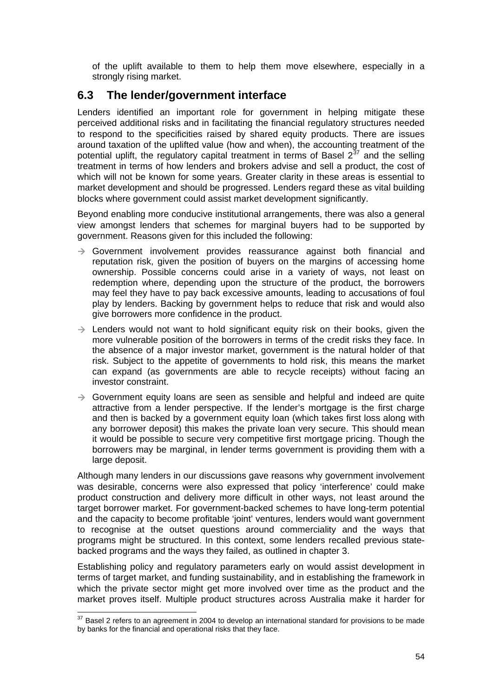of the uplift available to them to help them move elsewhere, especially in a strongly rising market.

## **6.3 The lender/government interface**

Lenders identified an important role for government in helping mitigate these perceived additional risks and in facilitating the financial regulatory structures needed to respond to the specificities raised by shared equity products. There are issues around taxation of the uplifted value (how and when), the accounting treatment of the potential uplift, the regulatory capital treatment in terms of Basel  $2^{37}$  $2^{37}$  $2^{37}$  and the selling treatment in terms of how lenders and brokers advise and sell a product, the cost of which will not be known for some years. Greater clarity in these areas is essential to market development and should be progressed. Lenders regard these as vital building blocks where government could assist market development significantly.

Beyond enabling more conducive institutional arrangements, there was also a general view amongst lenders that schemes for marginal buyers had to be supported by government. Reasons given for this included the following:

- $\rightarrow$  Government involvement provides reassurance against both financial and reputation risk, given the position of buyers on the margins of accessing home ownership. Possible concerns could arise in a variety of ways, not least on redemption where, depending upon the structure of the product, the borrowers may feel they have to pay back excessive amounts, leading to accusations of foul play by lenders. Backing by government helps to reduce that risk and would also give borrowers more confidence in the product.
- $\rightarrow$  Lenders would not want to hold significant equity risk on their books, given the more vulnerable position of the borrowers in terms of the credit risks they face. In the absence of a major investor market, government is the natural holder of that risk. Subject to the appetite of governments to hold risk, this means the market can expand (as governments are able to recycle receipts) without facing an investor constraint.
- $\rightarrow$  Government equity loans are seen as sensible and helpful and indeed are quite attractive from a lender perspective. If the lender's mortgage is the first charge and then is backed by a government equity loan (which takes first loss along with any borrower deposit) this makes the private loan very secure. This should mean it would be possible to secure very competitive first mortgage pricing. Though the borrowers may be marginal, in lender terms government is providing them with a large deposit.

Although many lenders in our discussions gave reasons why government involvement was desirable, concerns were also expressed that policy 'interference' could make product construction and delivery more difficult in other ways, not least around the target borrower market. For government-backed schemes to have long-term potential and the capacity to become profitable 'joint' ventures, lenders would want government to recognise at the outset questions around commerciality and the ways that programs might be structured. In this context, some lenders recalled previous statebacked programs and the ways they failed, as outlined in chapter 3.

Establishing policy and regulatory parameters early on would assist development in terms of target market, and funding sustainability, and in establishing the framework in which the private sector might get more involved over time as the product and the market proves itself. Multiple product structures across Australia make it harder for

<span id="page-62-0"></span> $\overline{\phantom{a}}$  $37$  Basel 2 refers to an agreement in 2004 to develop an international standard for provisions to be made by banks for the financial and operational risks that they face.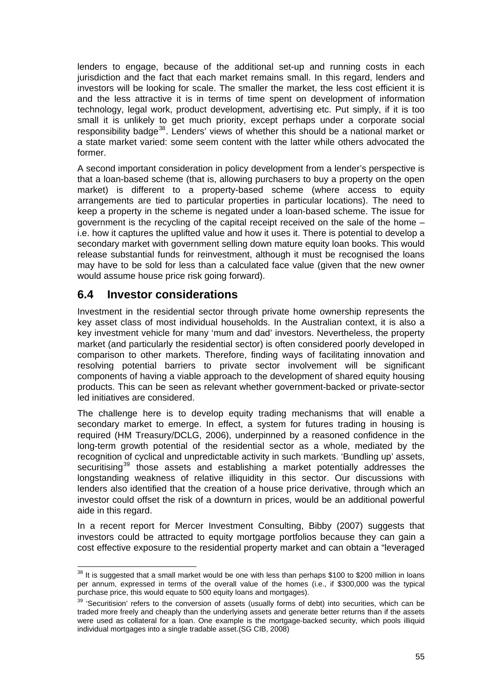lenders to engage, because of the additional set-up and running costs in each jurisdiction and the fact that each market remains small. In this regard, lenders and investors will be looking for scale. The smaller the market, the less cost efficient it is and the less attractive it is in terms of time spent on development of information technology, legal work, product development, advertising etc. Put simply, if it is too small it is unlikely to get much priority, except perhaps under a corporate social responsibility badge<sup>[38](#page-63-0)</sup>. Lenders' views of whether this should be a national market or a state market varied: some seem content with the latter while others advocated the former.

A second important consideration in policy development from a lender's perspective is that a loan-based scheme (that is, allowing purchasers to buy a property on the open market) is different to a property-based scheme (where access to equity arrangements are tied to particular properties in particular locations). The need to keep a property in the scheme is negated under a loan-based scheme. The issue for government is the recycling of the capital receipt received on the sale of the home – i.e. how it captures the uplifted value and how it uses it. There is potential to develop a secondary market with government selling down mature equity loan books. This would release substantial funds for reinvestment, although it must be recognised the loans may have to be sold for less than a calculated face value (given that the new owner would assume house price risk going forward).

### **6.4 Investor considerations**

Investment in the residential sector through private home ownership represents the key asset class of most individual households. In the Australian context, it is also a key investment vehicle for many 'mum and dad' investors. Nevertheless, the property market (and particularly the residential sector) is often considered poorly developed in comparison to other markets. Therefore, finding ways of facilitating innovation and resolving potential barriers to private sector involvement will be significant components of having a viable approach to the development of shared equity housing products. This can be seen as relevant whether government-backed or private-sector led initiatives are considered.

The challenge here is to develop equity trading mechanisms that will enable a secondary market to emerge. In effect, a system for futures trading in housing is required (HM Treasury/DCLG, 2006), underpinned by a reasoned confidence in the long-term growth potential of the residential sector as a whole, mediated by the recognition of cyclical and unpredictable activity in such markets. 'Bundling up' assets, securitising<sup>[39](#page-63-1)</sup> those assets and establishing a market potentially addresses the longstanding weakness of relative illiquidity in this sector. Our discussions with lenders also identified that the creation of a house price derivative, through which an investor could offset the risk of a downturn in prices, would be an additional powerful aide in this regard.

In a recent report for Mercer Investment Consulting, Bibby (2007) suggests that investors could be attracted to equity mortgage portfolios because they can gain a cost effective exposure to the residential property market and can obtain a "leveraged

<span id="page-63-0"></span>  $38$  It is suggested that a small market would be one with less than perhaps \$100 to \$200 million in loans per annum, expressed in terms of the overall value of the homes (i.e., if \$300,000 was the typical purchase price, this would equate to 500 equity loans and mortgages).

<span id="page-63-1"></span><sup>&</sup>lt;sup>39</sup> 'Securitision' refers to the conversion of assets (usually forms of debt) into securities, which can be traded more freely and cheaply than the underlying assets and generate better returns than if the assets were used as collateral for a loan. One example is the mortgage-backed security, which pools illiquid individual mortgages into a single tradable asset.(SG CIB, 2008)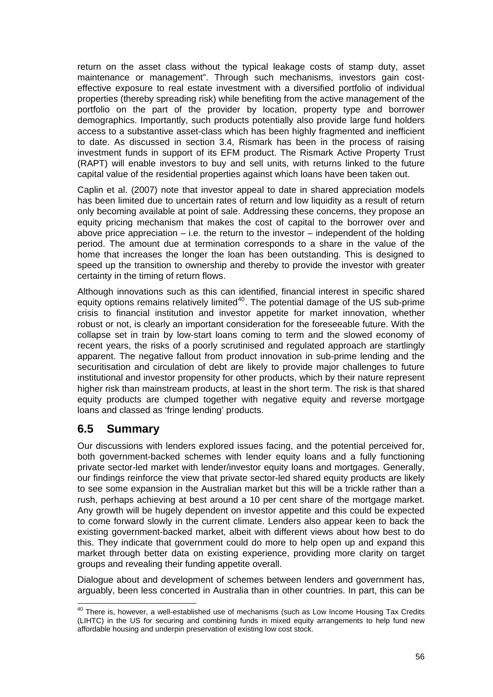return on the asset class without the typical leakage costs of stamp duty, asset maintenance or management". Through such mechanisms, investors gain costeffective exposure to real estate investment with a diversified portfolio of individual properties (thereby spreading risk) while benefiting from the active management of the portfolio on the part of the provider by location, property type and borrower demographics. Importantly, such products potentially also provide large fund holders access to a substantive asset-class which has been highly fragmented and inefficient to date. As discussed in section 3.4, Rismark has been in the process of raising investment funds in support of its EFM product. The Rismark Active Property Trust (RAPT) will enable investors to buy and sell units, with returns linked to the future capital value of the residential properties against which loans have been taken out.

Caplin et al. (2007) note that investor appeal to date in shared appreciation models has been limited due to uncertain rates of return and low liquidity as a result of return only becoming available at point of sale. Addressing these concerns, they propose an equity pricing mechanism that makes the cost of capital to the borrower over and above price appreciation  $-$  i.e. the return to the investor  $-$  independent of the holding period. The amount due at termination corresponds to a share in the value of the home that increases the longer the loan has been outstanding. This is designed to speed up the transition to ownership and thereby to provide the investor with greater certainty in the timing of return flows.

Although innovations such as this can identified, financial interest in specific shared equity options remains relatively limited<sup>[40](#page-64-0)</sup>. The potential damage of the US sub-prime crisis to financial institution and investor appetite for market innovation, whether robust or not, is clearly an important consideration for the foreseeable future. With the collapse set in train by low-start loans coming to term and the slowed economy of recent years, the risks of a poorly scrutinised and regulated approach are startlingly apparent. The negative fallout from product innovation in sub-prime lending and the securitisation and circulation of debt are likely to provide major challenges to future institutional and investor propensity for other products, which by their nature represent higher risk than mainstream products, at least in the short term. The risk is that shared equity products are clumped together with negative equity and reverse mortgage loans and classed as 'fringe lending' products.

# **6.5 Summary**

Our discussions with lenders explored issues facing, and the potential perceived for, both government-backed schemes with lender equity loans and a fully functioning private sector-led market with lender/investor equity loans and mortgages. Generally, our findings reinforce the view that private sector-led shared equity products are likely to see some expansion in the Australian market but this will be a trickle rather than a rush, perhaps achieving at best around a 10 per cent share of the mortgage market. Any growth will be hugely dependent on investor appetite and this could be expected to come forward slowly in the current climate. Lenders also appear keen to back the existing government-backed market, albeit with different views about how best to do this. They indicate that government could do more to help open up and expand this market through better data on existing experience, providing more clarity on target groups and revealing their funding appetite overall.

Dialogue about and development of schemes between lenders and government has, arguably, been less concerted in Australia than in other countries. In part, this can be

<span id="page-64-0"></span>  $40$  There is, however, a well-established use of mechanisms (such as Low Income Housing Tax Credits (LIHTC) in the US for securing and combining funds in mixed equity arrangements to help fund new affordable housing and underpin preservation of existing low cost stock.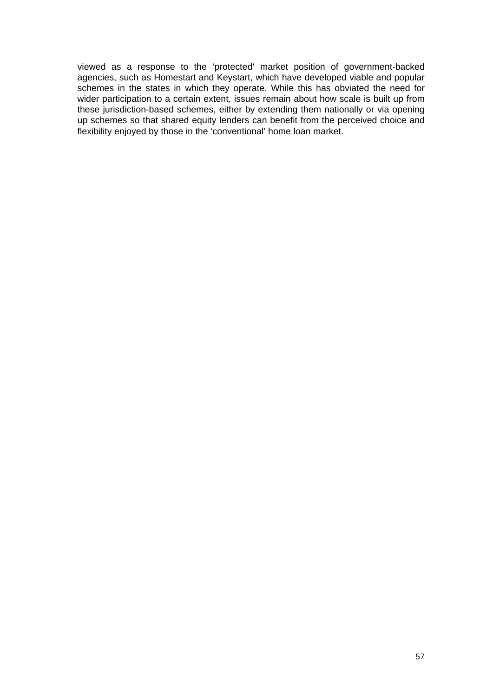viewed as a response to the 'protected' market position of government-backed agencies, such as Homestart and Keystart, which have developed viable and popular schemes in the states in which they operate. While this has obviated the need for wider participation to a certain extent, issues remain about how scale is built up from these jurisdiction-based schemes, either by extending them nationally or via opening up schemes so that shared equity lenders can benefit from the perceived choice and flexibility enjoyed by those in the 'conventional' home loan market.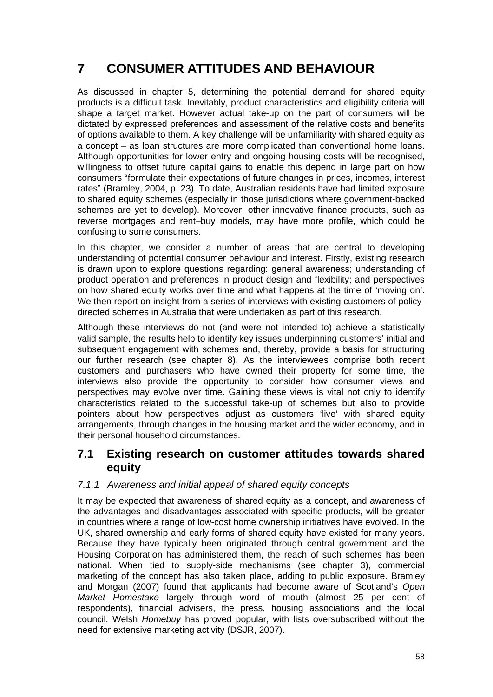# **7 CONSUMER ATTITUDES AND BEHAVIOUR**

As discussed in chapter 5, determining the potential demand for shared equity products is a difficult task. Inevitably, product characteristics and eligibility criteria will shape a target market. However actual take-up on the part of consumers will be dictated by expressed preferences and assessment of the relative costs and benefits of options available to them. A key challenge will be unfamiliarity with shared equity as a concept – as loan structures are more complicated than conventional home loans. Although opportunities for lower entry and ongoing housing costs will be recognised, willingness to offset future capital gains to enable this depend in large part on how consumers "formulate their expectations of future changes in prices, incomes, interest rates" (Bramley, 2004, p. 23). To date, Australian residents have had limited exposure to shared equity schemes (especially in those jurisdictions where government-backed schemes are yet to develop). Moreover, other innovative finance products, such as reverse mortgages and rent–buy models, may have more profile, which could be confusing to some consumers.

In this chapter, we consider a number of areas that are central to developing understanding of potential consumer behaviour and interest. Firstly, existing research is drawn upon to explore questions regarding: general awareness; understanding of product operation and preferences in product design and flexibility; and perspectives on how shared equity works over time and what happens at the time of 'moving on'. We then report on insight from a series of interviews with existing customers of policydirected schemes in Australia that were undertaken as part of this research.

Although these interviews do not (and were not intended to) achieve a statistically valid sample, the results help to identify key issues underpinning customers' initial and subsequent engagement with schemes and, thereby, provide a basis for structuring our further research (see chapter 8). As the interviewees comprise both recent customers and purchasers who have owned their property for some time, the interviews also provide the opportunity to consider how consumer views and perspectives may evolve over time. Gaining these views is vital not only to identify characteristics related to the successful take-up of schemes but also to provide pointers about how perspectives adjust as customers 'live' with shared equity arrangements, through changes in the housing market and the wider economy, and in their personal household circumstances.

## **7.1 Existing research on customer attitudes towards shared equity**

#### *7.1.1 Awareness and initial appeal of shared equity concepts*

It may be expected that awareness of shared equity as a concept, and awareness of the advantages and disadvantages associated with specific products, will be greater in countries where a range of low-cost home ownership initiatives have evolved. In the UK, shared ownership and early forms of shared equity have existed for many years. Because they have typically been originated through central government and the Housing Corporation has administered them, the reach of such schemes has been national. When tied to supply-side mechanisms (see chapter 3), commercial marketing of the concept has also taken place, adding to public exposure. Bramley and Morgan (2007) found that applicants had become aware of Scotland's *Open Market Homestake* largely through word of mouth (almost 25 per cent of respondents), financial advisers, the press, housing associations and the local council. Welsh *Homebuy* has proved popular, with lists oversubscribed without the need for extensive marketing activity (DSJR, 2007).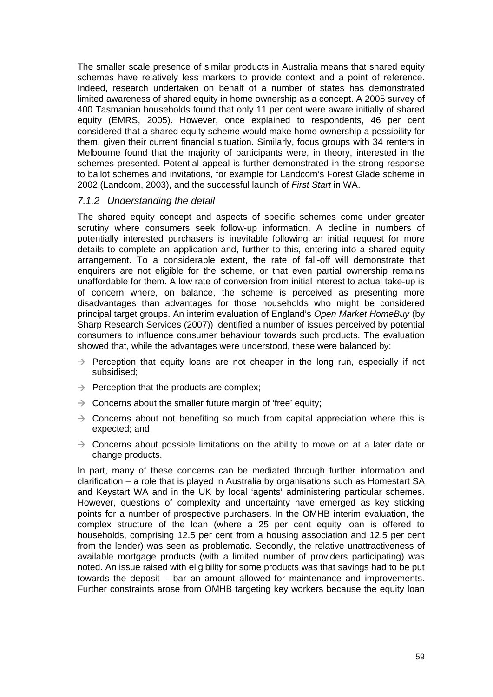The smaller scale presence of similar products in Australia means that shared equity schemes have relatively less markers to provide context and a point of reference. Indeed, research undertaken on behalf of a number of states has demonstrated limited awareness of shared equity in home ownership as a concept. A 2005 survey of 400 Tasmanian households found that only 11 per cent were aware initially of shared equity (EMRS, 2005). However, once explained to respondents, 46 per cent considered that a shared equity scheme would make home ownership a possibility for them, given their current financial situation. Similarly, focus groups with 34 renters in Melbourne found that the majority of participants were, in theory, interested in the schemes presented. Potential appeal is further demonstrated in the strong response to ballot schemes and invitations, for example for Landcom's Forest Glade scheme in 2002 (Landcom, 2003), and the successful launch of *First Start* in WA.

#### *7.1.2 Understanding the detail*

The shared equity concept and aspects of specific schemes come under greater scrutiny where consumers seek follow-up information. A decline in numbers of potentially interested purchasers is inevitable following an initial request for more details to complete an application and, further to this, entering into a shared equity arrangement. To a considerable extent, the rate of fall-off will demonstrate that enquirers are not eligible for the scheme, or that even partial ownership remains unaffordable for them. A low rate of conversion from initial interest to actual take-up is of concern where, on balance, the scheme is perceived as presenting more disadvantages than advantages for those households who might be considered principal target groups. An interim evaluation of England's *Open Market HomeBuy* (by Sharp Research Services (2007)) identified a number of issues perceived by potential consumers to influence consumer behaviour towards such products. The evaluation showed that, while the advantages were understood, these were balanced by:

- $\rightarrow$  Perception that equity loans are not cheaper in the long run, especially if not subsidised;
- $\rightarrow$  Perception that the products are complex;
- $\rightarrow$  Concerns about the smaller future margin of 'free' equity;
- $\rightarrow$  Concerns about not benefiting so much from capital appreciation where this is expected; and
- $\rightarrow$  Concerns about possible limitations on the ability to move on at a later date or change products.

In part, many of these concerns can be mediated through further information and clarification – a role that is played in Australia by organisations such as Homestart SA and Keystart WA and in the UK by local 'agents' administering particular schemes. However, questions of complexity and uncertainty have emerged as key sticking points for a number of prospective purchasers. In the OMHB interim evaluation, the complex structure of the loan (where a 25 per cent equity loan is offered to households, comprising 12.5 per cent from a housing association and 12.5 per cent from the lender) was seen as problematic. Secondly, the relative unattractiveness of available mortgage products (with a limited number of providers participating) was noted. An issue raised with eligibility for some products was that savings had to be put towards the deposit – bar an amount allowed for maintenance and improvements. Further constraints arose from OMHB targeting key workers because the equity loan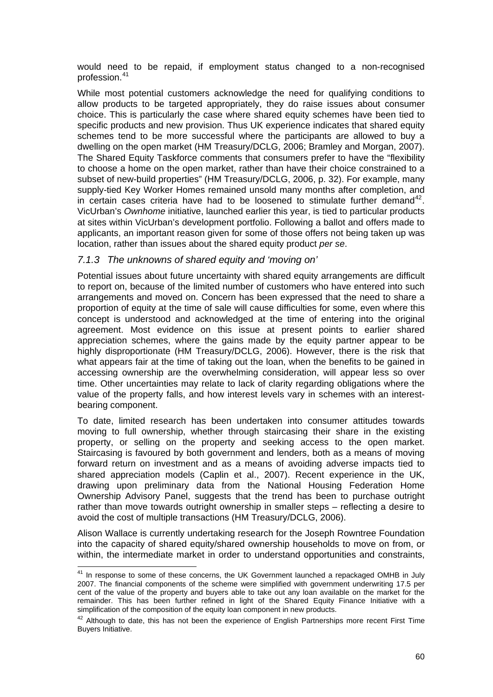would need to be repaid, if employment status changed to a non-recognised profession.[41](#page-68-0)

While most potential customers acknowledge the need for qualifying conditions to allow products to be targeted appropriately, they do raise issues about consumer choice. This is particularly the case where shared equity schemes have been tied to specific products and new provision. Thus UK experience indicates that shared equity schemes tend to be more successful where the participants are allowed to buy a dwelling on the open market (HM Treasury/DCLG, 2006; Bramley and Morgan, 2007). The Shared Equity Taskforce comments that consumers prefer to have the "flexibility to choose a home on the open market, rather than have their choice constrained to a subset of new-build properties" (HM Treasury/DCLG, 2006, p. 32). For example, many supply-tied Key Worker Homes remained unsold many months after completion, and in certain cases criteria have had to be loosened to stimulate further demand<sup>[42](#page-68-1)</sup>. VicUrban's *Ownhome* initiative, launched earlier this year, is tied to particular products at sites within VicUrban's development portfolio. Following a ballot and offers made to applicants, an important reason given for some of those offers not being taken up was location, rather than issues about the shared equity product *per se*.

#### *7.1.3 The unknowns of shared equity and 'moving on'*

Potential issues about future uncertainty with shared equity arrangements are difficult to report on, because of the limited number of customers who have entered into such arrangements and moved on. Concern has been expressed that the need to share a proportion of equity at the time of sale will cause difficulties for some, even where this concept is understood and acknowledged at the time of entering into the original agreement. Most evidence on this issue at present points to earlier shared appreciation schemes, where the gains made by the equity partner appear to be highly disproportionate (HM Treasury/DCLG, 2006). However, there is the risk that what appears fair at the time of taking out the loan, when the benefits to be gained in accessing ownership are the overwhelming consideration, will appear less so over time. Other uncertainties may relate to lack of clarity regarding obligations where the value of the property falls, and how interest levels vary in schemes with an interestbearing component.

To date, limited research has been undertaken into consumer attitudes towards moving to full ownership, whether through staircasing their share in the existing property, or selling on the property and seeking access to the open market. Staircasing is favoured by both government and lenders, both as a means of moving forward return on investment and as a means of avoiding adverse impacts tied to shared appreciation models (Caplin et al., 2007). Recent experience in the UK, drawing upon preliminary data from the National Housing Federation Home Ownership Advisory Panel, suggests that the trend has been to purchase outright rather than move towards outright ownership in smaller steps – reflecting a desire to avoid the cost of multiple transactions (HM Treasury/DCLG, 2006).

Alison Wallace is currently undertaking research for the Joseph Rowntree Foundation into the capacity of shared equity/shared ownership households to move on from, or within, the intermediate market in order to understand opportunities and constraints,

<span id="page-68-0"></span> $41$  In response to some of these concerns, the UK Government launched a repackaged OMHB in July 2007. The financial components of the scheme were simplified with government underwriting 17.5 per cent of the value of the property and buyers able to take out any loan available on the market for the remainder. This has been further refined in light of the Shared Equity Finance Initiative with a simplification of the composition of the equity loan component in new products.<br><sup>42</sup> Although to date, this has not been the experience of English Partnerships more recent First Time

<span id="page-68-1"></span>Buyers Initiative.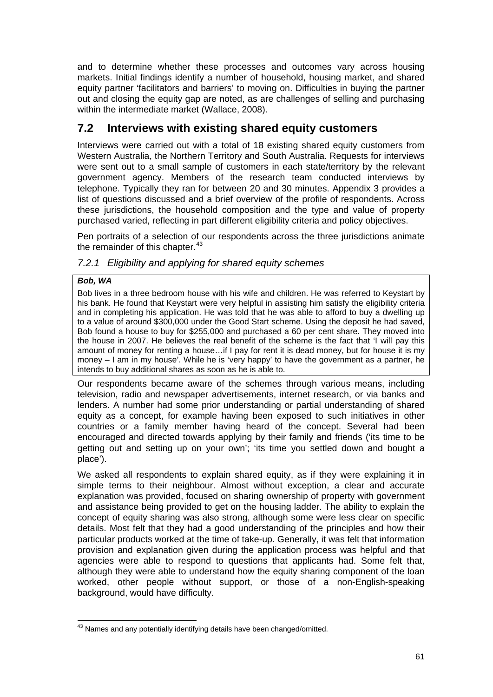and to determine whether these processes and outcomes vary across housing markets. Initial findings identify a number of household, housing market, and shared equity partner 'facilitators and barriers' to moving on. Difficulties in buying the partner out and closing the equity gap are noted, as are challenges of selling and purchasing within the intermediate market (Wallace, 2008).

## **7.2 Interviews with existing shared equity customers**

Interviews were carried out with a total of 18 existing shared equity customers from Western Australia, the Northern Territory and South Australia. Requests for interviews were sent out to a small sample of customers in each state/territory by the relevant government agency. Members of the research team conducted interviews by telephone. Typically they ran for between 20 and 30 minutes. Appendix 3 provides a list of questions discussed and a brief overview of the profile of respondents. Across these jurisdictions, the household composition and the type and value of property purchased varied, reflecting in part different eligibility criteria and policy objectives.

Pen portraits of a selection of our respondents across the three jurisdictions animate the remainder of this chapter. $43$ 

#### *7.2.1 Eligibility and applying for shared equity schemes*

#### *Bob, WA*

Bob lives in a three bedroom house with his wife and children. He was referred to Keystart by his bank. He found that Keystart were very helpful in assisting him satisfy the eligibility criteria and in completing his application. He was told that he was able to afford to buy a dwelling up to a value of around \$300,000 under the Good Start scheme. Using the deposit he had saved, Bob found a house to buy for \$255,000 and purchased a 60 per cent share. They moved into the house in 2007. He believes the real benefit of the scheme is the fact that 'I will pay this amount of money for renting a house…if I pay for rent it is dead money, but for house it is my money – I am in my house'. While he is 'very happy' to have the government as a partner, he intends to buy additional shares as soon as he is able to.

Our respondents became aware of the schemes through various means, including television, radio and newspaper advertisements, internet research, or via banks and lenders. A number had some prior understanding or partial understanding of shared equity as a concept, for example having been exposed to such initiatives in other countries or a family member having heard of the concept. Several had been encouraged and directed towards applying by their family and friends ('its time to be getting out and setting up on your own'; 'its time you settled down and bought a place').

We asked all respondents to explain shared equity, as if they were explaining it in simple terms to their neighbour. Almost without exception, a clear and accurate explanation was provided, focused on sharing ownership of property with government and assistance being provided to get on the housing ladder. The ability to explain the concept of equity sharing was also strong, although some were less clear on specific details. Most felt that they had a good understanding of the principles and how their particular products worked at the time of take-up. Generally, it was felt that information provision and explanation given during the application process was helpful and that agencies were able to respond to questions that applicants had. Some felt that, although they were able to understand how the equity sharing component of the loan worked, other people without support, or those of a non-English-speaking background, would have difficulty.

<span id="page-69-0"></span>  $43$  Names and any potentially identifying details have been changed/omitted.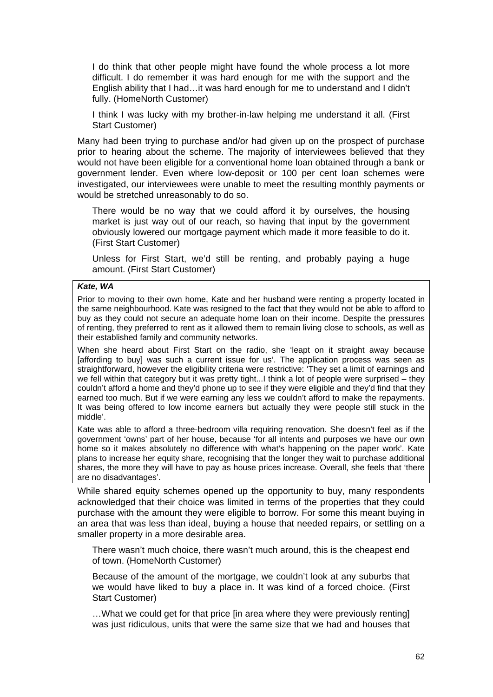I do think that other people might have found the whole process a lot more difficult. I do remember it was hard enough for me with the support and the English ability that I had…it was hard enough for me to understand and I didn't fully. (HomeNorth Customer)

I think I was lucky with my brother-in-law helping me understand it all. (First Start Customer)

Many had been trying to purchase and/or had given up on the prospect of purchase prior to hearing about the scheme. The majority of interviewees believed that they would not have been eligible for a conventional home loan obtained through a bank or government lender. Even where low-deposit or 100 per cent loan schemes were investigated, our interviewees were unable to meet the resulting monthly payments or would be stretched unreasonably to do so.

There would be no way that we could afford it by ourselves, the housing market is just way out of our reach, so having that input by the government obviously lowered our mortgage payment which made it more feasible to do it. (First Start Customer)

Unless for First Start, we'd still be renting, and probably paying a huge amount. (First Start Customer)

#### *Kate, WA*

Prior to moving to their own home, Kate and her husband were renting a property located in the same neighbourhood. Kate was resigned to the fact that they would not be able to afford to buy as they could not secure an adequate home loan on their income. Despite the pressures of renting, they preferred to rent as it allowed them to remain living close to schools, as well as their established family and community networks.

When she heard about First Start on the radio, she 'leapt on it straight away because [affording to buy] was such a current issue for us'. The application process was seen as straightforward, however the eligibility criteria were restrictive: 'They set a limit of earnings and we fell within that category but it was pretty tight...I think a lot of people were surprised – they couldn't afford a home and they'd phone up to see if they were eligible and they'd find that they earned too much. But if we were earning any less we couldn't afford to make the repayments. It was being offered to low income earners but actually they were people still stuck in the middle'.

Kate was able to afford a three-bedroom villa requiring renovation. She doesn't feel as if the government 'owns' part of her house, because 'for all intents and purposes we have our own home so it makes absolutely no difference with what's happening on the paper work'. Kate plans to increase her equity share, recognising that the longer they wait to purchase additional shares, the more they will have to pay as house prices increase. Overall, she feels that 'there are no disadvantages'.

While shared equity schemes opened up the opportunity to buy, many respondents acknowledged that their choice was limited in terms of the properties that they could purchase with the amount they were eligible to borrow. For some this meant buying in an area that was less than ideal, buying a house that needed repairs, or settling on a smaller property in a more desirable area.

There wasn't much choice, there wasn't much around, this is the cheapest end of town. (HomeNorth Customer)

Because of the amount of the mortgage, we couldn't look at any suburbs that we would have liked to buy a place in. It was kind of a forced choice. (First Start Customer)

…What we could get for that price [in area where they were previously renting] was just ridiculous, units that were the same size that we had and houses that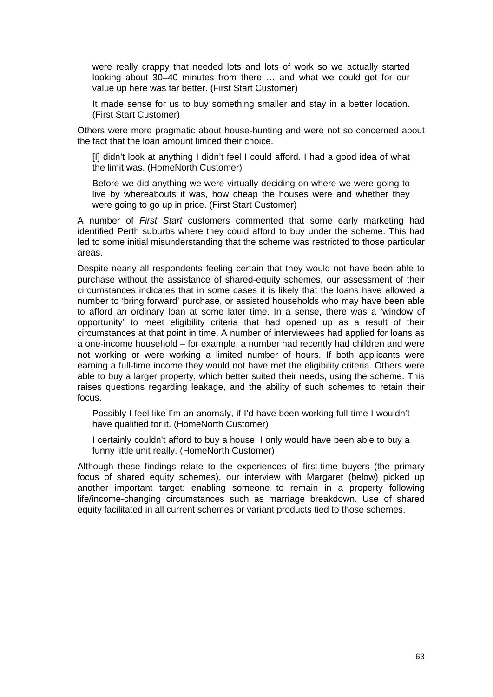were really crappy that needed lots and lots of work so we actually started looking about 30–40 minutes from there … and what we could get for our value up here was far better. (First Start Customer)

It made sense for us to buy something smaller and stay in a better location. (First Start Customer)

Others were more pragmatic about house-hunting and were not so concerned about the fact that the loan amount limited their choice.

[I] didn't look at anything I didn't feel I could afford. I had a good idea of what the limit was. (HomeNorth Customer)

Before we did anything we were virtually deciding on where we were going to live by whereabouts it was, how cheap the houses were and whether they were going to go up in price. (First Start Customer)

A number of *First Start* customers commented that some early marketing had identified Perth suburbs where they could afford to buy under the scheme. This had led to some initial misunderstanding that the scheme was restricted to those particular areas.

Despite nearly all respondents feeling certain that they would not have been able to purchase without the assistance of shared-equity schemes, our assessment of their circumstances indicates that in some cases it is likely that the loans have allowed a number to 'bring forward' purchase, or assisted households who may have been able to afford an ordinary loan at some later time. In a sense, there was a 'window of opportunity' to meet eligibility criteria that had opened up as a result of their circumstances at that point in time. A number of interviewees had applied for loans as a one-income household – for example, a number had recently had children and were not working or were working a limited number of hours. If both applicants were earning a full-time income they would not have met the eligibility criteria. Others were able to buy a larger property, which better suited their needs, using the scheme. This raises questions regarding leakage, and the ability of such schemes to retain their focus.

Possibly I feel like I'm an anomaly, if I'd have been working full time I wouldn't have qualified for it. (HomeNorth Customer)

I certainly couldn't afford to buy a house; I only would have been able to buy a funny little unit really. (HomeNorth Customer)

Although these findings relate to the experiences of first-time buyers (the primary focus of shared equity schemes), our interview with Margaret (below) picked up another important target: enabling someone to remain in a property following life/income-changing circumstances such as marriage breakdown. Use of shared equity facilitated in all current schemes or variant products tied to those schemes.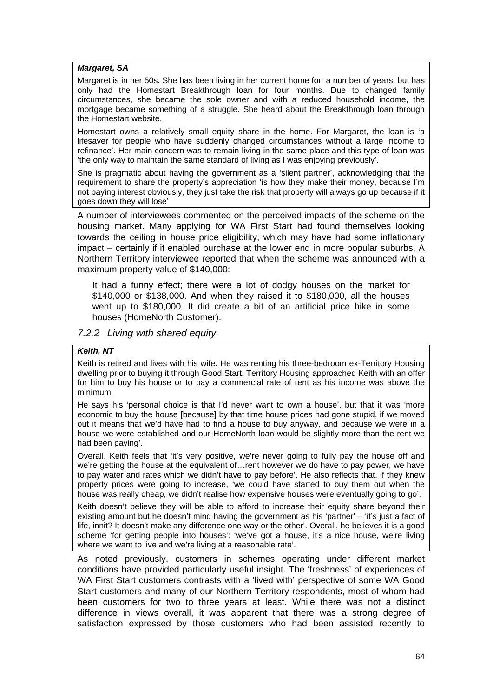#### *Margaret, SA*

Margaret is in her 50s. She has been living in her current home for a number of years, but has only had the Homestart Breakthrough loan for four months. Due to changed family circumstances, she became the sole owner and with a reduced household income, the mortgage became something of a struggle. She heard about the Breakthrough loan through the Homestart website.

Homestart owns a relatively small equity share in the home. For Margaret, the loan is 'a lifesaver for people who have suddenly changed circumstances without a large income to refinance'. Her main concern was to remain living in the same place and this type of loan was 'the only way to maintain the same standard of living as I was enjoying previously'.

She is pragmatic about having the government as a 'silent partner', acknowledging that the requirement to share the property's appreciation 'is how they make their money, because I'm not paying interest obviously, they just take the risk that property will always go up because if it goes down they will lose'

A number of interviewees commented on the perceived impacts of the scheme on the housing market. Many applying for WA First Start had found themselves looking towards the ceiling in house price eligibility, which may have had some inflationary impact – certainly if it enabled purchase at the lower end in more popular suburbs. A Northern Territory interviewee reported that when the scheme was announced with a maximum property value of \$140,000:

It had a funny effect; there were a lot of dodgy houses on the market for \$140,000 or \$138,000. And when they raised it to \$180,000, all the houses went up to \$180,000. It did create a bit of an artificial price hike in some houses (HomeNorth Customer).

#### *7.2.2 Living with shared equity*

#### *Keith, NT*

Keith is retired and lives with his wife. He was renting his three-bedroom ex-Territory Housing dwelling prior to buying it through Good Start. Territory Housing approached Keith with an offer for him to buy his house or to pay a commercial rate of rent as his income was above the minimum.

He says his 'personal choice is that I'd never want to own a house', but that it was 'more economic to buy the house [because] by that time house prices had gone stupid, if we moved out it means that we'd have had to find a house to buy anyway, and because we were in a house we were established and our HomeNorth loan would be slightly more than the rent we had been paying'.

Overall, Keith feels that 'it's very positive, we're never going to fully pay the house off and we're getting the house at the equivalent of...rent however we do have to pay power, we have to pay water and rates which we didn't have to pay before'. He also reflects that, if they knew property prices were going to increase, 'we could have started to buy them out when the house was really cheap, we didn't realise how expensive houses were eventually going to go'.

Keith doesn't believe they will be able to afford to increase their equity share beyond their existing amount but he doesn't mind having the government as his 'partner' – 'it's just a fact of life, innit? It doesn't make any difference one way or the other'. Overall, he believes it is a good scheme 'for getting people into houses': 'we've got a house, it's a nice house, we're living where we want to live and we're living at a reasonable rate'.

As noted previously, customers in schemes operating under different market conditions have provided particularly useful insight. The 'freshness' of experiences of WA First Start customers contrasts with a 'lived with' perspective of some WA Good Start customers and many of our Northern Territory respondents, most of whom had been customers for two to three years at least. While there was not a distinct difference in views overall, it was apparent that there was a strong degree of satisfaction expressed by those customers who had been assisted recently to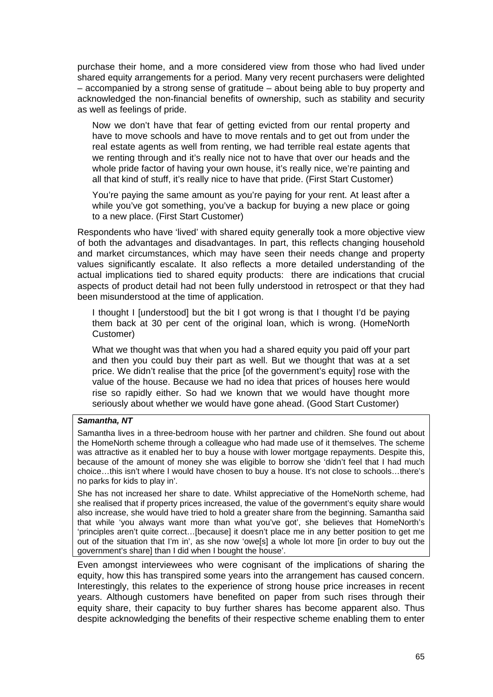purchase their home, and a more considered view from those who had lived under shared equity arrangements for a period. Many very recent purchasers were delighted – accompanied by a strong sense of gratitude – about being able to buy property and acknowledged the non-financial benefits of ownership, such as stability and security as well as feelings of pride.

Now we don't have that fear of getting evicted from our rental property and have to move schools and have to move rentals and to get out from under the real estate agents as well from renting, we had terrible real estate agents that we renting through and it's really nice not to have that over our heads and the whole pride factor of having your own house, it's really nice, we're painting and all that kind of stuff, it's really nice to have that pride. (First Start Customer)

You're paying the same amount as you're paying for your rent. At least after a while you've got something, you've a backup for buying a new place or going to a new place. (First Start Customer)

Respondents who have 'lived' with shared equity generally took a more objective view of both the advantages and disadvantages. In part, this reflects changing household and market circumstances, which may have seen their needs change and property values significantly escalate. It also reflects a more detailed understanding of the actual implications tied to shared equity products: there are indications that crucial aspects of product detail had not been fully understood in retrospect or that they had been misunderstood at the time of application.

I thought I [understood] but the bit I got wrong is that I thought I'd be paying them back at 30 per cent of the original loan, which is wrong. (HomeNorth Customer)

What we thought was that when you had a shared equity you paid off your part and then you could buy their part as well. But we thought that was at a set price. We didn't realise that the price [of the government's equity] rose with the value of the house. Because we had no idea that prices of houses here would rise so rapidly either. So had we known that we would have thought more seriously about whether we would have gone ahead. (Good Start Customer)

#### *Samantha, NT*

Samantha lives in a three-bedroom house with her partner and children. She found out about the HomeNorth scheme through a colleague who had made use of it themselves. The scheme was attractive as it enabled her to buy a house with lower mortgage repayments. Despite this, because of the amount of money she was eligible to borrow she 'didn't feel that I had much choice…this isn't where I would have chosen to buy a house. It's not close to schools…there's no parks for kids to play in'.

She has not increased her share to date. Whilst appreciative of the HomeNorth scheme, had she realised that if property prices increased, the value of the government's equity share would also increase, she would have tried to hold a greater share from the beginning. Samantha said that while 'you always want more than what you've got', she believes that HomeNorth's 'principles aren't quite correct…[because] it doesn't place me in any better position to get me out of the situation that I'm in', as she now 'owe[s] a whole lot more [in order to buy out the government's share] than I did when I bought the house'.

Even amongst interviewees who were cognisant of the implications of sharing the equity, how this has transpired some years into the arrangement has caused concern. Interestingly, this relates to the experience of strong house price increases in recent years. Although customers have benefited on paper from such rises through their equity share, their capacity to buy further shares has become apparent also. Thus despite acknowledging the benefits of their respective scheme enabling them to enter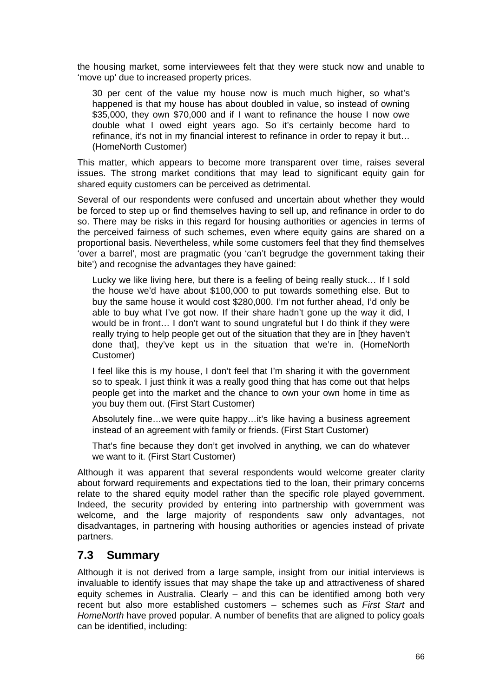the housing market, some interviewees felt that they were stuck now and unable to 'move up' due to increased property prices.

30 per cent of the value my house now is much much higher, so what's happened is that my house has about doubled in value, so instead of owning \$35,000, they own \$70,000 and if I want to refinance the house I now owe double what I owed eight years ago. So it's certainly become hard to refinance, it's not in my financial interest to refinance in order to repay it but… (HomeNorth Customer)

This matter, which appears to become more transparent over time, raises several issues. The strong market conditions that may lead to significant equity gain for shared equity customers can be perceived as detrimental.

Several of our respondents were confused and uncertain about whether they would be forced to step up or find themselves having to sell up, and refinance in order to do so. There may be risks in this regard for housing authorities or agencies in terms of the perceived fairness of such schemes, even where equity gains are shared on a proportional basis. Nevertheless, while some customers feel that they find themselves 'over a barrel', most are pragmatic (you 'can't begrudge the government taking their bite') and recognise the advantages they have gained:

Lucky we like living here, but there is a feeling of being really stuck… If I sold the house we'd have about \$100,000 to put towards something else. But to buy the same house it would cost \$280,000. I'm not further ahead, I'd only be able to buy what I've got now. If their share hadn't gone up the way it did, I would be in front… I don't want to sound ungrateful but I do think if they were really trying to help people get out of the situation that they are in [they haven't done that], they've kept us in the situation that we're in. (HomeNorth Customer)

I feel like this is my house, I don't feel that I'm sharing it with the government so to speak. I just think it was a really good thing that has come out that helps people get into the market and the chance to own your own home in time as you buy them out. (First Start Customer)

Absolutely fine…we were quite happy…it's like having a business agreement instead of an agreement with family or friends. (First Start Customer)

That's fine because they don't get involved in anything, we can do whatever we want to it. (First Start Customer)

Although it was apparent that several respondents would welcome greater clarity about forward requirements and expectations tied to the loan, their primary concerns relate to the shared equity model rather than the specific role played government. Indeed, the security provided by entering into partnership with government was welcome, and the large majority of respondents saw only advantages, not disadvantages, in partnering with housing authorities or agencies instead of private partners.

## **7.3 Summary**

Although it is not derived from a large sample, insight from our initial interviews is invaluable to identify issues that may shape the take up and attractiveness of shared equity schemes in Australia. Clearly – and this can be identified among both very recent but also more established customers – schemes such as *First Start* and *HomeNorth* have proved popular. A number of benefits that are aligned to policy goals can be identified, including: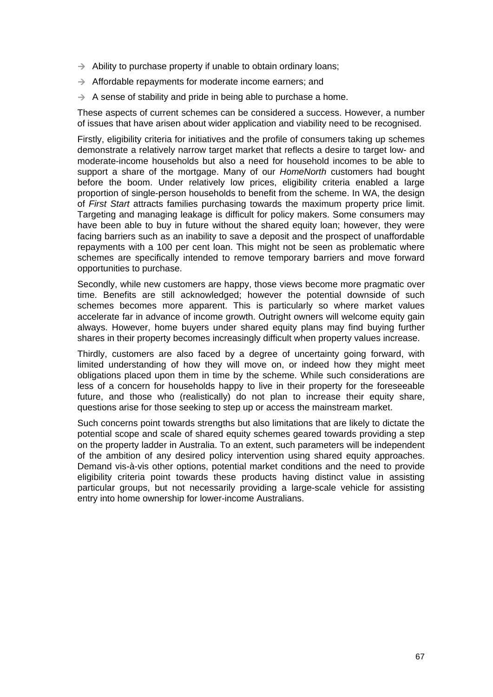- $\rightarrow$  Ability to purchase property if unable to obtain ordinary loans;
- $\rightarrow$  Affordable repayments for moderate income earners; and
- $\rightarrow$  A sense of stability and pride in being able to purchase a home.

These aspects of current schemes can be considered a success. However, a number of issues that have arisen about wider application and viability need to be recognised.

Firstly, eligibility criteria for initiatives and the profile of consumers taking up schemes demonstrate a relatively narrow target market that reflects a desire to target low- and moderate-income households but also a need for household incomes to be able to support a share of the mortgage. Many of our *HomeNorth* customers had bought before the boom. Under relatively low prices, eligibility criteria enabled a large proportion of single-person households to benefit from the scheme. In WA, the design of *First Start* attracts families purchasing towards the maximum property price limit. Targeting and managing leakage is difficult for policy makers. Some consumers may have been able to buy in future without the shared equity loan; however, they were facing barriers such as an inability to save a deposit and the prospect of unaffordable repayments with a 100 per cent loan. This might not be seen as problematic where schemes are specifically intended to remove temporary barriers and move forward opportunities to purchase.

Secondly, while new customers are happy, those views become more pragmatic over time. Benefits are still acknowledged; however the potential downside of such schemes becomes more apparent. This is particularly so where market values accelerate far in advance of income growth. Outright owners will welcome equity gain always. However, home buyers under shared equity plans may find buying further shares in their property becomes increasingly difficult when property values increase.

Thirdly, customers are also faced by a degree of uncertainty going forward, with limited understanding of how they will move on, or indeed how they might meet obligations placed upon them in time by the scheme. While such considerations are less of a concern for households happy to live in their property for the foreseeable future, and those who (realistically) do not plan to increase their equity share, questions arise for those seeking to step up or access the mainstream market.

Such concerns point towards strengths but also limitations that are likely to dictate the potential scope and scale of shared equity schemes geared towards providing a step on the property ladder in Australia. To an extent, such parameters will be independent of the ambition of any desired policy intervention using shared equity approaches. Demand vis-à-vis other options, potential market conditions and the need to provide eligibility criteria point towards these products having distinct value in assisting particular groups, but not necessarily providing a large-scale vehicle for assisting entry into home ownership for lower-income Australians.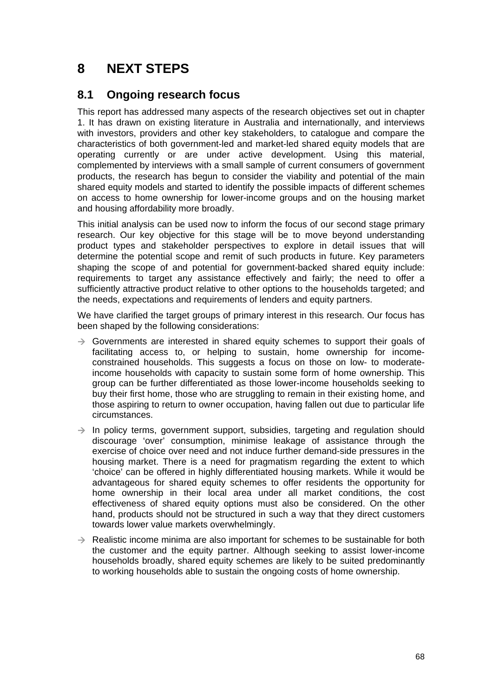# **8 NEXT STEPS**

## **8.1 Ongoing research focus**

This report has addressed many aspects of the research objectives set out in chapter 1. It has drawn on existing literature in Australia and internationally, and interviews with investors, providers and other key stakeholders, to catalogue and compare the characteristics of both government-led and market-led shared equity models that are operating currently or are under active development. Using this material, complemented by interviews with a small sample of current consumers of government products, the research has begun to consider the viability and potential of the main shared equity models and started to identify the possible impacts of different schemes on access to home ownership for lower-income groups and on the housing market and housing affordability more broadly.

This initial analysis can be used now to inform the focus of our second stage primary research. Our key objective for this stage will be to move beyond understanding product types and stakeholder perspectives to explore in detail issues that will determine the potential scope and remit of such products in future. Key parameters shaping the scope of and potential for government-backed shared equity include: requirements to target any assistance effectively and fairly; the need to offer a sufficiently attractive product relative to other options to the households targeted; and the needs, expectations and requirements of lenders and equity partners.

We have clarified the target groups of primary interest in this research. Our focus has been shaped by the following considerations:

- $\rightarrow$  Governments are interested in shared equity schemes to support their goals of facilitating access to, or helping to sustain, home ownership for incomeconstrained households. This suggests a focus on those on low- to moderateincome households with capacity to sustain some form of home ownership. This group can be further differentiated as those lower-income households seeking to buy their first home, those who are struggling to remain in their existing home, and those aspiring to return to owner occupation, having fallen out due to particular life circumstances.
- $\rightarrow$  In policy terms, government support, subsidies, targeting and regulation should discourage 'over' consumption, minimise leakage of assistance through the exercise of choice over need and not induce further demand-side pressures in the housing market. There is a need for pragmatism regarding the extent to which 'choice' can be offered in highly differentiated housing markets. While it would be advantageous for shared equity schemes to offer residents the opportunity for home ownership in their local area under all market conditions, the cost effectiveness of shared equity options must also be considered. On the other hand, products should not be structured in such a way that they direct customers towards lower value markets overwhelmingly.
- $\rightarrow$  Realistic income minima are also important for schemes to be sustainable for both the customer and the equity partner. Although seeking to assist lower-income households broadly, shared equity schemes are likely to be suited predominantly to working households able to sustain the ongoing costs of home ownership.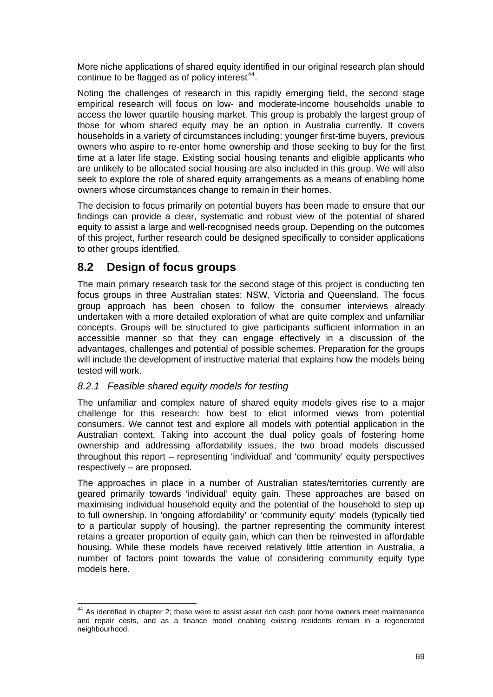More niche applications of shared equity identified in our original research plan should continue to be flagged as of policy interest $44$ .

Noting the challenges of research in this rapidly emerging field, the second stage empirical research will focus on low- and moderate-income households unable to access the lower quartile housing market. This group is probably the largest group of those for whom shared equity may be an option in Australia currently. It covers households in a variety of circumstances including: younger first-time buyers, previous owners who aspire to re-enter home ownership and those seeking to buy for the first time at a later life stage. Existing social housing tenants and eligible applicants who are unlikely to be allocated social housing are also included in this group. We will also seek to explore the role of shared equity arrangements as a means of enabling home owners whose circumstances change to remain in their homes.

The decision to focus primarily on potential buyers has been made to ensure that our findings can provide a clear, systematic and robust view of the potential of shared equity to assist a large and well-recognised needs group. Depending on the outcomes of this project, further research could be designed specifically to consider applications to other groups identified.

## **8.2 Design of focus groups**

The main primary research task for the second stage of this project is conducting ten focus groups in three Australian states: NSW, Victoria and Queensland. The focus group approach has been chosen to follow the consumer interviews already undertaken with a more detailed exploration of what are quite complex and unfamiliar concepts. Groups will be structured to give participants sufficient information in an accessible manner so that they can engage effectively in a discussion of the advantages, challenges and potential of possible schemes. Preparation for the groups will include the development of instructive material that explains how the models being tested will work.

## *8.2.1 Feasible shared equity models for testing*

The unfamiliar and complex nature of shared equity models gives rise to a major challenge for this research: how best to elicit informed views from potential consumers. We cannot test and explore all models with potential application in the Australian context. Taking into account the dual policy goals of fostering home ownership and addressing affordability issues, the two broad models discussed throughout this report – representing 'individual' and 'community' equity perspectives respectively – are proposed.

The approaches in place in a number of Australian states/territories currently are geared primarily towards 'individual' equity gain. These approaches are based on maximising individual household equity and the potential of the household to step up to full ownership. In 'ongoing affordability' or 'community equity' models (typically tied to a particular supply of housing), the partner representing the community interest retains a greater proportion of equity gain, which can then be reinvested in affordable housing. While these models have received relatively little attention in Australia, a number of factors point towards the value of considering community equity type models here.

<span id="page-77-0"></span>  $44$  As identified in chapter 2; these were to assist asset rich cash poor home owners meet maintenance and repair costs, and as a finance model enabling existing residents remain in a regenerated neighbourhood.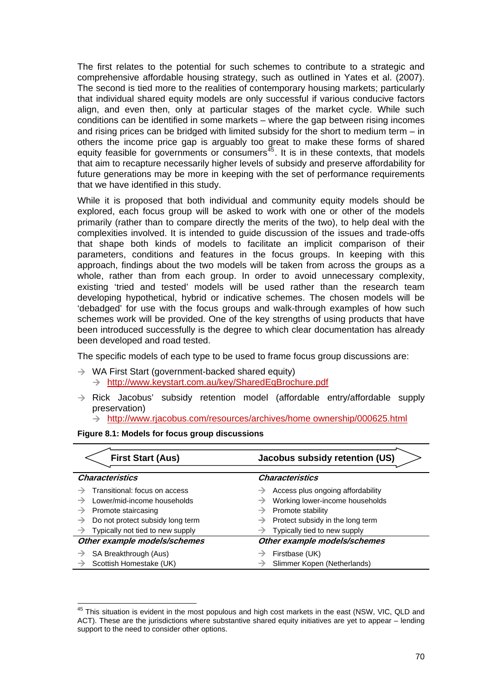The first relates to the potential for such schemes to contribute to a strategic and comprehensive affordable housing strategy, such as outlined in Yates et al. (2007). The second is tied more to the realities of contemporary housing markets; particularly that individual shared equity models are only successful if various conducive factors align, and even then, only at particular stages of the market cycle. While such conditions can be identified in some markets – where the gap between rising incomes and rising prices can be bridged with limited subsidy for the short to medium term – in others the income price gap is arguably too great to make these forms of shared equity feasible for governments or consumers $45$ . It is in these contexts, that models that aim to recapture necessarily higher levels of subsidy and preserve affordability for future generations may be more in keeping with the set of performance requirements that we have identified in this study.

While it is proposed that both individual and community equity models should be explored, each focus group will be asked to work with one or other of the models primarily (rather than to compare directly the merits of the two), to help deal with the complexities involved. It is intended to guide discussion of the issues and trade-offs that shape both kinds of models to facilitate an implicit comparison of their parameters, conditions and features in the focus groups. In keeping with this approach, findings about the two models will be taken from across the groups as a whole, rather than from each group. In order to avoid unnecessary complexity, existing 'tried and tested' models will be used rather than the research team developing hypothetical, hybrid or indicative schemes. The chosen models will be 'debadged' for use with the focus groups and walk-through examples of how such schemes work will be provided. One of the key strengths of using products that have been introduced successfully is the degree to which clear documentation has already been developed and road tested.

The specific models of each type to be used to frame focus group discussions are:

- $\rightarrow$  WA First Start (government-backed shared equity)  $\rightarrow$  http://www.keystart.com.au/key/SharedEqBrochure.pdf
- $\rightarrow$  Rick Jacobus' subsidy retention model (affordable entry/affordable supply preservation)

 $\rightarrow$  [http://www.rjacobus.com/resources/archives/home ownership/000625.html](http://www.rjacobus.com/resources/archives/home%20ownership/000625.html)

| <b>First Start (Aus)</b>                       | <b>Jacobus subsidy retention (US)</b>          |
|------------------------------------------------|------------------------------------------------|
| <b>Characteristics</b>                         | <b>Characteristics</b>                         |
| Transitional: focus on access                  | Access plus ongoing affordability<br>→         |
| Lower/mid-income households<br>→               | Working lower-income households<br>→           |
| Promote staircasing<br>→                       | $\rightarrow$ Promote stability                |
| Do not protect subsidy long term<br>→          | $\rightarrow$ Protect subsidy in the long term |
| $\rightarrow$ Typically not tied to new supply | Typically tied to new supply                   |
| Other example models/schemes                   | Other example models/schemes                   |
| SA Breakthrough (Aus)                          | Firstbase (UK)                                 |
| Scottish Homestake (UK)                        | Slimmer Kopen (Netherlands)                    |

**Figure 8.1: Models for focus group discussions** 

<span id="page-78-0"></span> $45$  This situation is evident in the most populous and high cost markets in the east (NSW, VIC, QLD and ACT). These are the jurisdictions where substantive shared equity initiatives are yet to appear – lending support to the need to consider other options.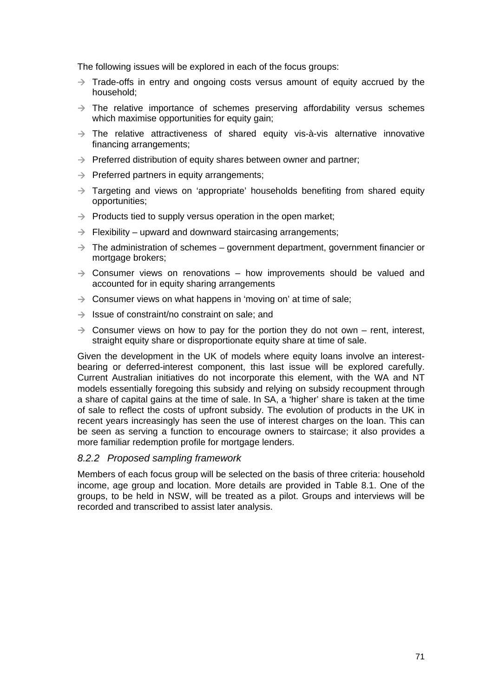The following issues will be explored in each of the focus groups:

- $\rightarrow$  Trade-offs in entry and ongoing costs versus amount of equity accrued by the household;
- $\rightarrow$  The relative importance of schemes preserving affordability versus schemes which maximise opportunities for equity gain;
- $\rightarrow$  The relative attractiveness of shared equity vis-à-vis alternative innovative financing arrangements;
- $\rightarrow$  Preferred distribution of equity shares between owner and partner;
- $\rightarrow$  Preferred partners in equity arrangements;
- $\rightarrow$  Targeting and views on 'appropriate' households benefiting from shared equity opportunities;
- $\rightarrow$  Products tied to supply versus operation in the open market;
- $\rightarrow$  Flexibility upward and downward staircasing arrangements;
- $\rightarrow$  The administration of schemes government department, government financier or mortgage brokers;
- $\rightarrow$  Consumer views on renovations how improvements should be valued and accounted for in equity sharing arrangements
- $\rightarrow$  Consumer views on what happens in 'moving on' at time of sale;
- $\rightarrow$  Issue of constraint/no constraint on sale; and
- $\rightarrow$  Consumer views on how to pay for the portion they do not own rent, interest, straight equity share or disproportionate equity share at time of sale.

Given the development in the UK of models where equity loans involve an interestbearing or deferred-interest component, this last issue will be explored carefully. Current Australian initiatives do not incorporate this element, with the WA and NT models essentially foregoing this subsidy and relying on subsidy recoupment through a share of capital gains at the time of sale. In SA, a 'higher' share is taken at the time of sale to reflect the costs of upfront subsidy. The evolution of products in the UK in recent years increasingly has seen the use of interest charges on the loan. This can be seen as serving a function to encourage owners to staircase; it also provides a more familiar redemption profile for mortgage lenders.

## *8.2.2 Proposed sampling framework*

Members of each focus group will be selected on the basis of three criteria: household income, age group and location. More details are provided in Table 8.1. One of the groups, to be held in NSW, will be treated as a pilot. Groups and interviews will be recorded and transcribed to assist later analysis.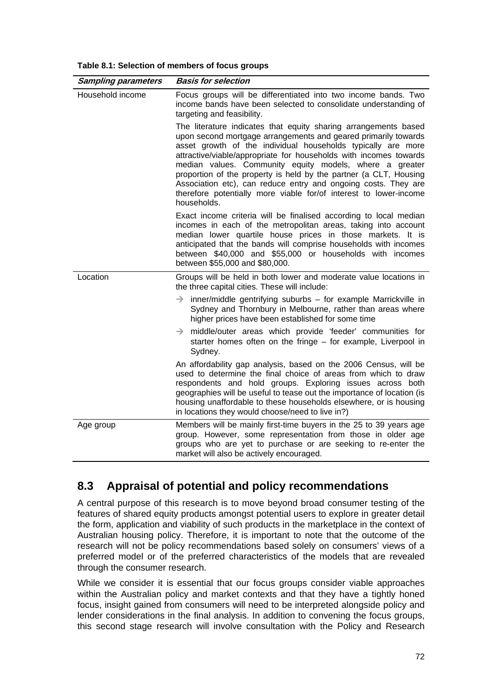| <b>Sampling parameters</b> | <b>Basis for selection</b>                                                                                                                                                                                                                                                                                                                                                                                                                                                                                                                                   |
|----------------------------|--------------------------------------------------------------------------------------------------------------------------------------------------------------------------------------------------------------------------------------------------------------------------------------------------------------------------------------------------------------------------------------------------------------------------------------------------------------------------------------------------------------------------------------------------------------|
| Household income           | Focus groups will be differentiated into two income bands. Two<br>income bands have been selected to consolidate understanding of<br>targeting and feasibility.                                                                                                                                                                                                                                                                                                                                                                                              |
|                            | The literature indicates that equity sharing arrangements based<br>upon second mortgage arrangements and geared primarily towards<br>asset growth of the individual households typically are more<br>attractive/viable/appropriate for households with incomes towards<br>median values. Community equity models, where a greater<br>proportion of the property is held by the partner (a CLT, Housing<br>Association etc), can reduce entry and ongoing costs. They are<br>therefore potentially more viable for/of interest to lower-income<br>households. |
|                            | Exact income criteria will be finalised according to local median<br>incomes in each of the metropolitan areas, taking into account<br>median lower quartile house prices in those markets. It is<br>anticipated that the bands will comprise households with incomes<br>between \$40,000 and \$55,000 or households with incomes<br>between \$55,000 and \$80,000.                                                                                                                                                                                          |
| Location                   | Groups will be held in both lower and moderate value locations in<br>the three capital cities. These will include:                                                                                                                                                                                                                                                                                                                                                                                                                                           |
|                            | $inner/middle$ gentrifying suburbs $-$ for example Marrickville in<br>$\rightarrow$<br>Sydney and Thornbury in Melbourne, rather than areas where<br>higher prices have been established for some time                                                                                                                                                                                                                                                                                                                                                       |
|                            | middle/outer areas which provide 'feeder' communities for<br>$\rightarrow$<br>starter homes often on the fringe - for example, Liverpool in<br>Sydney.                                                                                                                                                                                                                                                                                                                                                                                                       |
|                            | An affordability gap analysis, based on the 2006 Census, will be<br>used to determine the final choice of areas from which to draw<br>respondents and hold groups. Exploring issues across both<br>geographies will be useful to tease out the importance of location (is<br>housing unaffordable to these households elsewhere, or is housing<br>in locations they would choose/need to live in?)                                                                                                                                                           |
| Age group                  | Members will be mainly first-time buyers in the 25 to 39 years age<br>group. However, some representation from those in older age<br>groups who are yet to purchase or are seeking to re-enter the<br>market will also be actively encouraged.                                                                                                                                                                                                                                                                                                               |

## **8.3 Appraisal of potential and policy recommendations**

A central purpose of this research is to move beyond broad consumer testing of the features of shared equity products amongst potential users to explore in greater detail the form, application and viability of such products in the marketplace in the context of Australian housing policy. Therefore, it is important to note that the outcome of the research will not be policy recommendations based solely on consumers' views of a preferred model or of the preferred characteristics of the models that are revealed through the consumer research.

While we consider it is essential that our focus groups consider viable approaches within the Australian policy and market contexts and that they have a tightly honed focus, insight gained from consumers will need to be interpreted alongside policy and lender considerations in the final analysis. In addition to convening the focus groups, this second stage research will involve consultation with the Policy and Research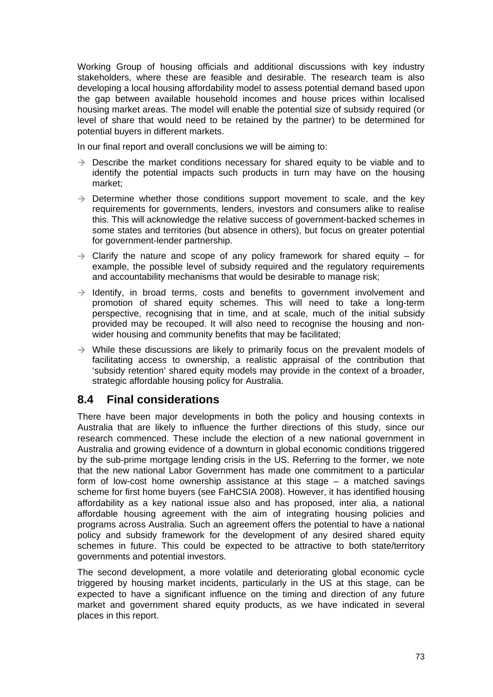Working Group of housing officials and additional discussions with key industry stakeholders, where these are feasible and desirable. The research team is also developing a local housing affordability model to assess potential demand based upon the gap between available household incomes and house prices within localised housing market areas. The model will enable the potential size of subsidy required (or level of share that would need to be retained by the partner) to be determined for potential buyers in different markets.

In our final report and overall conclusions we will be aiming to:

- $\rightarrow$  Describe the market conditions necessary for shared equity to be viable and to identify the potential impacts such products in turn may have on the housing market;
- $\rightarrow$  Determine whether those conditions support movement to scale, and the key requirements for governments, lenders, investors and consumers alike to realise this. This will acknowledge the relative success of government-backed schemes in some states and territories (but absence in others), but focus on greater potential for government-lender partnership.
- $\rightarrow$  Clarify the nature and scope of any policy framework for shared equity for example, the possible level of subsidy required and the regulatory requirements and accountability mechanisms that would be desirable to manage risk;
- $\rightarrow$  Identify, in broad terms, costs and benefits to government involvement and promotion of shared equity schemes. This will need to take a long-term perspective, recognising that in time, and at scale, much of the initial subsidy provided may be recouped. It will also need to recognise the housing and nonwider housing and community benefits that may be facilitated;
- $\rightarrow$  While these discussions are likely to primarily focus on the prevalent models of facilitating access to ownership, a realistic appraisal of the contribution that 'subsidy retention' shared equity models may provide in the context of a broader, strategic affordable housing policy for Australia.

## **8.4 Final considerations**

There have been major developments in both the policy and housing contexts in Australia that are likely to influence the further directions of this study, since our research commenced. These include the election of a new national government in Australia and growing evidence of a downturn in global economic conditions triggered by the sub-prime mortgage lending crisis in the US. Referring to the former, we note that the new national Labor Government has made one commitment to a particular form of low-cost home ownership assistance at this stage – a matched savings scheme for first home buyers (see FaHCSIA 2008). However, it has identified housing affordability as a key national issue also and has proposed, inter alia, a national affordable housing agreement with the aim of integrating housing policies and programs across Australia. Such an agreement offers the potential to have a national policy and subsidy framework for the development of any desired shared equity schemes in future. This could be expected to be attractive to both state/territory governments and potential investors.

The second development, a more volatile and deteriorating global economic cycle triggered by housing market incidents, particularly in the US at this stage, can be expected to have a significant influence on the timing and direction of any future market and government shared equity products, as we have indicated in several places in this report.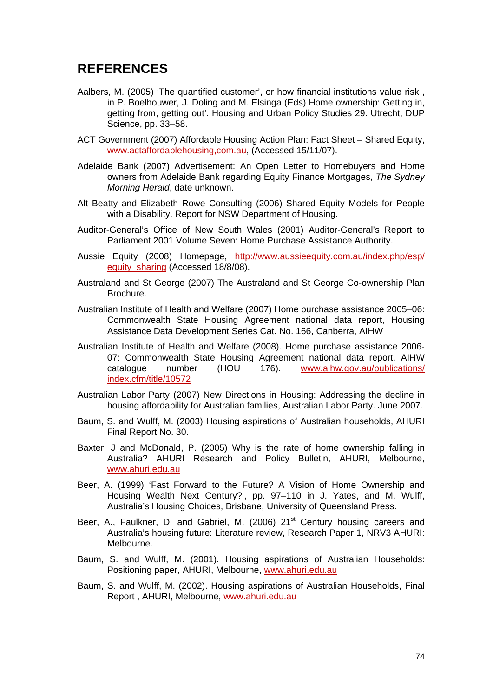## **REFERENCES**

- Aalbers, M. (2005) 'The quantified customer', or how financial institutions value risk , in P. Boelhouwer, J. Doling and M. Elsinga (Eds) Home ownership: Getting in, getting from, getting out'. Housing and Urban Policy Studies 29. Utrecht, DUP Science, pp. 33–58.
- ACT Government (2007) Affordable Housing Action Plan: Fact Sheet Shared Equity, [www.actaffordablehousing,com.au,](http://www.actaffordablehousing,com.au/) (Accessed 15/11/07).
- Adelaide Bank (2007) Advertisement: An Open Letter to Homebuyers and Home owners from Adelaide Bank regarding Equity Finance Mortgages, *The Sydney Morning Herald*, date unknown.
- Alt Beatty and Elizabeth Rowe Consulting (2006) Shared Equity Models for People with a Disability. Report for NSW Department of Housing.
- Auditor-General's Office of New South Wales (2001) Auditor-General's Report to Parliament 2001 Volume Seven: Home Purchase Assistance Authority.
- Aussie Equity (2008) Homepage, [http://www.aussieequity.com.au/index.php/esp/](http://www.aussieequity.com.au/index.php/esp/equity_sharing) [equity\\_sharing](http://www.aussieequity.com.au/index.php/esp/equity_sharing) (Accessed 18/8/08).
- Australand and St George (2007) The Australand and St George Co-ownership Plan Brochure.
- Australian Institute of Health and Welfare (2007) Home purchase assistance 2005–06: Commonwealth State Housing Agreement national data report, Housing Assistance Data Development Series Cat. No. 166, Canberra, AIHW
- Australian Institute of Health and Welfare (2008). Home purchase assistance 2006- 07: Commonwealth State Housing Agreement national data report. AIHW catalogue number (HOU 176). [www.aihw.gov.au/publications/](http://www.aihw.gov.au/publications/index.cfm/title/10572) [index.cfm/title/10572](http://www.aihw.gov.au/publications/index.cfm/title/10572)
- Australian Labor Party (2007) New Directions in Housing: Addressing the decline in housing affordability for Australian families, Australian Labor Party. June 2007.
- Baum, S. and Wulff, M. (2003) Housing aspirations of Australian households, AHURI Final Report No. 30.
- Baxter, J and McDonald, P. (2005) Why is the rate of home ownership falling in Australia? AHURI Research and Policy Bulletin, AHURI, Melbourne, [www.ahuri.edu.au](http://www.ahuri.edu.au/)
- Beer, A. (1999) 'Fast Forward to the Future? A Vision of Home Ownership and Housing Wealth Next Century?', pp. 97–110 in J. Yates, and M. Wulff, Australia's Housing Choices, Brisbane, University of Queensland Press.
- Beer, A., Faulkner, D. and Gabriel, M. (2006) 21<sup>st</sup> Century housing careers and Australia's housing future: Literature review, Research Paper 1, NRV3 AHURI: Melbourne.
- Baum, S. and Wulff, M. (2001). Housing aspirations of Australian Households: Positioning paper, AHURI, Melbourne, [www.ahuri.edu.au](http://www.ahuri.edu.au/)
- Baum, S. and Wulff, M. (2002). Housing aspirations of Australian Households, Final Report , AHURI, Melbourne, [www.ahuri.edu.au](http://www.ahuri.edu.au/)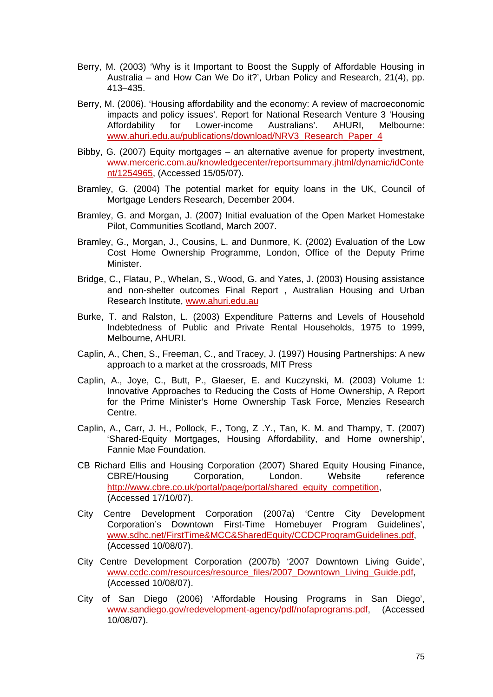- Berry, M. (2003) 'Why is it Important to Boost the Supply of Affordable Housing in Australia – and How Can We Do it?', Urban Policy and Research, 21(4), pp. 413–435.
- Berry, M. (2006). 'Housing affordability and the economy: A review of macroeconomic impacts and policy issues'. Report for National Research Venture 3 'Housing Affordability for Lower-income Australians'. AHURI, Melbourne: [www.ahuri.edu.au/publications/download/NRV3\\_Research\\_Paper\\_4](http://www.ahuri.edu.au/publications/download/NRV3_Research_Paper_4)
- Bibby, G. (2007) Equity mortgages an alternative avenue for property investment, [www.merceric.com.au/knowledgecenter/reportsummary.jhtml/dynamic/idConte](http://www.merceric.com.au/knowledgecenter/reportsummary.jhtml/dynamic/idContent/1254965) [nt/1254965,](http://www.merceric.com.au/knowledgecenter/reportsummary.jhtml/dynamic/idContent/1254965) (Accessed 15/05/07).
- Bramley, G. (2004) The potential market for equity loans in the UK, Council of Mortgage Lenders Research, December 2004.
- Bramley, G. and Morgan, J. (2007) Initial evaluation of the Open Market Homestake Pilot, Communities Scotland, March 2007.
- Bramley, G., Morgan, J., Cousins, L. and Dunmore, K. (2002) Evaluation of the Low Cost Home Ownership Programme, London, Office of the Deputy Prime Minister.
- Bridge, C., Flatau, P., Whelan, S., Wood, G. and Yates, J. (2003) Housing assistance and non-shelter outcomes Final Report , Australian Housing and Urban Research Institute, [www.ahuri.edu.au](http://www.ahuri.edu.au/)
- Burke, T. and Ralston, L. (2003) Expenditure Patterns and Levels of Household Indebtedness of Public and Private Rental Households, 1975 to 1999, Melbourne, AHURI.
- Caplin, A., Chen, S., Freeman, C., and Tracey, J. (1997) Housing Partnerships: A new approach to a market at the crossroads, MIT Press
- Caplin, A., Joye, C., Butt, P., Glaeser, E. and Kuczynski, M. (2003) Volume 1: Innovative Approaches to Reducing the Costs of Home Ownership, A Report for the Prime Minister's Home Ownership Task Force, Menzies Research Centre.
- Caplin, A., Carr, J. H., Pollock, F., Tong, Z .Y., Tan, K. M. and Thampy, T. (2007) 'Shared-Equity Mortgages, Housing Affordability, and Home ownership', Fannie Mae Foundation.
- CB Richard Ellis and Housing Corporation (2007) Shared Equity Housing Finance, CBRE/Housing Corporation, London. Website reference http://www.cbre.co.uk/portal/page/portal/shared\_equity\_competition. (Accessed 17/10/07).
- City Centre Development Corporation (2007a) 'Centre City Development Corporation's Downtown First-Time Homebuyer Program Guidelines', [www.sdhc.net/FirstTime&MCC&SharedEquity/CCDCProgramGuidelines.pdf,](http://www.sdhc.net/FirstTime&MCC&SharedEquity/CCDCProgramGuidelines.pdf) (Accessed 10/08/07).
- City Centre Development Corporation (2007b) '2007 Downtown Living Guide', [www.ccdc.com/resources/resource\\_files/2007\\_Downtown\\_Living\\_Guide.pdf](http://www.ccdc.com/resources/resource_files/2007_Downtown_Living_Guide.pdf), (Accessed 10/08/07).
- City of San Diego (2006) 'Affordable Housing Programs in San Diego', [www.sandiego.gov/redevelopment-agency/pdf/nofaprograms.pdf](http://www.sandiego.gov/redevelopment-agency/pdf/nofaprograms.pdf), (Accessed 10/08/07).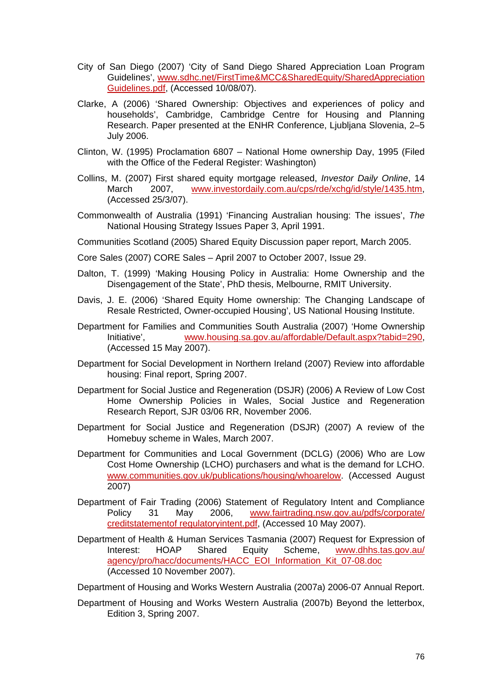- City of San Diego (2007) 'City of Sand Diego Shared Appreciation Loan Program Guidelines', [www.sdhc.net/FirstTime&MCC&SharedEquity/SharedAppreciation](http://www.sdhc.net/FirstTime&MCC&SharedEquity/SharedAppreciationGuidelines.pdf) [Guidelines.pdf,](http://www.sdhc.net/FirstTime&MCC&SharedEquity/SharedAppreciationGuidelines.pdf) (Accessed 10/08/07).
- Clarke, A (2006) 'Shared Ownership: Objectives and experiences of policy and households', Cambridge, Cambridge Centre for Housing and Planning Research. Paper presented at the ENHR Conference, Ljubljana Slovenia, 2–5 July 2006.
- Clinton, W. (1995) Proclamation 6807 National Home ownership Day, 1995 (Filed with the Office of the Federal Register: Washington)
- Collins, M. (2007) First shared equity mortgage released, *Investor Daily Online*, 14 March 2007, [www.investordaily.com.au/cps/rde/xchg/id/style/1435.htm,](http://www.investordaily.com.au/cps/rde/xchg/id/style/1435.htm) (Accessed 25/3/07).
- Commonwealth of Australia (1991) 'Financing Australian housing: The issues', *The*  National Housing Strategy Issues Paper 3, April 1991.
- Communities Scotland (2005) Shared Equity Discussion paper report, March 2005.
- Core Sales (2007) CORE Sales April 2007 to October 2007, Issue 29.
- Dalton, T. (1999) 'Making Housing Policy in Australia: Home Ownership and the Disengagement of the State', PhD thesis, Melbourne, RMIT University.
- Davis, J. E. (2006) 'Shared Equity Home ownership: The Changing Landscape of Resale Restricted, Owner-occupied Housing', US National Housing Institute.
- Department for Families and Communities South Australia (2007) 'Home Ownership Initiative', [www.housing.sa.gov.au/affordable/Default.aspx?tabid=290](http://www.housing.sa.gov.au/affordable/Default.aspx?tabid=290), (Accessed 15 May 2007).
- Department for Social Development in Northern Ireland (2007) Review into affordable housing: Final report, Spring 2007.
- Department for Social Justice and Regeneration (DSJR) (2006) A Review of Low Cost Home Ownership Policies in Wales, Social Justice and Regeneration Research Report, SJR 03/06 RR, November 2006.
- Department for Social Justice and Regeneration (DSJR) (2007) A review of the Homebuy scheme in Wales, March 2007.
- Department for Communities and Local Government (DCLG) (2006) Who are Low Cost Home Ownership (LCHO) purchasers and what is the demand for LCHO. [www.communities.gov.uk/publications/housing/whoarelow.](http://www.communities.gov.uk/publications/housing/whoarelow) (Accessed August 2007)
- Department of Fair Trading (2006) Statement of Regulatory Intent and Compliance Policy 31 May 2006, [www.fairtrading.nsw.gov.au/pdfs/corporate/](http://www.fairtrading.nsw.gov.au/pdfs/corporate/creditstatementof%20regulatoryintent.pdf) [creditstatementof regulatoryintent.pdf](http://www.fairtrading.nsw.gov.au/pdfs/corporate/creditstatementof%20regulatoryintent.pdf), (Accessed 10 May 2007).
- Department of Health & Human Services Tasmania (2007) Request for Expression of Interest: HOAP Shared Equity Scheme, [www.dhhs.tas.gov.au/](http://www.dhhs.tas.gov.au/agency/pro/hacc/documents/HACC_EOI_Information_Kit_07-08.doc) [agency/pro/hacc/documents/HACC\\_EOI\\_Information\\_Kit\\_07-08.doc](http://www.dhhs.tas.gov.au/agency/pro/hacc/documents/HACC_EOI_Information_Kit_07-08.doc) (Accessed 10 November 2007).

Department of Housing and Works Western Australia (2007a) 2006-07 Annual Report.

Department of Housing and Works Western Australia (2007b) Beyond the letterbox, Edition 3, Spring 2007.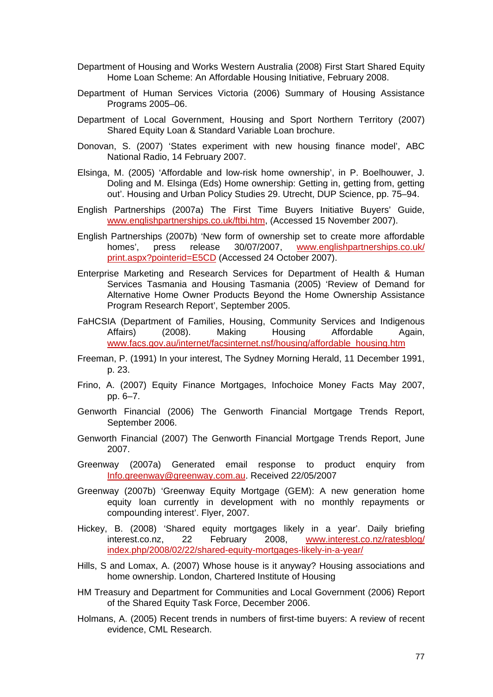- Department of Housing and Works Western Australia (2008) First Start Shared Equity Home Loan Scheme: An Affordable Housing Initiative, February 2008.
- Department of Human Services Victoria (2006) Summary of Housing Assistance Programs 2005–06.
- Department of Local Government, Housing and Sport Northern Territory (2007) Shared Equity Loan & Standard Variable Loan brochure.
- Donovan, S. (2007) 'States experiment with new housing finance model', ABC National Radio, 14 February 2007.
- Elsinga, M. (2005) 'Affordable and low-risk home ownership', in P. Boelhouwer, J. Doling and M. Elsinga (Eds) Home ownership: Getting in, getting from, getting out'. Housing and Urban Policy Studies 29. Utrecht, DUP Science, pp. 75–94.
- English Partnerships (2007a) The First Time Buyers Initiative Buyers' Guide, [www.englishpartnerships.co.uk/ftbi.htm](http://www.englishpartnerships.co.uk/ftbi.htm), (Accessed 15 November 2007).
- English Partnerships (2007b) 'New form of ownership set to create more affordable homes', press release 30/07/2007, [www.englishpartnerships.co.uk/](http://www.englishpartnerships.co.uk/print.aspx?pointerid=E5CD) [print.aspx?pointerid=E5CD](http://www.englishpartnerships.co.uk/print.aspx?pointerid=E5CD) (Accessed 24 October 2007).
- Enterprise Marketing and Research Services for Department of Health & Human Services Tasmania and Housing Tasmania (2005) 'Review of Demand for Alternative Home Owner Products Beyond the Home Ownership Assistance Program Research Report', September 2005.
- FaHCSIA (Department of Families, Housing, Community Services and Indigenous Affairs) (2008). Making Housing Affordable Again, [www.facs.gov.au/internet/facsinternet.nsf/housing/affordable\\_housing.htm](http://www.facs.gov.au/internet/facsinternet.nsf/housing/affordable_housing.htm)
- Freeman, P. (1991) In your interest, The Sydney Morning Herald, 11 December 1991, p. 23.
- Frino, A. (2007) Equity Finance Mortgages, Infochoice Money Facts May 2007, pp. 6–7.
- Genworth Financial (2006) The Genworth Financial Mortgage Trends Report, September 2006.
- Genworth Financial (2007) The Genworth Financial Mortgage Trends Report, June 2007.
- Greenway (2007a) Generated email response to product enquiry from [Info.greenway@greenway.com.au.](mailto:Info.greenway@greenway.com.au) Received 22/05/2007
- Greenway (2007b) 'Greenway Equity Mortgage (GEM): A new generation home equity loan currently in development with no monthly repayments or compounding interest'. Flyer, 2007.
- Hickey, B. (2008) 'Shared equity mortgages likely in a year'. Daily briefing interest.co.nz, 22 February 2008, [www.interest.co.nz/ratesblog/](http://www.interest.co.nz/ratesblog/index.php/2008/02/22/shared-equity-mortgages-likely-in-a-year/) [index.php/2008/02/22/shared-equity-mortgages-likely-in-a-year/](http://www.interest.co.nz/ratesblog/index.php/2008/02/22/shared-equity-mortgages-likely-in-a-year/)
- Hills, S and Lomax, A. (2007) Whose house is it anyway? Housing associations and home ownership. London, Chartered Institute of Housing
- HM Treasury and Department for Communities and Local Government (2006) Report of the Shared Equity Task Force, December 2006.
- Holmans, A. (2005) Recent trends in numbers of first-time buyers: A review of recent evidence, CML Research.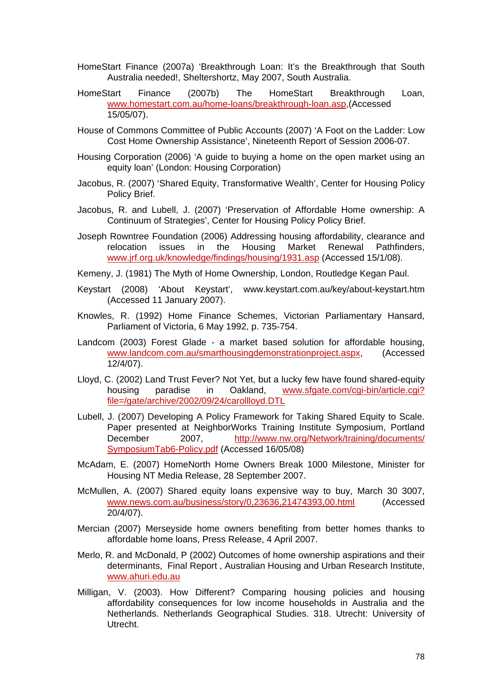- HomeStart Finance (2007a) 'Breakthrough Loan: It's the Breakthrough that South Australia needed!, Sheltershortz, May 2007, South Australia.
- HomeStart Finance (2007b) The HomeStart Breakthrough Loan, [www.homestart.com.au/home-loans/breakthrough-loan.asp](http://www.homestart.com.au/home-loans/breakthrough-loan.asp),(Accessed 15/05/07).
- House of Commons Committee of Public Accounts (2007) 'A Foot on the Ladder: Low Cost Home Ownership Assistance', Nineteenth Report of Session 2006-07.
- Housing Corporation (2006) 'A guide to buying a home on the open market using an equity loan' (London: Housing Corporation)
- Jacobus, R. (2007) 'Shared Equity, Transformative Wealth', Center for Housing Policy Policy Brief.
- Jacobus, R. and Lubell, J. (2007) 'Preservation of Affordable Home ownership: A Continuum of Strategies', Center for Housing Policy Policy Brief.
- Joseph Rowntree Foundation (2006) Addressing housing affordability, clearance and relocation issues in the Housing Market Renewal Pathfinders, [www.jrf.org.uk/knowledge/findings/housing/1931.asp](http://www.jrf.org.uk/knowledge/findings/housing/1931.asp) (Accessed 15/1/08).

Kemeny, J. (1981) The Myth of Home Ownership, London, Routledge Kegan Paul.

- Keystart (2008) 'About Keystart', www.keystart.com.au/key/about-keystart.htm (Accessed 11 January 2007).
- Knowles, R. (1992) Home Finance Schemes, Victorian Parliamentary Hansard, Parliament of Victoria, 6 May 1992, p. 735-754.
- Landcom (2003) Forest Glade a market based solution for affordable housing, [www.landcom.com.au/smarthousingdemonstrationproject.aspx](http://www.landcom.com.au/smarthousingdemonstrationproject.aspx), (Accessed 12/4/07).
- Lloyd, C. (2002) Land Trust Fever? Not Yet, but a lucky few have found shared-equity housing paradise in Oakland, [www.sfgate.com/cgi-bin/article.cgi?](http://www.sfgate.com/cgi-bin/article.cgi?file=/gate/archive/2002/09/24/carollloyd.DTL) [file=/gate/archive/2002/09/24/carollloyd.DTL](http://www.sfgate.com/cgi-bin/article.cgi?file=/gate/archive/2002/09/24/carollloyd.DTL)
- Lubell, J. (2007) Developing A Policy Framework for Taking Shared Equity to Scale. Paper presented at NeighborWorks Training Institute Symposium, Portland December 2007, [http://www.nw.org/Network/training/documents/](http://www.nw.org/Network/training/documents/SymposiumTab6-Policy.pdf) [SymposiumTab6-Policy.pdf](http://www.nw.org/Network/training/documents/SymposiumTab6-Policy.pdf) (Accessed 16/05/08)
- McAdam, E. (2007) HomeNorth Home Owners Break 1000 Milestone, Minister for Housing NT Media Release, 28 September 2007.
- McMullen, A. (2007) Shared equity loans expensive way to buy, March 30 3007, [www.news.com.au/business/story/0,23636,21474393,00.html](http://www.news.com.au/business/story/0,23636,21474393,00.html) (Accessed 20/4/07).
- Mercian (2007) Merseyside home owners benefiting from better homes thanks to affordable home loans, Press Release, 4 April 2007.
- Merlo, R. and McDonald, P (2002) Outcomes of home ownership aspirations and their determinants, Final Report , Australian Housing and Urban Research Institute, [www.ahuri.edu.au](http://www.ahuri.edu.au/)
- Milligan, V. (2003). How Different? Comparing housing policies and housing affordability consequences for low income households in Australia and the Netherlands. Netherlands Geographical Studies. 318. Utrecht: University of Utrecht.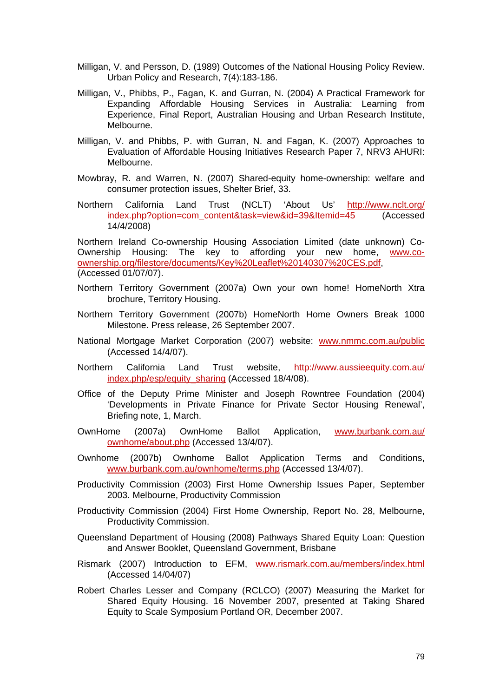- Milligan, V. and Persson, D. (1989) Outcomes of the National Housing Policy Review. Urban Policy and Research, 7(4):183-186.
- Milligan, V., Phibbs, P., Fagan, K. and Gurran, N. (2004) A Practical Framework for Expanding Affordable Housing Services in Australia: Learning from Experience, Final Report, Australian Housing and Urban Research Institute, Melbourne.
- Milligan, V. and Phibbs, P. with Gurran, N. and Fagan, K. (2007) Approaches to Evaluation of Affordable Housing Initiatives Research Paper 7, NRV3 AHURI: Melbourne.
- Mowbray, R. and Warren, N. (2007) Shared-equity home-ownership: welfare and consumer protection issues, Shelter Brief, 33.
- Northern California Land Trust (NCLT) 'About Us' [http://www.nclt.org/](http://www.nclt.org/index.php?option=com_content&task=view&id=39&Itemid=45) [index.php?option=com\\_content&task=view&id=39&Itemid=45](http://www.nclt.org/index.php?option=com_content&task=view&id=39&Itemid=45) (Accessed 14/4/2008)

Northern Ireland Co-ownership Housing Association Limited (date unknown) Co-Ownership Housing: The key to affording your new home, [www.co](http://www.co-ownership.org/filestore/documents/Key%20Leaflet%20140307%20CES.pdf)[ownership.org/filestore/documents/Key%20Leaflet%20140307%20CES.pdf,](http://www.co-ownership.org/filestore/documents/Key%20Leaflet%20140307%20CES.pdf) (Accessed 01/07/07).

- Northern Territory Government (2007a) Own your own home! HomeNorth Xtra brochure, Territory Housing.
- Northern Territory Government (2007b) HomeNorth Home Owners Break 1000 Milestone. Press release, 26 September 2007.
- National Mortgage Market Corporation (2007) website: [www.nmmc.com.au/public](http://www.nmmc.com.au/public) (Accessed 14/4/07).
- Northern California Land Trust website, [http://www.aussieequity.com.au/](http://www.aussieequity.com.au/index.php/esp/equity_sharing) [index.php/esp/equity\\_sharing](http://www.aussieequity.com.au/index.php/esp/equity_sharing) (Accessed 18/4/08).
- Office of the Deputy Prime Minister and Joseph Rowntree Foundation (2004) 'Developments in Private Finance for Private Sector Housing Renewal', Briefing note, 1, March.
- OwnHome (2007a) OwnHome Ballot Application, [www.burbank.com.au/](http://www.burbank.com.au/ownhome/about.php) [ownhome/about.php](http://www.burbank.com.au/ownhome/about.php) (Accessed 13/4/07).
- Ownhome (2007b) Ownhome Ballot Application Terms and Conditions, [www.burbank.com.au/ownhome/terms.php](http://www.burbank.com.au/ownhome/terms.php) (Accessed 13/4/07).
- Productivity Commission (2003) First Home Ownership Issues Paper, September 2003. Melbourne, Productivity Commission
- Productivity Commission (2004) First Home Ownership, Report No. 28, Melbourne, Productivity Commission.
- Queensland Department of Housing (2008) Pathways Shared Equity Loan: Question and Answer Booklet, Queensland Government, Brisbane
- Rismark (2007) Introduction to EFM, [www.rismark.com.au/members/index.html](http://www.rismark.com.au/members/index.html) (Accessed 14/04/07)
- Robert Charles Lesser and Company (RCLCO) (2007) Measuring the Market for Shared Equity Housing. 16 November 2007, presented at Taking Shared Equity to Scale Symposium Portland OR, December 2007.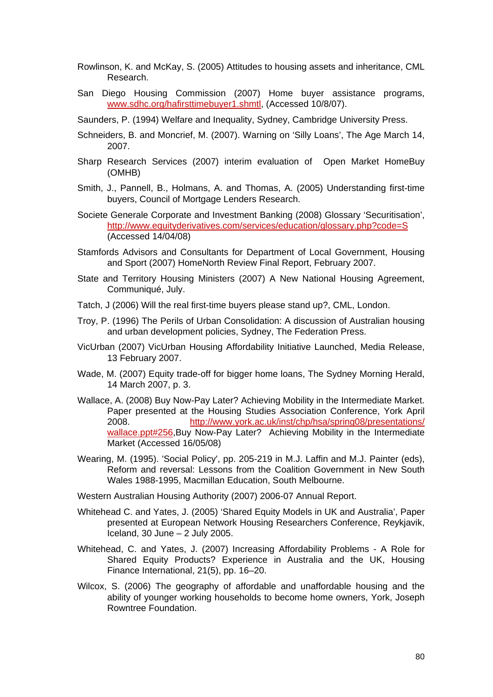- Rowlinson, K. and McKay, S. (2005) Attitudes to housing assets and inheritance, CML Research.
- San Diego Housing Commission (2007) Home buyer assistance programs, [www.sdhc.org/hafirsttimebuyer1.shmtl](http://www.sdhc.org/hafirsttimebuyer1.shmtl), (Accessed 10/8/07).
- Saunders, P. (1994) Welfare and Inequality, Sydney, Cambridge University Press.
- Schneiders, B. and Moncrief, M. (2007). Warning on 'Silly Loans', The Age March 14, 2007.
- Sharp Research Services (2007) interim evaluation of Open Market HomeBuy (OMHB)
- Smith, J., Pannell, B., Holmans, A. and Thomas, A. (2005) Understanding first-time buyers, Council of Mortgage Lenders Research.
- Societe Generale Corporate and Investment Banking (2008) Glossary 'Securitisation', <http://www.equityderivatives.com/services/education/glossary.php?code=S> (Accessed 14/04/08)
- Stamfords Advisors and Consultants for Department of Local Government, Housing and Sport (2007) HomeNorth Review Final Report, February 2007.
- State and Territory Housing Ministers (2007) A New National Housing Agreement, Communiqué, July.
- Tatch, J (2006) Will the real first-time buyers please stand up?, CML, London.
- Troy, P. (1996) The Perils of Urban Consolidation: A discussion of Australian housing and urban development policies, Sydney, The Federation Press.
- VicUrban (2007) VicUrban Housing Affordability Initiative Launched, Media Release, 13 February 2007.
- Wade, M. (2007) Equity trade-off for bigger home loans, The Sydney Morning Herald, 14 March 2007, p. 3.
- Wallace, A. (2008) Buy Now-Pay Later? Achieving Mobility in the Intermediate Market. Paper presented at the Housing Studies Association Conference, York April 2008. [http://www.york.ac.uk/inst/chp/hsa/spring08/presentations/](http://www.york.ac.uk/inst/chp/hsa/spring08/presentations/wallace.ppt#256) [wallace.ppt#256](http://www.york.ac.uk/inst/chp/hsa/spring08/presentations/wallace.ppt#256),Buy Now-Pay Later? Achieving Mobility in the Intermediate Market (Accessed 16/05/08)
- Wearing, M. (1995). 'Social Policy', pp. 205-219 in M.J. Laffin and M.J. Painter (eds), Reform and reversal: Lessons from the Coalition Government in New South Wales 1988-1995, Macmillan Education, South Melbourne.
- Western Australian Housing Authority (2007) 2006-07 Annual Report.
- Whitehead C. and Yates, J. (2005) 'Shared Equity Models in UK and Australia', Paper presented at European Network Housing Researchers Conference, Reykjavik, Iceland,  $30$  June  $-2$  July 2005.
- Whitehead, C. and Yates, J. (2007) Increasing Affordability Problems A Role for Shared Equity Products? Experience in Australia and the UK, Housing Finance International, 21(5), pp. 16–20.
- Wilcox, S. (2006) The geography of affordable and unaffordable housing and the ability of younger working households to become home owners, York, Joseph Rowntree Foundation.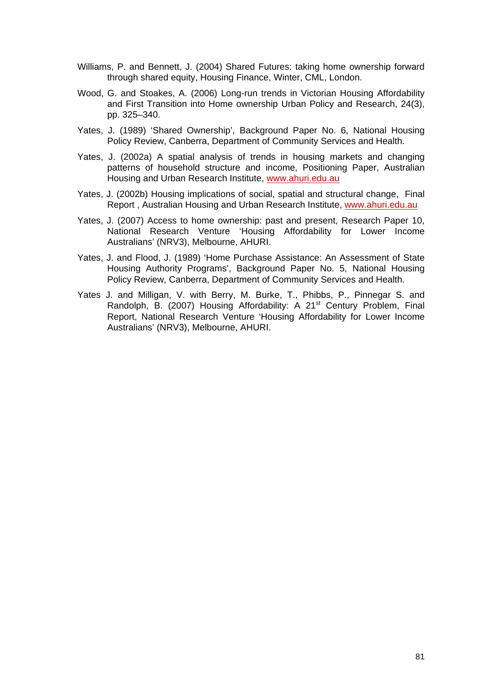- Williams, P. and Bennett, J. (2004) Shared Futures: taking home ownership forward through shared equity, Housing Finance, Winter, CML, London.
- Wood, G. and Stoakes, A. (2006) Long-run trends in Victorian Housing Affordability and First Transition into Home ownership Urban Policy and Research, 24(3), pp. 325–340.
- Yates, J. (1989) 'Shared Ownership', Background Paper No. 6, National Housing Policy Review, Canberra, Department of Community Services and Health.
- Yates, J. (2002a) A spatial analysis of trends in housing markets and changing patterns of household structure and income, Positioning Paper, Australian Housing and Urban Research Institute, [www.ahuri.edu.au](http://www.ahuri.edu.au/)
- Yates, J. (2002b) Housing implications of social, spatial and structural change, Final Report , Australian Housing and Urban Research Institute, [www.ahuri.edu.au](http://www.ahuri.edu.au/)
- Yates, J. (2007) Access to home ownership: past and present, Research Paper 10, National Research Venture 'Housing Affordability for Lower Income Australians' (NRV3), Melbourne, AHURI.
- Yates, J. and Flood, J. (1989) 'Home Purchase Assistance: An Assessment of State Housing Authority Programs', Background Paper No. 5, National Housing Policy Review, Canberra, Department of Community Services and Health.
- Yates J. and Milligan, V. with Berry, M. Burke, T., Phibbs, P., Pinnegar S. and Randolph, B. (2007) Housing Affordability: A 21<sup>st</sup> Century Problem, Final Report, National Research Venture 'Housing Affordability for Lower Income Australians' (NRV3), Melbourne, AHURI.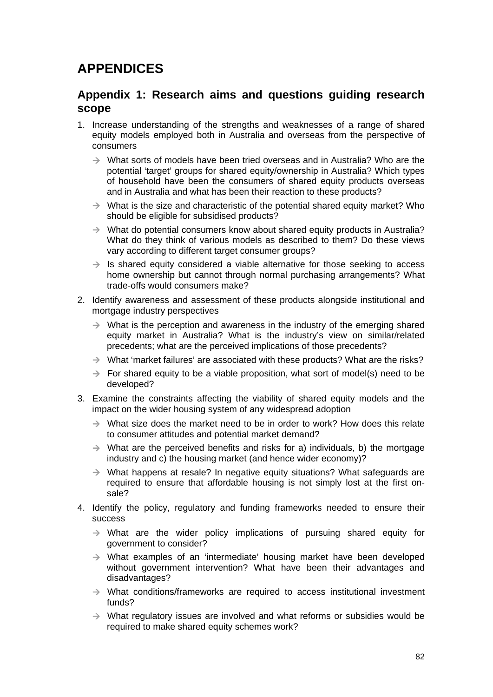## **APPENDICES**

## **Appendix 1: Research aims and questions guiding research scope**

- 1. Increase understanding of the strengths and weaknesses of a range of shared equity models employed both in Australia and overseas from the perspective of consumers
	- $\rightarrow$  What sorts of models have been tried overseas and in Australia? Who are the potential 'target' groups for shared equity/ownership in Australia? Which types of household have been the consumers of shared equity products overseas and in Australia and what has been their reaction to these products?
	- $\rightarrow$  What is the size and characteristic of the potential shared equity market? Who should be eligible for subsidised products?
	- $\rightarrow$  What do potential consumers know about shared equity products in Australia? What do they think of various models as described to them? Do these views vary according to different target consumer groups?
	- $\rightarrow$  Is shared equity considered a viable alternative for those seeking to access home ownership but cannot through normal purchasing arrangements? What trade-offs would consumers make?
- 2. Identify awareness and assessment of these products alongside institutional and mortgage industry perspectives
	- $\rightarrow$  What is the perception and awareness in the industry of the emerging shared equity market in Australia? What is the industry's view on similar/related precedents; what are the perceived implications of those precedents?
	- $\rightarrow$  What 'market failures' are associated with these products? What are the risks?
	- $\rightarrow$  For shared equity to be a viable proposition, what sort of model(s) need to be developed?
- 3. Examine the constraints affecting the viability of shared equity models and the impact on the wider housing system of any widespread adoption
	- $\rightarrow$  What size does the market need to be in order to work? How does this relate to consumer attitudes and potential market demand?
	- $\rightarrow$  What are the perceived benefits and risks for a) individuals, b) the mortgage industry and c) the housing market (and hence wider economy)?
	- $\rightarrow$  What happens at resale? In negative equity situations? What safeguards are required to ensure that affordable housing is not simply lost at the first onsale?
- 4. Identify the policy, regulatory and funding frameworks needed to ensure their success
	- $\rightarrow$  What are the wider policy implications of pursuing shared equity for government to consider?
	- $\rightarrow$  What examples of an 'intermediate' housing market have been developed without government intervention? What have been their advantages and disadvantages?
	- $\rightarrow$  What conditions/frameworks are required to access institutional investment funds?
	- $\rightarrow$  What regulatory issues are involved and what reforms or subsidies would be required to make shared equity schemes work?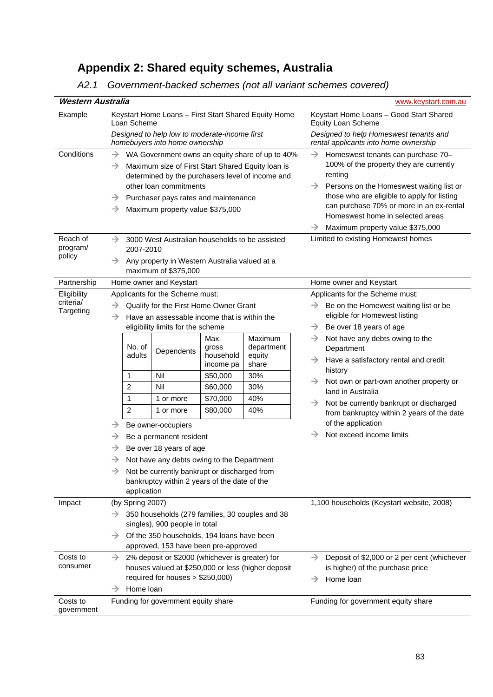# **Appendix 2: Shared equity schemes, Australia**

| A2.1 Government-backed schemes (not all variant schemes covered) |  |
|------------------------------------------------------------------|--|
|------------------------------------------------------------------|--|

| Western Australia                     |                                                                                                                                                                                 |                                                                                                                                                                                                                                      |                                                                                 | www.keystart.com.au                                                                                                                                                                                                                                                                                                                                        |
|---------------------------------------|---------------------------------------------------------------------------------------------------------------------------------------------------------------------------------|--------------------------------------------------------------------------------------------------------------------------------------------------------------------------------------------------------------------------------------|---------------------------------------------------------------------------------|------------------------------------------------------------------------------------------------------------------------------------------------------------------------------------------------------------------------------------------------------------------------------------------------------------------------------------------------------------|
| Example                               | Keystart Home Loans - First Start Shared Equity Home<br>Loan Scheme                                                                                                             |                                                                                                                                                                                                                                      | Keystart Home Loans - Good Start Shared<br>Equity Loan Scheme                   |                                                                                                                                                                                                                                                                                                                                                            |
|                                       | Designed to help low to moderate-income first<br>homebuyers into home ownership                                                                                                 |                                                                                                                                                                                                                                      | Designed to help Homeswest tenants and<br>rental applicants into home ownership |                                                                                                                                                                                                                                                                                                                                                            |
| Conditions                            | →<br>$\rightarrow$<br>other loan commitments<br>→<br>→                                                                                                                          | WA Government owns an equity share of up to 40%<br>Maximum size of First Start Shared Equity loan is<br>determined by the purchasers level of income and<br>Purchaser pays rates and maintenance<br>Maximum property value \$375,000 |                                                                                 | Homeswest tenants can purchase 70-<br>$\rightarrow$<br>100% of the property they are currently<br>renting<br>$\rightarrow$<br>Persons on the Homeswest waiting list or<br>those who are eligible to apply for listing<br>can purchase 70% or more in an ex-rental<br>Homeswest home in selected areas<br>Maximum property value \$375,000<br>$\rightarrow$ |
| Reach of<br>program/<br>policy        | $\rightarrow$<br>2007-2010                                                                                                                                                      | 3000 West Australian households to be assisted<br>Any property in Western Australia valued at a                                                                                                                                      |                                                                                 | Limited to existing Homewest homes                                                                                                                                                                                                                                                                                                                         |
|                                       | maximum of \$375,000                                                                                                                                                            |                                                                                                                                                                                                                                      |                                                                                 |                                                                                                                                                                                                                                                                                                                                                            |
| Partnership                           | Home owner and Keystart                                                                                                                                                         |                                                                                                                                                                                                                                      |                                                                                 | Home owner and Keystart<br>Applicants for the Scheme must:                                                                                                                                                                                                                                                                                                 |
| Eligibility<br>criteria/<br>Targeting | Applicants for the Scheme must:<br>Qualify for the First Home Owner Grant<br>Have an assessable income that is within the<br>$\rightarrow$<br>eligibility limits for the scheme | Be on the Homewest waiting list or be<br>$\rightarrow$<br>eligible for Homewest listing<br>Be over 18 years of age<br>$\rightarrow$                                                                                                  |                                                                                 |                                                                                                                                                                                                                                                                                                                                                            |
|                                       | No. of<br>adults                                                                                                                                                                | Max.<br>gross<br>Dependents<br>household<br>income pa                                                                                                                                                                                | Maximum<br>department<br>equity<br>share                                        | Not have any debts owing to the<br>$\rightarrow$<br>Department<br>Have a satisfactory rental and credit<br>history                                                                                                                                                                                                                                         |
|                                       | Nil<br>1                                                                                                                                                                        | \$50,000                                                                                                                                                                                                                             | 30%                                                                             | Not own or part-own another property or<br>$\rightarrow$                                                                                                                                                                                                                                                                                                   |
|                                       | 2<br>Nil                                                                                                                                                                        | \$60,000                                                                                                                                                                                                                             | 30%                                                                             | land in Australia                                                                                                                                                                                                                                                                                                                                          |
|                                       | 1<br>1 or more                                                                                                                                                                  | \$70,000                                                                                                                                                                                                                             | 40%                                                                             | →<br>Not be currently bankrupt or discharged                                                                                                                                                                                                                                                                                                               |
|                                       | $\overline{2}$<br>1 or more                                                                                                                                                     | \$80,000                                                                                                                                                                                                                             | 40%                                                                             | from bankruptcy within 2 years of the date<br>of the application                                                                                                                                                                                                                                                                                           |
|                                       | Be owner-occupiers<br>→<br>Be a permanent resident<br>→                                                                                                                         |                                                                                                                                                                                                                                      |                                                                                 | Not exceed income limits<br>→                                                                                                                                                                                                                                                                                                                              |
|                                       | Be over 18 years of age<br>→                                                                                                                                                    |                                                                                                                                                                                                                                      |                                                                                 |                                                                                                                                                                                                                                                                                                                                                            |
|                                       | →                                                                                                                                                                               | Not have any debts owing to the Department                                                                                                                                                                                           |                                                                                 |                                                                                                                                                                                                                                                                                                                                                            |
|                                       | →<br>application                                                                                                                                                                | Not be currently bankrupt or discharged from<br>bankruptcy within 2 years of the date of the                                                                                                                                         |                                                                                 |                                                                                                                                                                                                                                                                                                                                                            |
| Impact                                | (by Spring 2007)                                                                                                                                                                |                                                                                                                                                                                                                                      |                                                                                 | 1,100 households (Keystart website, 2008)                                                                                                                                                                                                                                                                                                                  |
|                                       | →<br>singles), 900 people in total<br>$\rightarrow$                                                                                                                             | 350 households (279 families, 30 couples and 38<br>Of the 350 households, 194 loans have been                                                                                                                                        |                                                                                 |                                                                                                                                                                                                                                                                                                                                                            |
| Costs to<br>consumer                  | →<br>Home loan<br>→                                                                                                                                                             | approved, 153 have been pre-approved<br>2% deposit or \$2000 (whichever is greater) for<br>houses valued at \$250,000 or less (higher deposit<br>required for houses > \$250,000)                                                    |                                                                                 | Deposit of \$2,000 or 2 per cent (whichever<br>$\rightarrow$<br>is higher) of the purchase price<br>Home loan<br>→                                                                                                                                                                                                                                         |
| Costs to<br>government                | Funding for government equity share                                                                                                                                             |                                                                                                                                                                                                                                      |                                                                                 | Funding for government equity share                                                                                                                                                                                                                                                                                                                        |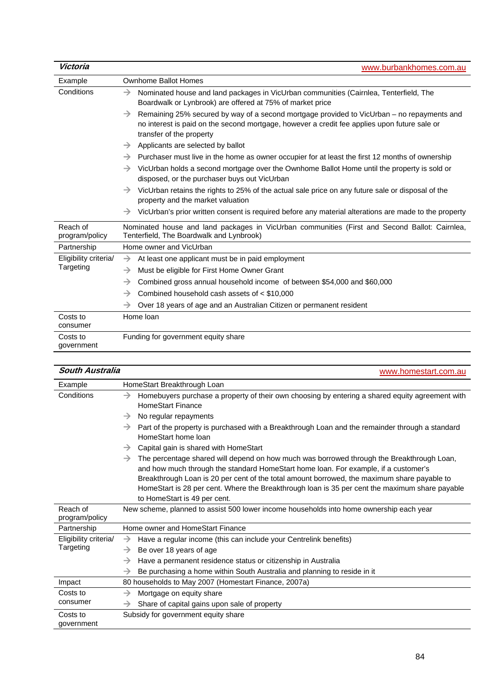| Victoria                   | www.burbankhomes.com.au                                                                                                                                                                                                                 |
|----------------------------|-----------------------------------------------------------------------------------------------------------------------------------------------------------------------------------------------------------------------------------------|
| Example                    | <b>Ownhome Ballot Homes</b>                                                                                                                                                                                                             |
| Conditions                 | Nominated house and land packages in VicUrban communities (Cairnlea, Tenterfield, The<br>$\rightarrow$<br>Boardwalk or Lynbrook) are offered at 75% of market price                                                                     |
|                            | Remaining 25% secured by way of a second mortgage provided to VicUrban – no repayments and<br>$\rightarrow$<br>no interest is paid on the second mortgage, however a credit fee applies upon future sale or<br>transfer of the property |
|                            | Applicants are selected by ballot<br>$\rightarrow$                                                                                                                                                                                      |
|                            | Purchaser must live in the home as owner occupier for at least the first 12 months of ownership<br>$\rightarrow$                                                                                                                        |
|                            | VicUrban holds a second mortgage over the Ownhome Ballot Home until the property is sold or<br>$\rightarrow$<br>disposed, or the purchaser buys out VicUrban                                                                            |
|                            | VicUrban retains the rights to 25% of the actual sale price on any future sale or disposal of the<br>$\rightarrow$<br>property and the market valuation                                                                                 |
|                            | VicUrban's prior written consent is required before any material alterations are made to the property<br>$\rightarrow$                                                                                                                  |
| Reach of<br>program/policy | Nominated house and land packages in VicUrban communities (First and Second Ballot: Cairnlea,<br>Tenterfield, The Boardwalk and Lynbrook)                                                                                               |
| Partnership                | Home owner and VicUrban                                                                                                                                                                                                                 |
| Eligibility criteria/      | At least one applicant must be in paid employment<br>$\rightarrow$                                                                                                                                                                      |
| Targeting                  | Must be eligible for First Home Owner Grant<br>$\rightarrow$                                                                                                                                                                            |
|                            | Combined gross annual household income of between \$54,000 and \$60,000<br>→                                                                                                                                                            |
|                            | Combined household cash assets of $<$ \$10,000<br>$\rightarrow$                                                                                                                                                                         |
|                            | Over 18 years of age and an Australian Citizen or permanent resident<br>→                                                                                                                                                               |
| Costs to<br>consumer       | Home loan                                                                                                                                                                                                                               |
| Costs to<br>government     | Funding for government equity share                                                                                                                                                                                                     |

| South Australia            | www.homestart.com.au                                                                                                                                                                                                                                                                                                                                                                                                   |
|----------------------------|------------------------------------------------------------------------------------------------------------------------------------------------------------------------------------------------------------------------------------------------------------------------------------------------------------------------------------------------------------------------------------------------------------------------|
| Example                    | HomeStart Breakthrough Loan                                                                                                                                                                                                                                                                                                                                                                                            |
| Conditions                 | Homebuyers purchase a property of their own choosing by entering a shared equity agreement with<br>→<br><b>HomeStart Finance</b>                                                                                                                                                                                                                                                                                       |
|                            | No regular repayments<br>$\rightarrow$                                                                                                                                                                                                                                                                                                                                                                                 |
|                            | Part of the property is purchased with a Breakthrough Loan and the remainder through a standard<br>$\rightarrow$<br>HomeStart home loan                                                                                                                                                                                                                                                                                |
|                            | Capital gain is shared with HomeStart<br>$\rightarrow$                                                                                                                                                                                                                                                                                                                                                                 |
|                            | The percentage shared will depend on how much was borrowed through the Breakthrough Loan,<br>→<br>and how much through the standard HomeStart home loan. For example, if a customer's<br>Breakthrough Loan is 20 per cent of the total amount borrowed, the maximum share payable to<br>HomeStart is 28 per cent. Where the Breakthrough loan is 35 per cent the maximum share payable<br>to HomeStart is 49 per cent. |
| Reach of<br>program/policy | New scheme, planned to assist 500 lower income households into home ownership each year                                                                                                                                                                                                                                                                                                                                |
| Partnership                | Home owner and HomeStart Finance                                                                                                                                                                                                                                                                                                                                                                                       |
| Eligibility criteria/      | Have a regular income (this can include your Centrelink benefits)<br>→                                                                                                                                                                                                                                                                                                                                                 |
| Targeting                  | Be over 18 years of age<br>$\rightarrow$                                                                                                                                                                                                                                                                                                                                                                               |
|                            | Have a permanent residence status or citizenship in Australia<br>$\rightarrow$                                                                                                                                                                                                                                                                                                                                         |
|                            | Be purchasing a home within South Australia and planning to reside in it<br>→                                                                                                                                                                                                                                                                                                                                          |
| Impact                     | 80 households to May 2007 (Homestart Finance, 2007a)                                                                                                                                                                                                                                                                                                                                                                   |
| Costs to                   | Mortgage on equity share<br>$\rightarrow$                                                                                                                                                                                                                                                                                                                                                                              |
| consumer                   | Share of capital gains upon sale of property<br>$\rightarrow$                                                                                                                                                                                                                                                                                                                                                          |
| Costs to<br>government     | Subsidy for government equity share                                                                                                                                                                                                                                                                                                                                                                                    |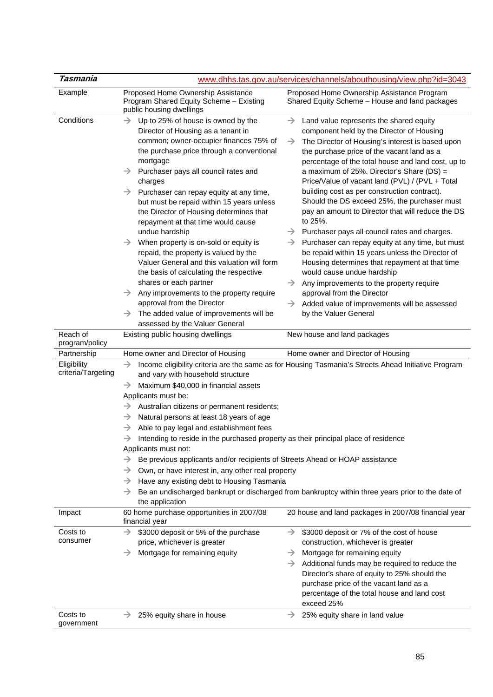| Tasmania                                    |                                                                                                                                                                                                                                                                                                                                                                                                                                                                                                                                                                                                                                                                                                                                                                                                                                                                                                                                                                                                                | www.dhhs.tas.gov.au/services/channels/abouthousing/view.php?id=3043                                                                                                                                                                                                                                                                                                                                                                                                                                                                                                                                                                                                                                                                                                                                                                                                                                                                                                                                            |  |
|---------------------------------------------|----------------------------------------------------------------------------------------------------------------------------------------------------------------------------------------------------------------------------------------------------------------------------------------------------------------------------------------------------------------------------------------------------------------------------------------------------------------------------------------------------------------------------------------------------------------------------------------------------------------------------------------------------------------------------------------------------------------------------------------------------------------------------------------------------------------------------------------------------------------------------------------------------------------------------------------------------------------------------------------------------------------|----------------------------------------------------------------------------------------------------------------------------------------------------------------------------------------------------------------------------------------------------------------------------------------------------------------------------------------------------------------------------------------------------------------------------------------------------------------------------------------------------------------------------------------------------------------------------------------------------------------------------------------------------------------------------------------------------------------------------------------------------------------------------------------------------------------------------------------------------------------------------------------------------------------------------------------------------------------------------------------------------------------|--|
| Example                                     | Proposed Home Ownership Assistance<br>Program Shared Equity Scheme - Existing<br>public housing dwellings                                                                                                                                                                                                                                                                                                                                                                                                                                                                                                                                                                                                                                                                                                                                                                                                                                                                                                      | Proposed Home Ownership Assistance Program<br>Shared Equity Scheme - House and land packages                                                                                                                                                                                                                                                                                                                                                                                                                                                                                                                                                                                                                                                                                                                                                                                                                                                                                                                   |  |
| Conditions                                  | Up to 25% of house is owned by the<br>$\rightarrow$<br>Director of Housing as a tenant in<br>common; owner-occupier finances 75% of<br>the purchase price through a conventional<br>mortgage<br>$\rightarrow$<br>Purchaser pays all council rates and<br>charges<br>Purchaser can repay equity at any time,<br>but must be repaid within 15 years unless<br>the Director of Housing determines that<br>repayment at that time would cause<br>undue hardship<br>When property is on-sold or equity is<br>$\rightarrow$<br>repaid, the property is valued by the<br>Valuer General and this valuation will form<br>the basis of calculating the respective<br>shares or each partner<br>$\rightarrow$ Any improvements to the property require<br>approval from the Director<br>The added value of improvements will be<br>$\rightarrow$<br>assessed by the Valuer General                                                                                                                                       | $\rightarrow$<br>Land value represents the shared equity<br>component held by the Director of Housing<br>$\rightarrow$<br>The Director of Housing's interest is based upon<br>the purchase price of the vacant land as a<br>percentage of the total house and land cost, up to<br>a maximum of 25%. Director's Share (DS) =<br>Price/Value of vacant land (PVL) / (PVL + Total<br>building cost as per construction contract).<br>Should the DS exceed 25%, the purchaser must<br>pay an amount to Director that will reduce the DS<br>to 25%.<br>Purchaser pays all council rates and charges.<br>$\rightarrow$<br>Purchaser can repay equity at any time, but must<br>$\rightarrow$<br>be repaid within 15 years unless the Director of<br>Housing determines that repayment at that time<br>would cause undue hardship<br>Any improvements to the property require<br>$\rightarrow$<br>approval from the Director<br>Added value of improvements will be assessed<br>$\rightarrow$<br>by the Valuer General |  |
| Reach of                                    | Existing public housing dwellings                                                                                                                                                                                                                                                                                                                                                                                                                                                                                                                                                                                                                                                                                                                                                                                                                                                                                                                                                                              | New house and land packages                                                                                                                                                                                                                                                                                                                                                                                                                                                                                                                                                                                                                                                                                                                                                                                                                                                                                                                                                                                    |  |
| program/policy<br>Partnership               | Home owner and Director of Housing                                                                                                                                                                                                                                                                                                                                                                                                                                                                                                                                                                                                                                                                                                                                                                                                                                                                                                                                                                             | Home owner and Director of Housing                                                                                                                                                                                                                                                                                                                                                                                                                                                                                                                                                                                                                                                                                                                                                                                                                                                                                                                                                                             |  |
| Eligibility<br>criteria/Targeting<br>Impact | $\rightarrow$<br>Income eligibility criteria are the same as for Housing Tasmania's Streets Ahead Initiative Program<br>and vary with household structure<br>Maximum \$40,000 in financial assets<br>$\rightarrow$<br>Applicants must be:<br>Australian citizens or permanent residents;<br>$\rightarrow$<br>Natural persons at least 18 years of age<br>→<br>Able to pay legal and establishment fees<br>$\rightarrow$<br>$\rightarrow$<br>Intending to reside in the purchased property as their principal place of residence<br>Applicants must not:<br>Be previous applicants and/or recipients of Streets Ahead or HOAP assistance<br>Own, or have interest in, any other real property<br>$\rightarrow$<br>Have any existing debt to Housing Tasmania<br>$\rightarrow$<br>Be an undischarged bankrupt or discharged from bankruptcy within three years prior to the date of<br>→<br>the application<br>60 home purchase opportunities in 2007/08<br>20 house and land packages in 2007/08 financial year |                                                                                                                                                                                                                                                                                                                                                                                                                                                                                                                                                                                                                                                                                                                                                                                                                                                                                                                                                                                                                |  |
|                                             | financial year                                                                                                                                                                                                                                                                                                                                                                                                                                                                                                                                                                                                                                                                                                                                                                                                                                                                                                                                                                                                 |                                                                                                                                                                                                                                                                                                                                                                                                                                                                                                                                                                                                                                                                                                                                                                                                                                                                                                                                                                                                                |  |
| Costs to<br>consumer                        | \$3000 deposit or 5% of the purchase<br>$\rightarrow$<br>price, whichever is greater<br>Mortgage for remaining equity<br>$\rightarrow$                                                                                                                                                                                                                                                                                                                                                                                                                                                                                                                                                                                                                                                                                                                                                                                                                                                                         | \$3000 deposit or 7% of the cost of house<br>$\rightarrow$<br>construction, whichever is greater<br>Mortgage for remaining equity<br>$\rightarrow$<br>Additional funds may be required to reduce the<br>$\rightarrow$<br>Director's share of equity to 25% should the<br>purchase price of the vacant land as a<br>percentage of the total house and land cost<br>exceed 25%                                                                                                                                                                                                                                                                                                                                                                                                                                                                                                                                                                                                                                   |  |
| Costs to<br>government                      | 25% equity share in house<br>$\rightarrow$                                                                                                                                                                                                                                                                                                                                                                                                                                                                                                                                                                                                                                                                                                                                                                                                                                                                                                                                                                     | 25% equity share in land value<br>→                                                                                                                                                                                                                                                                                                                                                                                                                                                                                                                                                                                                                                                                                                                                                                                                                                                                                                                                                                            |  |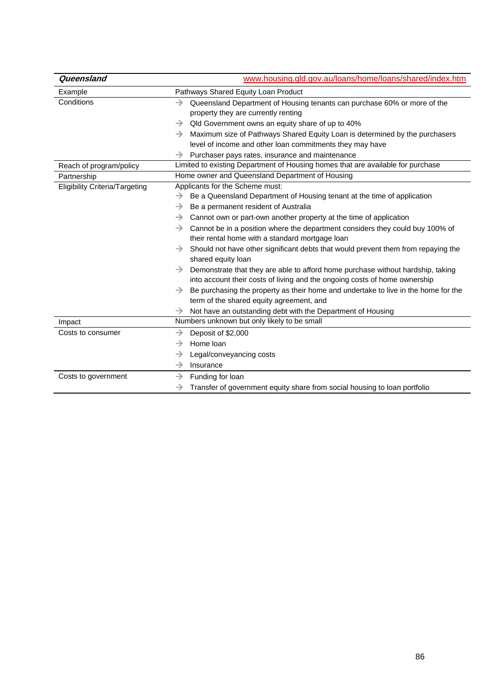| Queensland                            | www.housing.gld.gov.au/loans/home/loans/shared/index.htm                                                                                                                       |  |  |
|---------------------------------------|--------------------------------------------------------------------------------------------------------------------------------------------------------------------------------|--|--|
| Example                               | Pathways Shared Equity Loan Product                                                                                                                                            |  |  |
| Conditions                            | Queensland Department of Housing tenants can purchase 60% or more of the<br>→<br>property they are currently renting                                                           |  |  |
|                                       | Qld Government owns an equity share of up to 40%<br>→                                                                                                                          |  |  |
|                                       | Maximum size of Pathways Shared Equity Loan is determined by the purchasers<br>$\rightarrow$                                                                                   |  |  |
|                                       | level of income and other loan commitments they may have                                                                                                                       |  |  |
|                                       | Purchaser pays rates, insurance and maintenance<br>→                                                                                                                           |  |  |
| Reach of program/policy               | Limited to existing Department of Housing homes that are available for purchase                                                                                                |  |  |
| Partnership                           | Home owner and Queensland Department of Housing                                                                                                                                |  |  |
| <b>Eligibility Criteria/Targeting</b> | Applicants for the Scheme must:                                                                                                                                                |  |  |
|                                       | Be a Queensland Department of Housing tenant at the time of application<br>→                                                                                                   |  |  |
|                                       | Be a permanent resident of Australia<br>→                                                                                                                                      |  |  |
|                                       | →<br>Cannot own or part-own another property at the time of application                                                                                                        |  |  |
|                                       | Cannot be in a position where the department considers they could buy 100% of<br>$\rightarrow$<br>their rental home with a standard mortgage loan                              |  |  |
|                                       | Should not have other significant debts that would prevent them from repaying the<br>→<br>shared equity loan                                                                   |  |  |
|                                       | Demonstrate that they are able to afford home purchase without hardship, taking<br>$\rightarrow$<br>into account their costs of living and the ongoing costs of home ownership |  |  |
|                                       | Be purchasing the property as their home and undertake to live in the home for the<br>→<br>term of the shared equity agreement, and                                            |  |  |
|                                       | Not have an outstanding debt with the Department of Housing<br>$\rightarrow$                                                                                                   |  |  |
| Impact                                | Numbers unknown but only likely to be small                                                                                                                                    |  |  |
| Costs to consumer                     | Deposit of \$2,000<br>→                                                                                                                                                        |  |  |
|                                       | Home loan<br>$\rightarrow$                                                                                                                                                     |  |  |
|                                       | $\rightarrow$<br>Legal/conveyancing costs                                                                                                                                      |  |  |
|                                       | Insurance<br>→                                                                                                                                                                 |  |  |
| Costs to government                   | Funding for loan<br>$\rightarrow$                                                                                                                                              |  |  |
|                                       | Transfer of government equity share from social housing to loan portfolio<br>$\rightarrow$                                                                                     |  |  |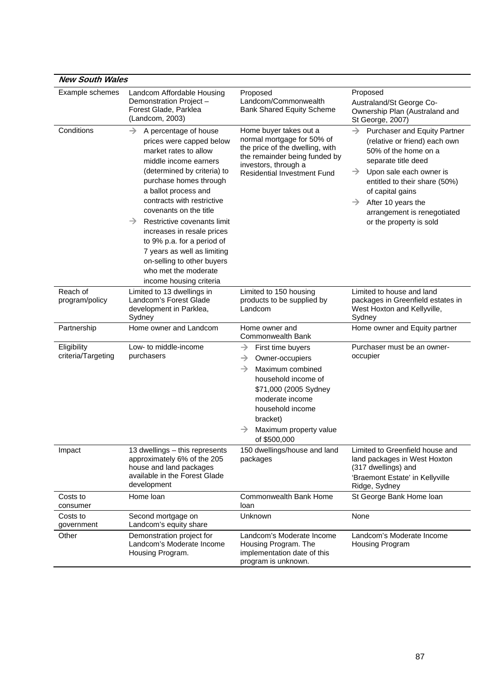| <b>New South Wales</b>            |                                                                                                                                                                                                                                                                                                                                                                                                                                                                               |                                                                                                                                                                                                                                                          |                                                                                                                                                                                                                                                                                                                                 |
|-----------------------------------|-------------------------------------------------------------------------------------------------------------------------------------------------------------------------------------------------------------------------------------------------------------------------------------------------------------------------------------------------------------------------------------------------------------------------------------------------------------------------------|----------------------------------------------------------------------------------------------------------------------------------------------------------------------------------------------------------------------------------------------------------|---------------------------------------------------------------------------------------------------------------------------------------------------------------------------------------------------------------------------------------------------------------------------------------------------------------------------------|
| Example schemes                   | Landcom Affordable Housing<br>Demonstration Project -<br>Forest Glade, Parklea<br>(Landcom, 2003)                                                                                                                                                                                                                                                                                                                                                                             | Proposed<br>Landcom/Commonwealth<br><b>Bank Shared Equity Scheme</b>                                                                                                                                                                                     | Proposed<br>Australand/St George Co-<br>Ownership Plan (Australand and<br>St George, 2007)                                                                                                                                                                                                                                      |
| Conditions                        | $\rightarrow$<br>A percentage of house<br>prices were capped below<br>market rates to allow<br>middle income earners<br>(determined by criteria) to<br>purchase homes through<br>a ballot process and<br>contracts with restrictive<br>covenants on the title<br>→<br>Restrictive covenants limit<br>increases in resale prices<br>to 9% p.a. for a period of<br>7 years as well as limiting<br>on-selling to other buyers<br>who met the moderate<br>income housing criteria | Home buyer takes out a<br>normal mortgage for 50% of<br>the price of the dwelling, with<br>the remainder being funded by<br>investors, through a<br><b>Residential Investment Fund</b>                                                                   | $\rightarrow$<br>Purchaser and Equity Partner<br>(relative or friend) each own<br>50% of the home on a<br>separate title deed<br>Upon sale each owner is<br>$\rightarrow$<br>entitled to their share (50%)<br>of capital gains<br>After 10 years the<br>$\rightarrow$<br>arrangement is renegotiated<br>or the property is sold |
| Reach of<br>program/policy        | Limited to 13 dwellings in<br>Landcom's Forest Glade<br>development in Parklea,<br>Sydney                                                                                                                                                                                                                                                                                                                                                                                     | Limited to 150 housing<br>products to be supplied by<br>Landcom                                                                                                                                                                                          | Limited to house and land<br>packages in Greenfield estates in<br>West Hoxton and Kellyville,<br>Sydney                                                                                                                                                                                                                         |
| Partnership                       | Home owner and Landcom                                                                                                                                                                                                                                                                                                                                                                                                                                                        | Home owner and<br>Commonwealth Bank                                                                                                                                                                                                                      | Home owner and Equity partner                                                                                                                                                                                                                                                                                                   |
| Eligibility<br>criteria/Targeting | Low- to middle-income<br>purchasers                                                                                                                                                                                                                                                                                                                                                                                                                                           | $\rightarrow$<br>First time buyers<br>$\rightarrow$<br>Owner-occupiers<br>Maximum combined<br>$\rightarrow$<br>household income of<br>\$71,000 (2005 Sydney<br>moderate income<br>household income<br>bracket)<br>Maximum property value<br>of \$500,000 | Purchaser must be an owner-<br>occupier                                                                                                                                                                                                                                                                                         |
| Impact                            | 13 dwellings – this represents<br>approximately 6% of the 205<br>house and land packages<br>available in the Forest Glade<br>development                                                                                                                                                                                                                                                                                                                                      | 150 dwellings/house and land<br>packages                                                                                                                                                                                                                 | Limited to Greenfield house and<br>land packages in West Hoxton<br>(317 dwellings) and<br>'Braemont Estate' in Kellyville<br>Ridge, Sydney                                                                                                                                                                                      |
| Costs to<br>consumer              | Home loan                                                                                                                                                                                                                                                                                                                                                                                                                                                                     | Commonwealth Bank Home<br>loan                                                                                                                                                                                                                           | St George Bank Home loan                                                                                                                                                                                                                                                                                                        |
| Costs to<br>government            | Second mortgage on<br>Landcom's equity share                                                                                                                                                                                                                                                                                                                                                                                                                                  | Unknown                                                                                                                                                                                                                                                  | None                                                                                                                                                                                                                                                                                                                            |
| Other                             | Demonstration project for<br>Landcom's Moderate Income<br>Housing Program.                                                                                                                                                                                                                                                                                                                                                                                                    | Landcom's Moderate Income<br>Housing Program. The<br>implementation date of this<br>program is unknown.                                                                                                                                                  | Landcom's Moderate Income<br>Housing Program                                                                                                                                                                                                                                                                                    |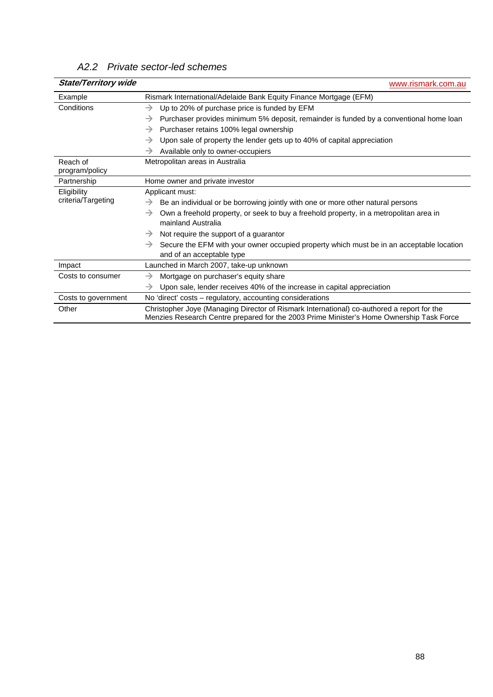| <b>State/Territory wide</b> | www.rismark.com.au                                                                                                                                                                     |  |
|-----------------------------|----------------------------------------------------------------------------------------------------------------------------------------------------------------------------------------|--|
| Example                     | Rismark International/Adelaide Bank Equity Finance Mortgage (EFM)                                                                                                                      |  |
| Conditions                  | Up to 20% of purchase price is funded by EFM<br>$\rightarrow$                                                                                                                          |  |
|                             | Purchaser provides minimum 5% deposit, remainder is funded by a conventional home loan<br>→                                                                                            |  |
|                             | Purchaser retains 100% legal ownership<br>$\rightarrow$                                                                                                                                |  |
|                             | Upon sale of property the lender gets up to 40% of capital appreciation<br>$\rightarrow$                                                                                               |  |
|                             | Available only to owner-occupiers<br>→                                                                                                                                                 |  |
| Reach of<br>program/policy  | Metropolitan areas in Australia                                                                                                                                                        |  |
| Partnership                 | Home owner and private investor                                                                                                                                                        |  |
| Eligibility                 | Applicant must:                                                                                                                                                                        |  |
| criteria/Targeting          | Be an individual or be borrowing jointly with one or more other natural persons<br>→                                                                                                   |  |
|                             | Own a freehold property, or seek to buy a freehold property, in a metropolitan area in<br>→<br>mainland Australia                                                                      |  |
|                             | Not require the support of a guarantor<br>$\rightarrow$                                                                                                                                |  |
|                             | Secure the EFM with your owner occupied property which must be in an acceptable location<br>$\rightarrow$<br>and of an acceptable type                                                 |  |
| Impact                      | Launched in March 2007, take-up unknown                                                                                                                                                |  |
| Costs to consumer           | Mortgage on purchaser's equity share<br>$\rightarrow$                                                                                                                                  |  |
|                             | Upon sale, lender receives 40% of the increase in capital appreciation<br>$\rightarrow$                                                                                                |  |
| Costs to government         | No 'direct' costs - regulatory, accounting considerations                                                                                                                              |  |
| Other                       | Christopher Joye (Managing Director of Rismark International) co-authored a report for the<br>Menzies Research Centre prepared for the 2003 Prime Minister's Home Ownership Task Force |  |

## *A2.2 Private sector-led schemes*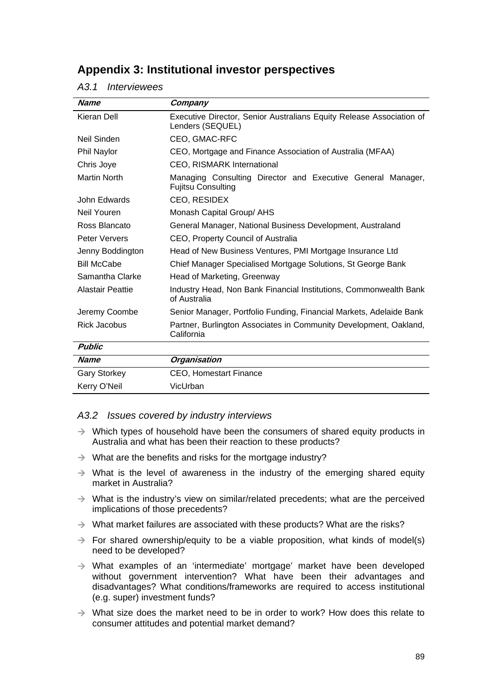## **Appendix 3: Institutional investor perspectives**

#### *A3.1 Interviewees*

| <b>Name</b>             | Company                                                                                  |  |
|-------------------------|------------------------------------------------------------------------------------------|--|
| Kieran Dell             | Executive Director, Senior Australians Equity Release Association of<br>Lenders (SEQUEL) |  |
| Neil Sinden             | CEO, GMAC-RFC                                                                            |  |
| Phil Naylor             | CEO, Mortgage and Finance Association of Australia (MFAA)                                |  |
| Chris Joye              | <b>CEO, RISMARK International</b>                                                        |  |
| <b>Martin North</b>     | Managing Consulting Director and Executive General Manager,<br><b>Fujitsu Consulting</b> |  |
| John Edwards            | CEO, RESIDEX                                                                             |  |
| Neil Youren             | Monash Capital Group/ AHS                                                                |  |
| Ross Blancato           | General Manager, National Business Development, Australand                               |  |
| Peter Ververs           | CEO, Property Council of Australia                                                       |  |
| Jenny Boddington        | Head of New Business Ventures, PMI Mortgage Insurance Ltd                                |  |
| <b>Bill McCabe</b>      | Chief Manager Specialised Mortgage Solutions, St George Bank                             |  |
| Samantha Clarke         | Head of Marketing, Greenway                                                              |  |
| <b>Alastair Peattie</b> | Industry Head, Non Bank Financial Institutions, Commonwealth Bank<br>of Australia        |  |
| Jeremy Coombe           | Senior Manager, Portfolio Funding, Financial Markets, Adelaide Bank                      |  |
| Rick Jacobus            | Partner, Burlington Associates in Community Development, Oakland,<br>California          |  |
| <b>Public</b>           |                                                                                          |  |
| <b>Name</b>             | <b>Organisation</b>                                                                      |  |
| <b>Gary Storkey</b>     | CEO, Homestart Finance                                                                   |  |
| Kerry O'Neil            | VicUrban                                                                                 |  |

#### *A3.2 Issues covered by industry interviews*

- $\rightarrow$  Which types of household have been the consumers of shared equity products in Australia and what has been their reaction to these products?
- $\rightarrow$  What are the benefits and risks for the mortgage industry?
- $\rightarrow$  What is the level of awareness in the industry of the emerging shared equity market in Australia?
- $\rightarrow$  What is the industry's view on similar/related precedents; what are the perceived implications of those precedents?
- $\rightarrow$  What market failures are associated with these products? What are the risks?
- $\rightarrow$  For shared ownership/equity to be a viable proposition, what kinds of model(s) need to be developed?
- $\rightarrow$  What examples of an 'intermediate' mortgage' market have been developed without government intervention? What have been their advantages and disadvantages? What conditions/frameworks are required to access institutional (e.g. super) investment funds?
- $\rightarrow$  What size does the market need to be in order to work? How does this relate to consumer attitudes and potential market demand?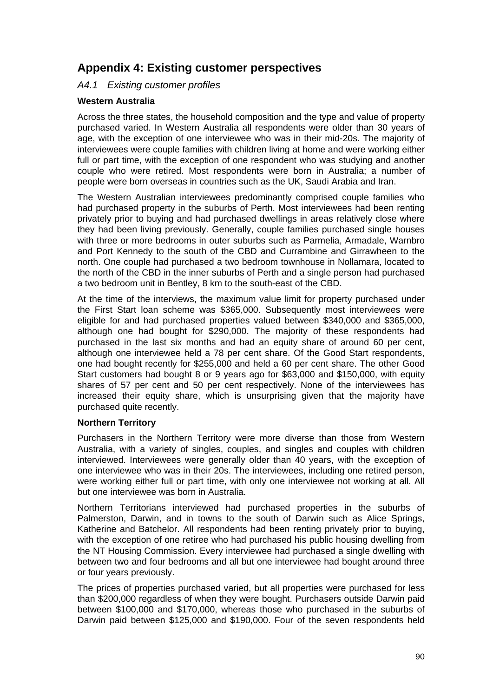## **Appendix 4: Existing customer perspectives**

## *A4.1 Existing customer profiles*

#### **Western Australia**

Across the three states, the household composition and the type and value of property purchased varied. In Western Australia all respondents were older than 30 years of age, with the exception of one interviewee who was in their mid-20s. The majority of interviewees were couple families with children living at home and were working either full or part time, with the exception of one respondent who was studying and another couple who were retired. Most respondents were born in Australia; a number of people were born overseas in countries such as the UK, Saudi Arabia and Iran.

The Western Australian interviewees predominantly comprised couple families who had purchased property in the suburbs of Perth. Most interviewees had been renting privately prior to buying and had purchased dwellings in areas relatively close where they had been living previously. Generally, couple families purchased single houses with three or more bedrooms in outer suburbs such as Parmelia, Armadale, Warnbro and Port Kennedy to the south of the CBD and Currambine and Girrawheen to the north. One couple had purchased a two bedroom townhouse in Nollamara, located to the north of the CBD in the inner suburbs of Perth and a single person had purchased a two bedroom unit in Bentley, 8 km to the south-east of the CBD.

At the time of the interviews, the maximum value limit for property purchased under the First Start loan scheme was \$365,000. Subsequently most interviewees were eligible for and had purchased properties valued between \$340,000 and \$365,000, although one had bought for \$290,000. The majority of these respondents had purchased in the last six months and had an equity share of around 60 per cent, although one interviewee held a 78 per cent share. Of the Good Start respondents, one had bought recently for \$255,000 and held a 60 per cent share. The other Good Start customers had bought 8 or 9 years ago for \$63,000 and \$150,000, with equity shares of 57 per cent and 50 per cent respectively. None of the interviewees has increased their equity share, which is unsurprising given that the majority have purchased quite recently.

#### **Northern Territory**

Purchasers in the Northern Territory were more diverse than those from Western Australia, with a variety of singles, couples, and singles and couples with children interviewed. Interviewees were generally older than 40 years, with the exception of one interviewee who was in their 20s. The interviewees, including one retired person, were working either full or part time, with only one interviewee not working at all. All but one interviewee was born in Australia.

Northern Territorians interviewed had purchased properties in the suburbs of Palmerston, Darwin, and in towns to the south of Darwin such as Alice Springs, Katherine and Batchelor. All respondents had been renting privately prior to buying, with the exception of one retiree who had purchased his public housing dwelling from the NT Housing Commission. Every interviewee had purchased a single dwelling with between two and four bedrooms and all but one interviewee had bought around three or four years previously.

The prices of properties purchased varied, but all properties were purchased for less than \$200,000 regardless of when they were bought. Purchasers outside Darwin paid between \$100,000 and \$170,000, whereas those who purchased in the suburbs of Darwin paid between \$125,000 and \$190,000. Four of the seven respondents held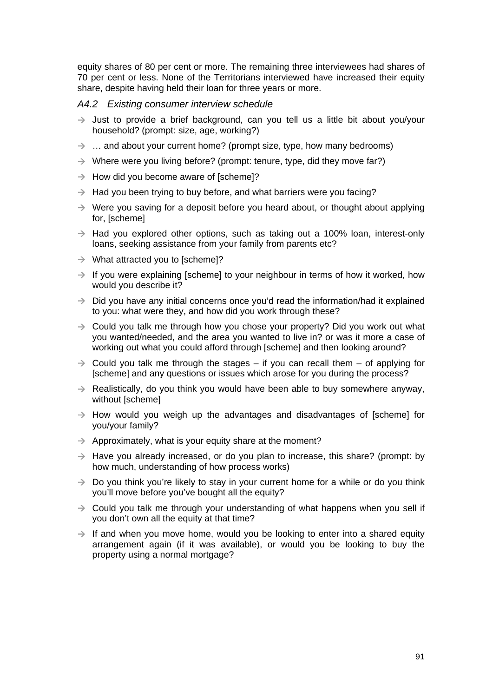equity shares of 80 per cent or more. The remaining three interviewees had shares of 70 per cent or less. None of the Territorians interviewed have increased their equity share, despite having held their loan for three years or more.

#### *A4.2 Existing consumer interview schedule*

- $\rightarrow$  Just to provide a brief background, can you tell us a little bit about you/your household? (prompt: size, age, working?)
- $\rightarrow$  ... and about your current home? (prompt size, type, how many bedrooms)
- $\rightarrow$  Where were you living before? (prompt: tenure, type, did they move far?)
- $\rightarrow$  How did you become aware of [scheme]?
- $\rightarrow$  Had you been trying to buy before, and what barriers were you facing?
- $\rightarrow$  Were you saving for a deposit before you heard about, or thought about applying for, [scheme]
- $\rightarrow$  Had you explored other options, such as taking out a 100% loan, interest-only loans, seeking assistance from your family from parents etc?
- $\rightarrow$  What attracted you to [scheme]?
- $\rightarrow$  If you were explaining [scheme] to your neighbour in terms of how it worked, how would you describe it?
- $\rightarrow$  Did you have any initial concerns once you'd read the information/had it explained to you: what were they, and how did you work through these?
- $\rightarrow$  Could you talk me through how you chose your property? Did you work out what you wanted/needed, and the area you wanted to live in? or was it more a case of working out what you could afford through [scheme] and then looking around?
- $\rightarrow$  Could you talk me through the stages if you can recall them of applying for [scheme] and any questions or issues which arose for you during the process?
- $\rightarrow$  Realistically, do you think you would have been able to buy somewhere anyway, without [scheme]
- $\rightarrow$  How would you weigh up the advantages and disadvantages of [scheme] for you/your family?
- $\rightarrow$  Approximately, what is your equity share at the moment?
- $\rightarrow$  Have you already increased, or do you plan to increase, this share? (prompt: by how much, understanding of how process works)
- $\rightarrow$  Do you think you're likely to stay in your current home for a while or do you think you'll move before you've bought all the equity?
- $\rightarrow$  Could you talk me through your understanding of what happens when you sell if you don't own all the equity at that time?
- $\rightarrow$  If and when you move home, would you be looking to enter into a shared equity arrangement again (if it was available), or would you be looking to buy the property using a normal mortgage?